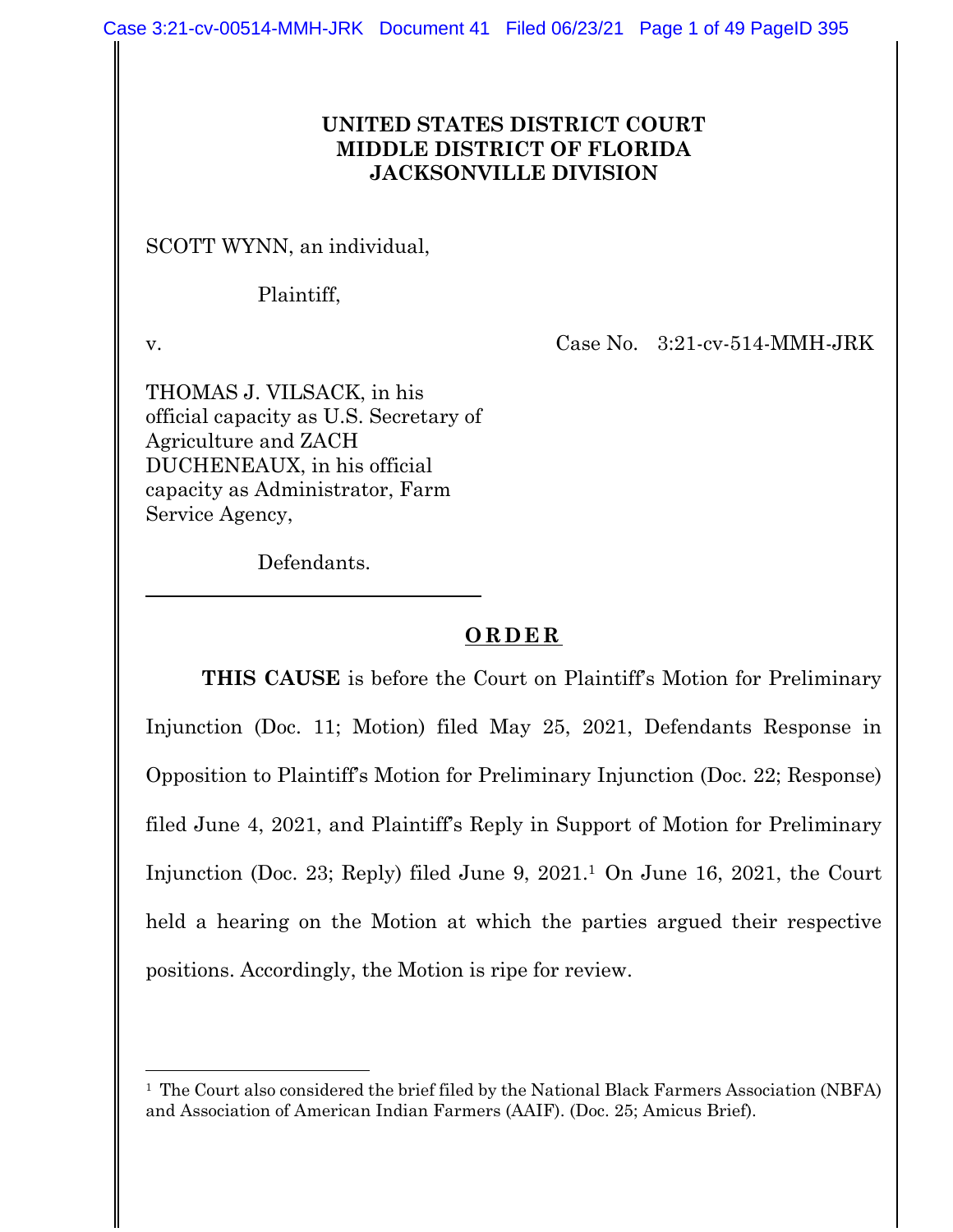### **UNITED STATES DISTRICT COURT MIDDLE DISTRICT OF FLORIDA JACKSONVILLE DIVISION**

SCOTT WYNN, an individual,

Plaintiff,

 $\overline{a}$ 

v. Case No. 3:21-cv-514-MMH-JRK

THOMAS J. VILSACK, in his official capacity as U.S. Secretary of Agriculture and ZACH DUCHENEAUX, in his official capacity as Administrator, Farm Service Agency,

Defendants.

### **ORDER**

**THIS CAUSE** is before the Court on Plaintiff's Motion for Preliminary Injunction (Doc. 11; Motion) filed May 25, 2021, Defendants Response in Opposition to Plaintiff's Motion for Preliminary Injunction (Doc. 22; Response) filed June 4, 2021, and Plaintiff's Reply in Support of Motion for Preliminary Injunction (Doc. 23; Reply) filed June 9, 2021.1 On June 16, 2021, the Court held a hearing on the Motion at which the parties argued their respective positions. Accordingly, the Motion is ripe for review.

<sup>&</sup>lt;sup>1</sup> The Court also considered the brief filed by the National Black Farmers Association (NBFA) and Association of American Indian Farmers (AAIF). (Doc. 25; Amicus Brief).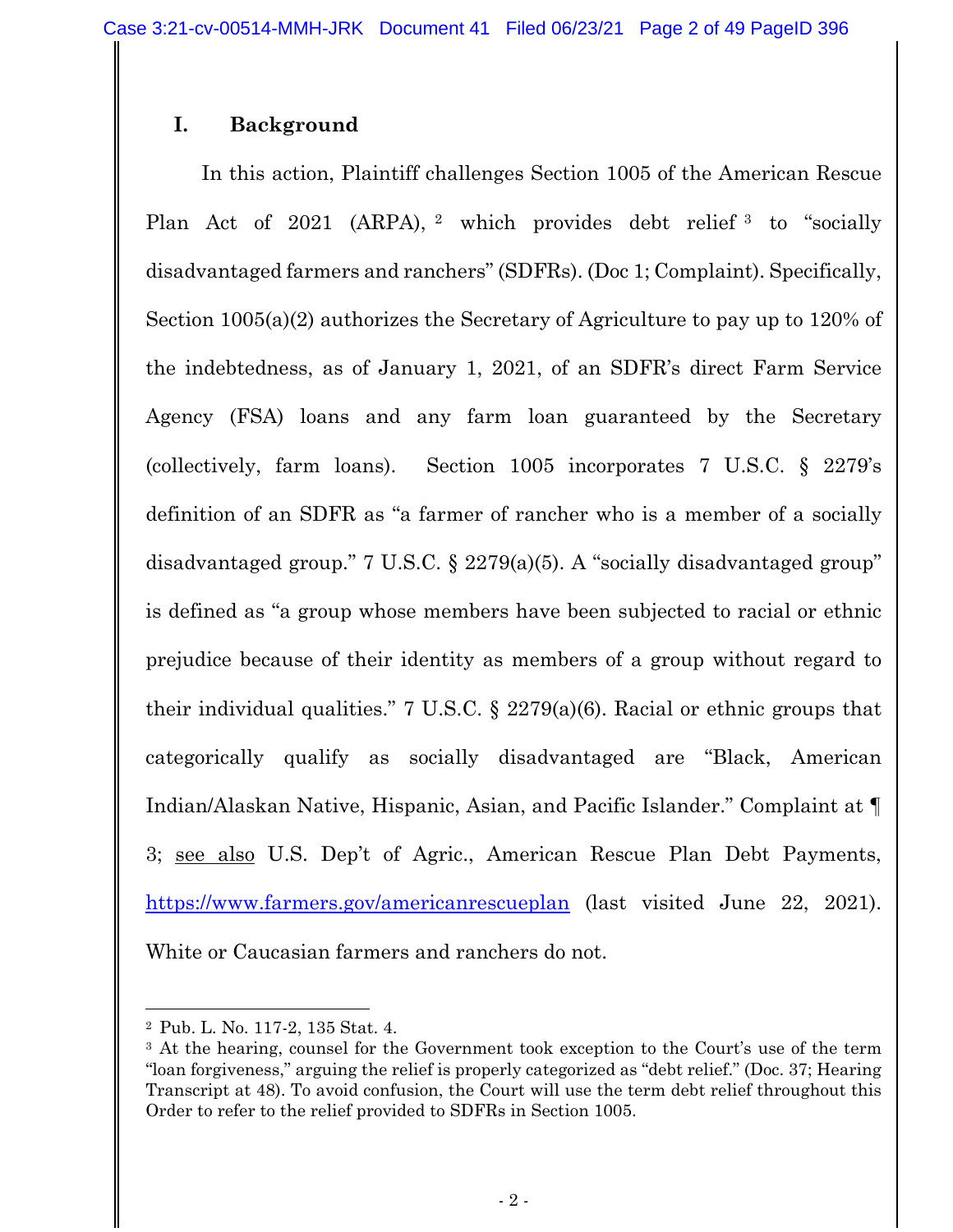# **I. Background**

In this action, Plaintiff challenges Section 1005 of the American Rescue Plan Act of 2021 (ARPA), <sup>2</sup> which provides debt relief <sup>3</sup> to "socially disadvantaged farmers and ranchers" (SDFRs). (Doc 1; Complaint). Specifically, Section 1005(a)(2) authorizes the Secretary of Agriculture to pay up to 120% of the indebtedness, as of January 1, 2021, of an SDFR's direct Farm Service Agency (FSA) loans and any farm loan guaranteed by the Secretary (collectively, farm loans). Section 1005 incorporates 7 U.S.C. § 2279's definition of an SDFR as "a farmer of rancher who is a member of a socially disadvantaged group." 7 U.S.C.  $\S$  2279(a)(5). A "socially disadvantaged group" is defined as "a group whose members have been subjected to racial or ethnic prejudice because of their identity as members of a group without regard to their individual qualities." 7 U.S.C. § 2279(a)(6). Racial or ethnic groups that categorically qualify as socially disadvantaged are "Black, American Indian/Alaskan Native, Hispanic, Asian, and Pacific Islander." Complaint at ¶ 3; see also U.S. Dep't of Agric., American Rescue Plan Debt Payments, https://www.farmers.gov/americanrescueplan (last visited June 22, 2021). White or Caucasian farmers and ranchers do not.

<sup>2</sup> Pub. L. No. 117-2, 135 Stat. 4.

<sup>&</sup>lt;sup>3</sup> At the hearing, counsel for the Government took exception to the Court's use of the term "loan forgiveness," arguing the relief is properly categorized as "debt relief." (Doc. 37; Hearing Transcript at 48). To avoid confusion, the Court will use the term debt relief throughout this Order to refer to the relief provided to SDFRs in Section 1005.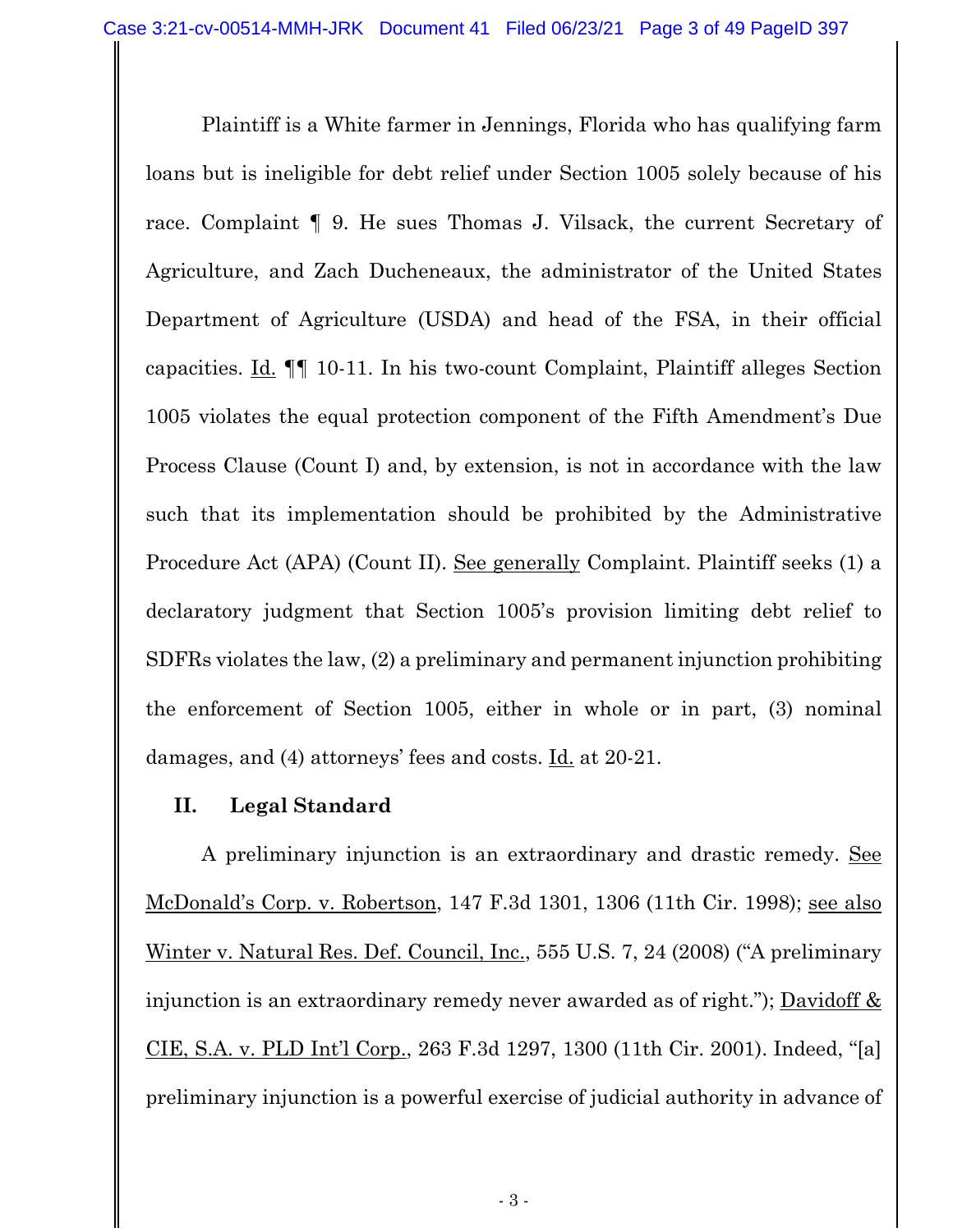Plaintiff is a White farmer in Jennings, Florida who has qualifying farm loans but is ineligible for debt relief under Section 1005 solely because of his race. Complaint ¶ 9. He sues Thomas J. Vilsack, the current Secretary of Agriculture, and Zach Ducheneaux, the administrator of the United States Department of Agriculture (USDA) and head of the FSA, in their official capacities. Id. ¶¶ 10-11. In his two-count Complaint, Plaintiff alleges Section 1005 violates the equal protection component of the Fifth Amendment's Due Process Clause (Count I) and, by extension, is not in accordance with the law such that its implementation should be prohibited by the Administrative Procedure Act (APA) (Count II). See generally Complaint. Plaintiff seeks (1) a declaratory judgment that Section 1005's provision limiting debt relief to SDFRs violates the law, (2) a preliminary and permanent injunction prohibiting the enforcement of Section 1005, either in whole or in part, (3) nominal damages, and (4) attorneys' fees and costs. Id. at 20-21.

## **II. Legal Standard**

A preliminary injunction is an extraordinary and drastic remedy. See McDonald's Corp. v. Robertson, 147 F.3d 1301, 1306 (11th Cir. 1998); see also Winter v. Natural Res. Def. Council, Inc., 555 U.S. 7, 24 (2008) ("A preliminary injunction is an extraordinary remedy never awarded as of right."); Davidoff & CIE, S.A. v. PLD Int'l Corp., 263 F.3d 1297, 1300 (11th Cir. 2001). Indeed, "[a] preliminary injunction is a powerful exercise of judicial authority in advance of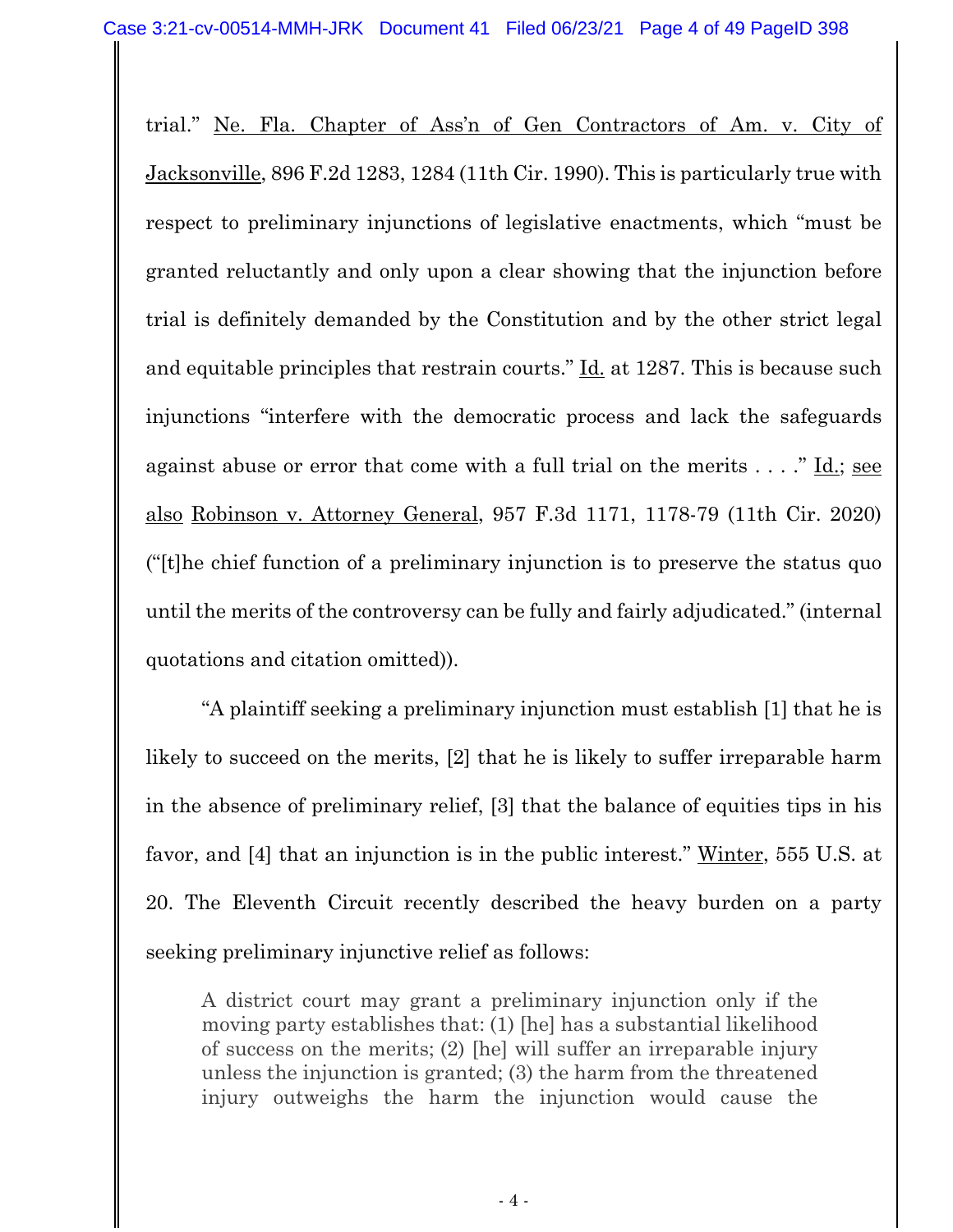trial." Ne. Fla. Chapter of Ass'n of Gen Contractors of Am. v. City of Jacksonville, 896 F.2d 1283, 1284 (11th Cir. 1990). This is particularly true with respect to preliminary injunctions of legislative enactments, which "must be granted reluctantly and only upon a clear showing that the injunction before trial is definitely demanded by the Constitution and by the other strict legal and equitable principles that restrain courts." Id. at 1287. This is because such injunctions "interfere with the democratic process and lack the safeguards against abuse or error that come with a full trial on the merits  $\dots$ ." Id.; see also Robinson v. Attorney General, 957 F.3d 1171, 1178-79 (11th Cir. 2020) ("[t]he chief function of a preliminary injunction is to preserve the status quo until the merits of the controversy can be fully and fairly adjudicated." (internal quotations and citation omitted)).

"A plaintiff seeking a preliminary injunction must establish [1] that he is likely to succeed on the merits, [2] that he is likely to suffer irreparable harm in the absence of preliminary relief, [3] that the balance of equities tips in his favor, and [4] that an injunction is in the public interest." Winter, 555 U.S. at 20. The Eleventh Circuit recently described the heavy burden on a party seeking preliminary injunctive relief as follows:

A district court may grant a preliminary injunction only if the moving party establishes that: (1) [he] has a substantial likelihood of success on the merits; (2) [he] will suffer an irreparable injury unless the injunction is granted; (3) the harm from the threatened injury outweighs the harm the injunction would cause the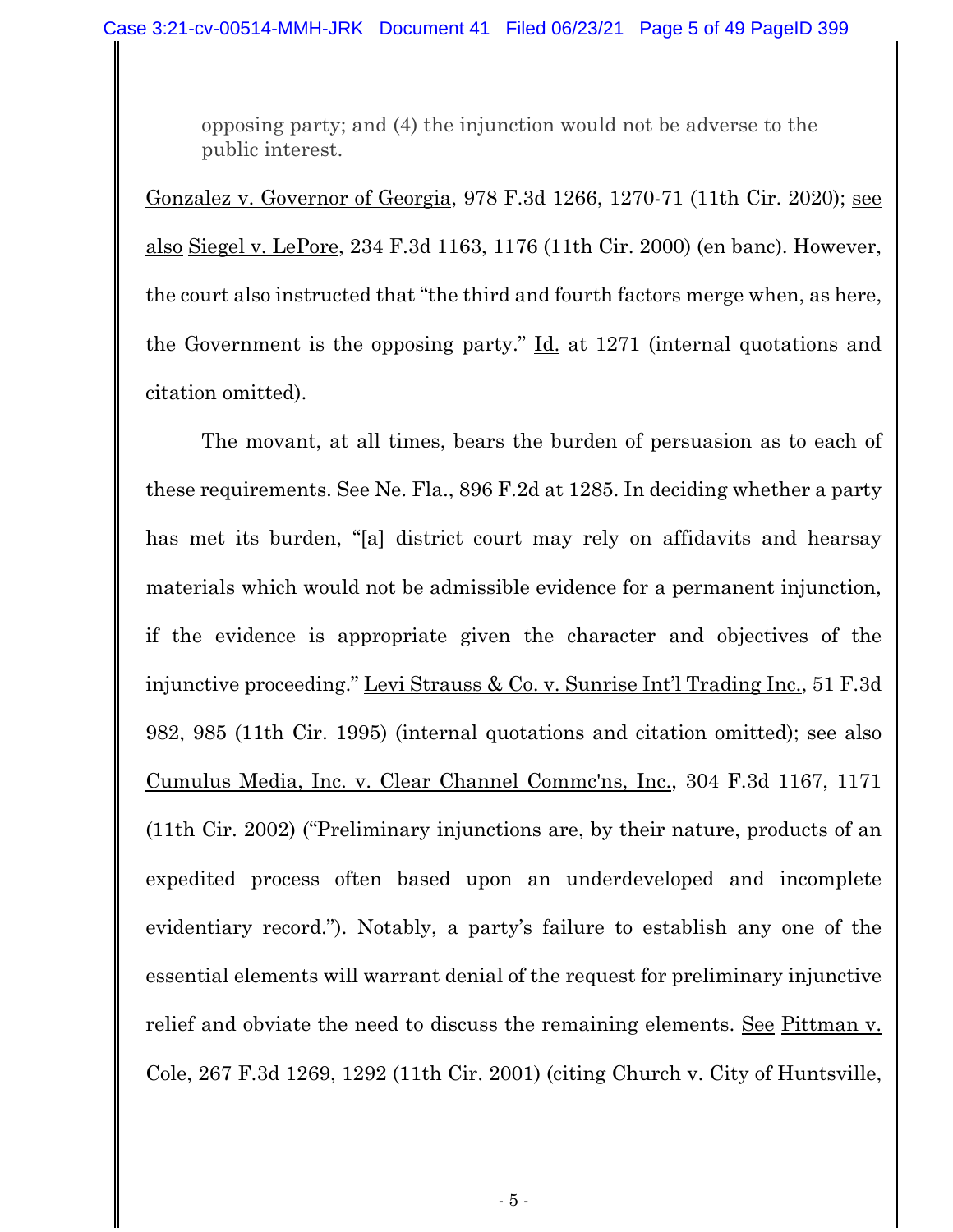opposing party; and (4) the injunction would not be adverse to the public interest.

Gonzalez v. Governor of Georgia, 978 F.3d 1266, 1270-71 (11th Cir. 2020); see also Siegel v. LePore, 234 F.3d 1163, 1176 (11th Cir. 2000) (en banc). However, the court also instructed that "the third and fourth factors merge when, as here, the Government is the opposing party." Id. at 1271 (internal quotations and citation omitted).

The movant, at all times, bears the burden of persuasion as to each of these requirements. See Ne. Fla., 896 F.2d at 1285. In deciding whether a party has met its burden, "[a] district court may rely on affidavits and hearsay materials which would not be admissible evidence for a permanent injunction, if the evidence is appropriate given the character and objectives of the injunctive proceeding." Levi Strauss & Co. v. Sunrise Int'l Trading Inc., 51 F.3d 982, 985 (11th Cir. 1995) (internal quotations and citation omitted); see also Cumulus Media, Inc. v. Clear Channel Commc'ns, Inc., 304 F.3d 1167, 1171 (11th Cir. 2002) ("Preliminary injunctions are, by their nature, products of an expedited process often based upon an underdeveloped and incomplete evidentiary record."). Notably, a party's failure to establish any one of the essential elements will warrant denial of the request for preliminary injunctive relief and obviate the need to discuss the remaining elements. See Pittman v. Cole, 267 F.3d 1269, 1292 (11th Cir. 2001) (citing Church v. City of Huntsville,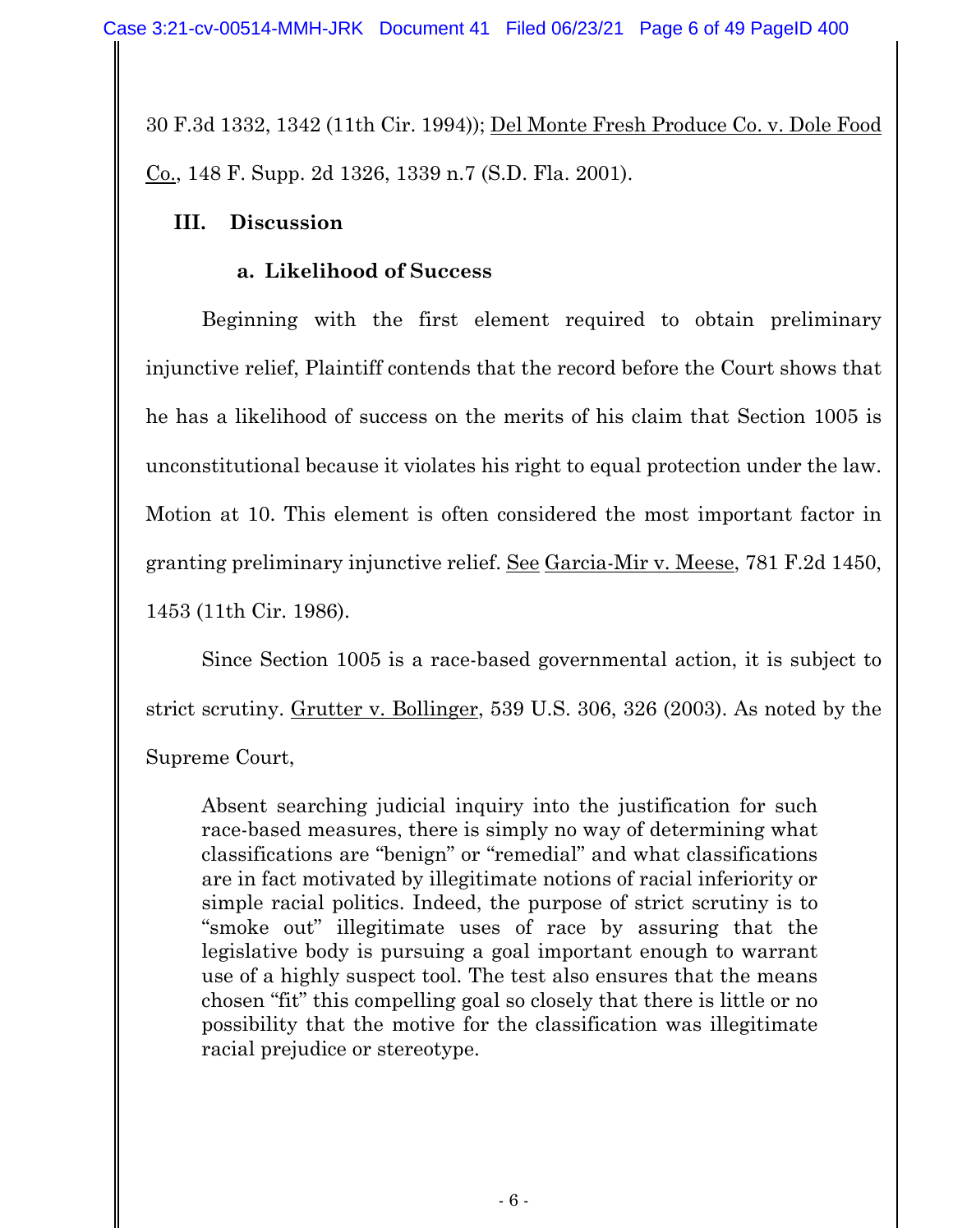30 F.3d 1332, 1342 (11th Cir. 1994)); Del Monte Fresh Produce Co. v. Dole Food Co., 148 F. Supp. 2d 1326, 1339 n.7 (S.D. Fla. 2001).

## **III. Discussion**

# **a. Likelihood of Success**

Beginning with the first element required to obtain preliminary injunctive relief, Plaintiff contends that the record before the Court shows that he has a likelihood of success on the merits of his claim that Section 1005 is unconstitutional because it violates his right to equal protection under the law. Motion at 10. This element is often considered the most important factor in granting preliminary injunctive relief. See Garcia-Mir v. Meese, 781 F.2d 1450, 1453 (11th Cir. 1986).

Since Section 1005 is a race-based governmental action, it is subject to strict scrutiny. Grutter v. Bollinger, 539 U.S. 306, 326 (2003). As noted by the Supreme Court,

Absent searching judicial inquiry into the justification for such race-based measures, there is simply no way of determining what classifications are "benign" or "remedial" and what classifications are in fact motivated by illegitimate notions of racial inferiority or simple racial politics. Indeed, the purpose of strict scrutiny is to "smoke out" illegitimate uses of race by assuring that the legislative body is pursuing a goal important enough to warrant use of a highly suspect tool. The test also ensures that the means chosen "fit" this compelling goal so closely that there is little or no possibility that the motive for the classification was illegitimate racial prejudice or stereotype.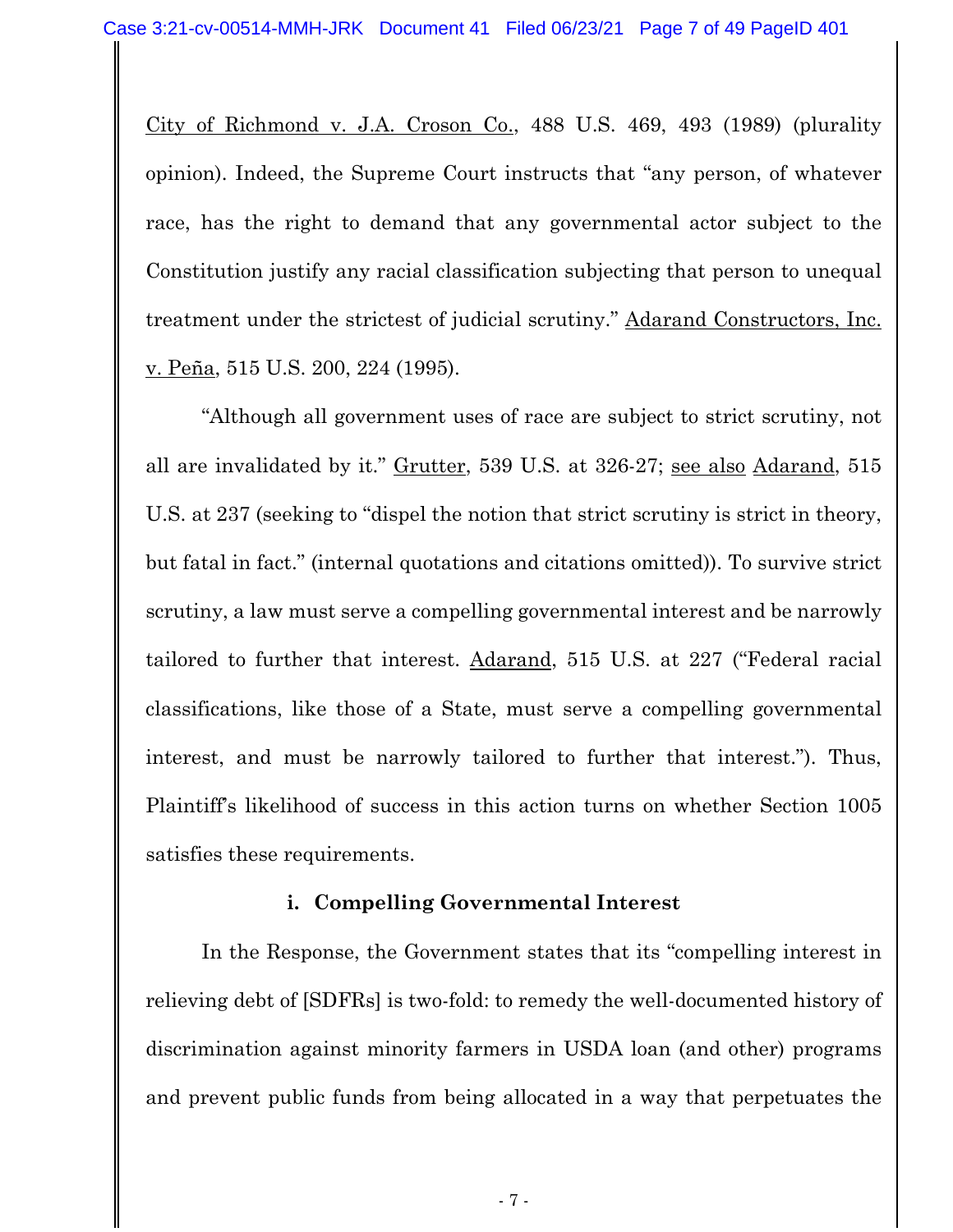City of Richmond v. J.A. Croson Co., 488 U.S. 469, 493 (1989) (plurality opinion). Indeed, the Supreme Court instructs that "any person, of whatever race, has the right to demand that any governmental actor subject to the Constitution justify any racial classification subjecting that person to unequal treatment under the strictest of judicial scrutiny." Adarand Constructors, Inc. v. Peña, 515 U.S. 200, 224 (1995).

"Although all government uses of race are subject to strict scrutiny, not all are invalidated by it." Grutter, 539 U.S. at 326-27; see also Adarand, 515 U.S. at 237 (seeking to "dispel the notion that strict scrutiny is strict in theory, but fatal in fact." (internal quotations and citations omitted)). To survive strict scrutiny, a law must serve a compelling governmental interest and be narrowly tailored to further that interest. Adarand, 515 U.S. at 227 ("Federal racial classifications, like those of a State, must serve a compelling governmental interest, and must be narrowly tailored to further that interest."). Thus, Plaintiff's likelihood of success in this action turns on whether Section 1005 satisfies these requirements.

#### **i. Compelling Governmental Interest**

In the Response, the Government states that its "compelling interest in relieving debt of [SDFRs] is two-fold: to remedy the well-documented history of discrimination against minority farmers in USDA loan (and other) programs and prevent public funds from being allocated in a way that perpetuates the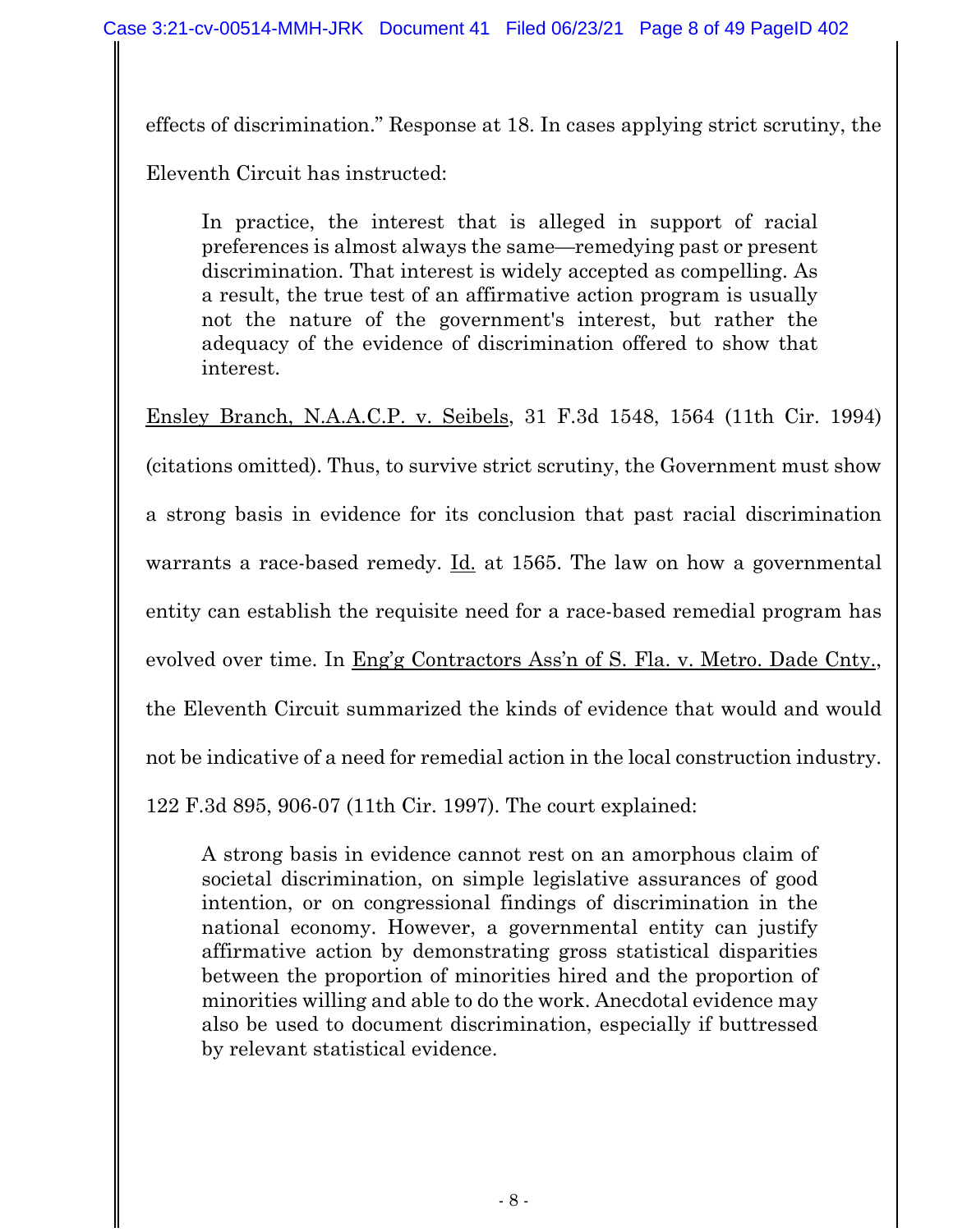effects of discrimination." Response at 18. In cases applying strict scrutiny, the Eleventh Circuit has instructed:

In practice, the interest that is alleged in support of racial preferences is almost always the same—remedying past or present discrimination. That interest is widely accepted as compelling. As a result, the true test of an affirmative action program is usually not the nature of the government's interest, but rather the adequacy of the evidence of discrimination offered to show that interest.

Ensley Branch, N.A.A.C.P. v. Seibels, 31 F.3d 1548, 1564 (11th Cir. 1994)

(citations omitted). Thus, to survive strict scrutiny, the Government must show a strong basis in evidence for its conclusion that past racial discrimination warrants a race-based remedy. Id. at 1565. The law on how a governmental entity can establish the requisite need for a race-based remedial program has evolved over time. In Eng'g Contractors Ass'n of S. Fla. v. Metro. Dade Cnty., the Eleventh Circuit summarized the kinds of evidence that would and would not be indicative of a need for remedial action in the local construction industry. 122 F.3d 895, 906-07 (11th Cir. 1997). The court explained:

A strong basis in evidence cannot rest on an amorphous claim of societal discrimination, on simple legislative assurances of good intention, or on congressional findings of discrimination in the national economy. However, a governmental entity can justify affirmative action by demonstrating gross statistical disparities between the proportion of minorities hired and the proportion of minorities willing and able to do the work. Anecdotal evidence may also be used to document discrimination, especially if buttressed by relevant statistical evidence.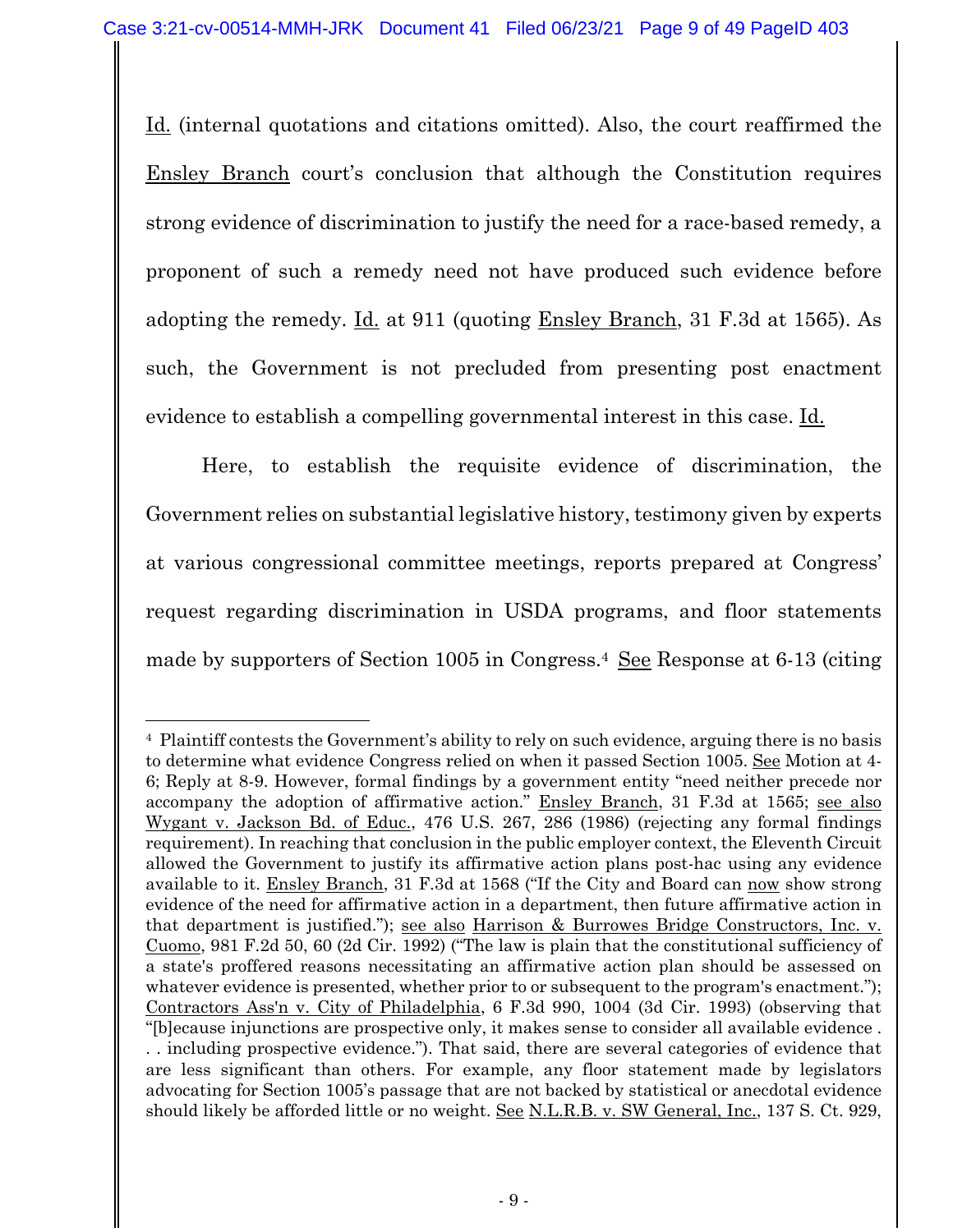Id. (internal quotations and citations omitted). Also, the court reaffirmed the Ensley Branch court's conclusion that although the Constitution requires strong evidence of discrimination to justify the need for a race-based remedy, a proponent of such a remedy need not have produced such evidence before adopting the remedy. Id. at 911 (quoting Ensley Branch, 31 F.3d at 1565). As such, the Government is not precluded from presenting post enactment evidence to establish a compelling governmental interest in this case. Id.

Here, to establish the requisite evidence of discrimination, the Government relies on substantial legislative history, testimony given by experts at various congressional committee meetings, reports prepared at Congress' request regarding discrimination in USDA programs, and floor statements made by supporters of Section 1005 in Congress.4 See Response at 6-13 (citing

<sup>4</sup> Plaintiff contests the Government's ability to rely on such evidence, arguing there is no basis to determine what evidence Congress relied on when it passed Section 1005. See Motion at 4-6; Reply at 8-9. However, formal findings by a government entity "need neither precede nor accompany the adoption of affirmative action." Ensley Branch, 31 F.3d at 1565; see also Wygant v. Jackson Bd. of Educ., 476 U.S. 267, 286 (1986) (rejecting any formal findings requirement). In reaching that conclusion in the public employer context, the Eleventh Circuit allowed the Government to justify its affirmative action plans post-hac using any evidence available to it. Ensley Branch, 31 F.3d at 1568 ("If the City and Board can now show strong evidence of the need for affirmative action in a department, then future affirmative action in that department is justified."); see also Harrison & Burrowes Bridge Constructors, Inc. v. Cuomo, 981 F.2d 50, 60 (2d Cir. 1992) ("The law is plain that the constitutional sufficiency of a state's proffered reasons necessitating an affirmative action plan should be assessed on whatever evidence is presented, whether prior to or subsequent to the program's enactment."); Contractors Ass'n v. City of Philadelphia, 6 F.3d 990, 1004 (3d Cir. 1993) (observing that "[b]ecause injunctions are prospective only, it makes sense to consider all available evidence . . . including prospective evidence."). That said, there are several categories of evidence that are less significant than others. For example, any floor statement made by legislators advocating for Section 1005's passage that are not backed by statistical or anecdotal evidence should likely be afforded little or no weight. See N.L.R.B. v. SW General, Inc., 137 S. Ct. 929,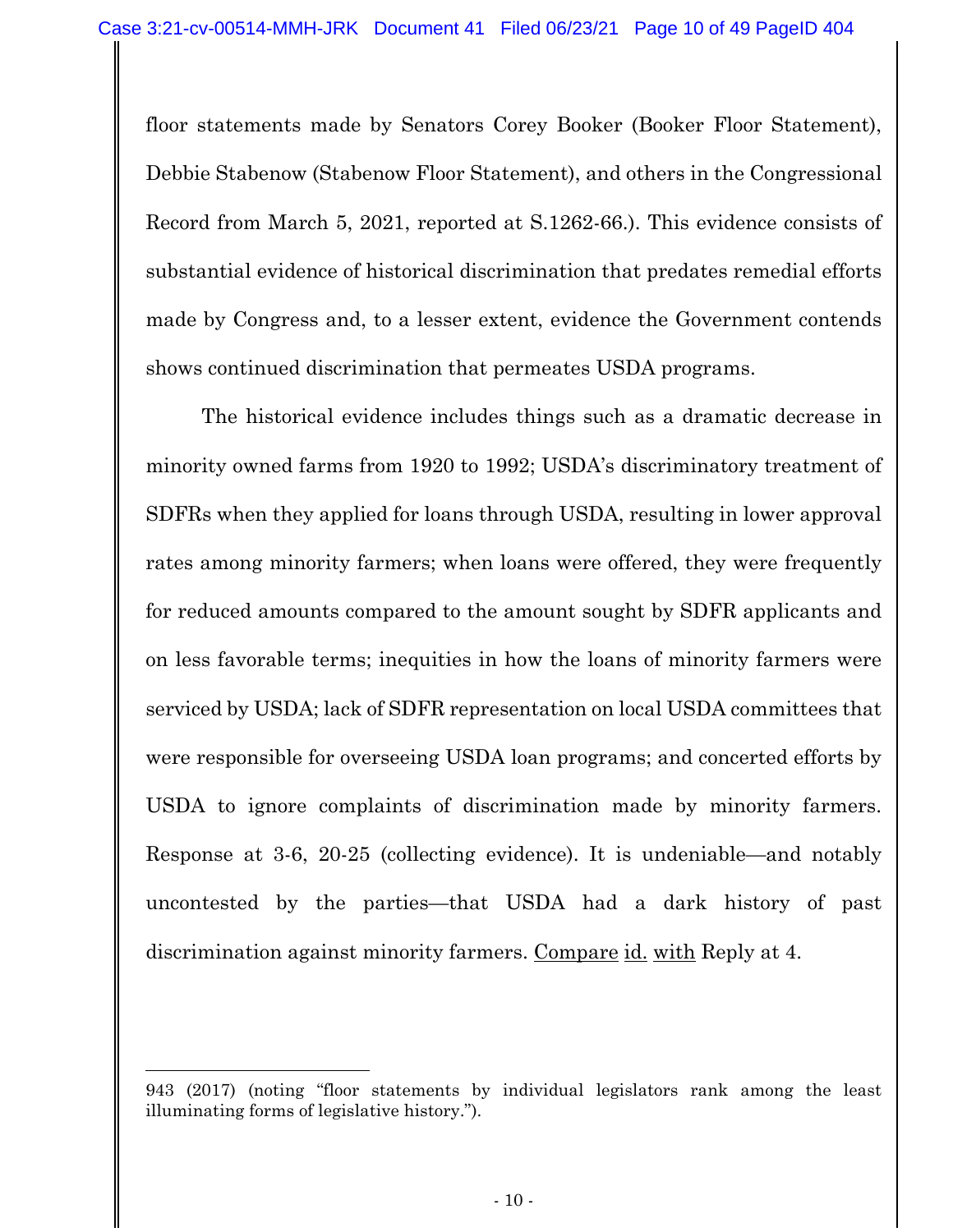floor statements made by Senators Corey Booker (Booker Floor Statement), Debbie Stabenow (Stabenow Floor Statement), and others in the Congressional Record from March 5, 2021, reported at S.1262-66.). This evidence consists of substantial evidence of historical discrimination that predates remedial efforts made by Congress and, to a lesser extent, evidence the Government contends shows continued discrimination that permeates USDA programs.

The historical evidence includes things such as a dramatic decrease in minority owned farms from 1920 to 1992; USDA's discriminatory treatment of SDFRs when they applied for loans through USDA, resulting in lower approval rates among minority farmers; when loans were offered, they were frequently for reduced amounts compared to the amount sought by SDFR applicants and on less favorable terms; inequities in how the loans of minority farmers were serviced by USDA; lack of SDFR representation on local USDA committees that were responsible for overseeing USDA loan programs; and concerted efforts by USDA to ignore complaints of discrimination made by minority farmers. Response at 3-6, 20-25 (collecting evidence). It is undeniable—and notably uncontested by the parties—that USDA had a dark history of past discrimination against minority farmers. Compare id. with Reply at 4.

<sup>943 (2017) (</sup>noting "floor statements by individual legislators rank among the least illuminating forms of legislative history.").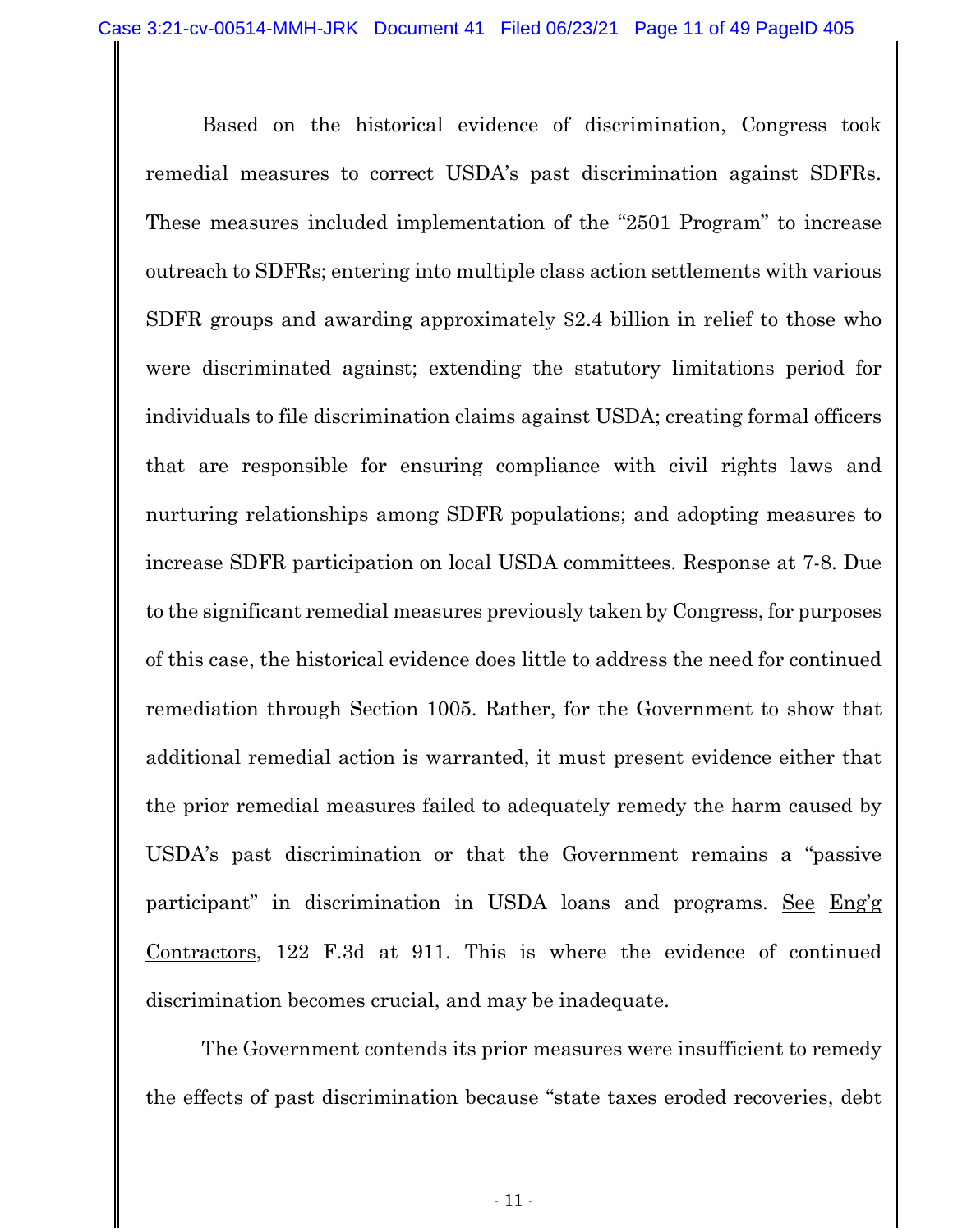Based on the historical evidence of discrimination, Congress took remedial measures to correct USDA's past discrimination against SDFRs. These measures included implementation of the "2501 Program" to increase outreach to SDFRs; entering into multiple class action settlements with various SDFR groups and awarding approximately \$2.4 billion in relief to those who were discriminated against; extending the statutory limitations period for individuals to file discrimination claims against USDA; creating formal officers that are responsible for ensuring compliance with civil rights laws and nurturing relationships among SDFR populations; and adopting measures to increase SDFR participation on local USDA committees. Response at 7-8. Due to the significant remedial measures previously taken by Congress, for purposes of this case, the historical evidence does little to address the need for continued remediation through Section 1005. Rather, for the Government to show that additional remedial action is warranted, it must present evidence either that the prior remedial measures failed to adequately remedy the harm caused by USDA's past discrimination or that the Government remains a "passive participant" in discrimination in USDA loans and programs. See Eng'g Contractors, 122 F.3d at 911. This is where the evidence of continued discrimination becomes crucial, and may be inadequate.

The Government contends its prior measures were insufficient to remedy the effects of past discrimination because "state taxes eroded recoveries, debt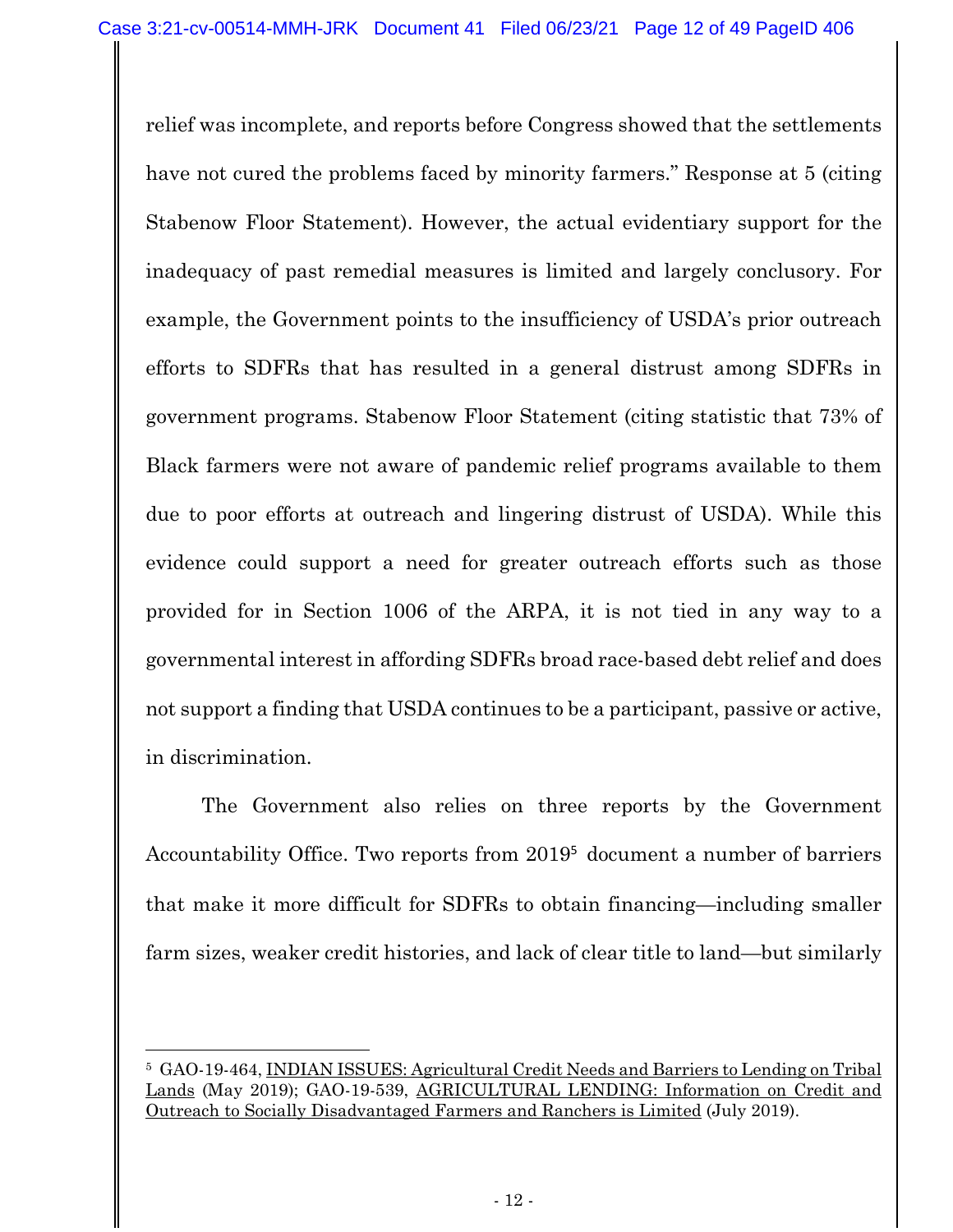relief was incomplete, and reports before Congress showed that the settlements have not cured the problems faced by minority farmers." Response at 5 (citing Stabenow Floor Statement). However, the actual evidentiary support for the inadequacy of past remedial measures is limited and largely conclusory. For example, the Government points to the insufficiency of USDA's prior outreach efforts to SDFRs that has resulted in a general distrust among SDFRs in government programs. Stabenow Floor Statement (citing statistic that 73% of Black farmers were not aware of pandemic relief programs available to them due to poor efforts at outreach and lingering distrust of USDA). While this evidence could support a need for greater outreach efforts such as those provided for in Section 1006 of the ARPA, it is not tied in any way to a governmental interest in affording SDFRs broad race-based debt relief and does not support a finding that USDA continues to be a participant, passive or active, in discrimination.

The Government also relies on three reports by the Government Accountability Office. Two reports from 2019<sup>5</sup> document a number of barriers that make it more difficult for SDFRs to obtain financing—including smaller farm sizes, weaker credit histories, and lack of clear title to land—but similarly

<sup>5</sup> GAO-19-464, INDIAN ISSUES: Agricultural Credit Needs and Barriers to Lending on Tribal Lands (May 2019); GAO-19-539, AGRICULTURAL LENDING: Information on Credit and Outreach to Socially Disadvantaged Farmers and Ranchers is Limited (July 2019).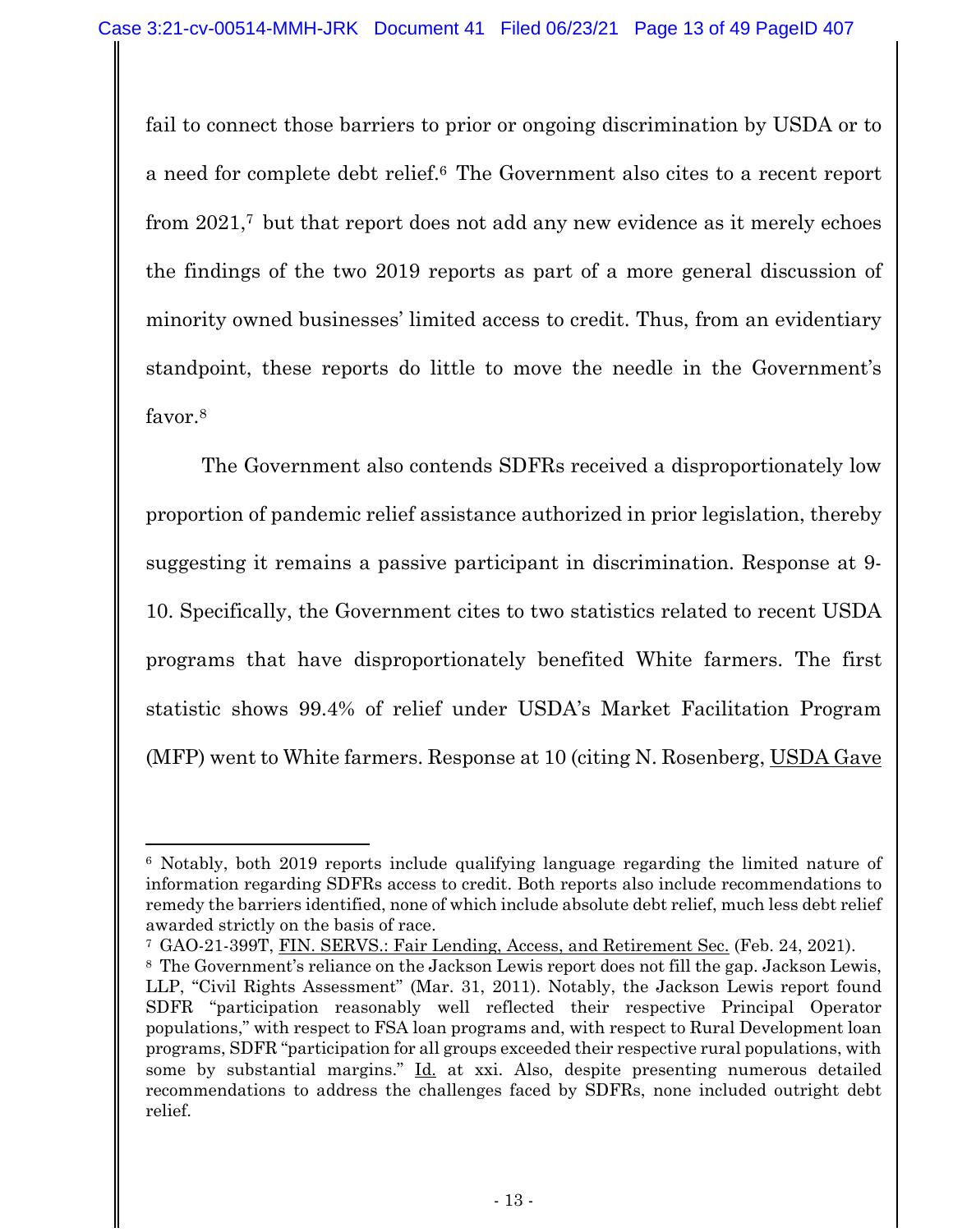fail to connect those barriers to prior or ongoing discrimination by USDA or to a need for complete debt relief.6 The Government also cites to a recent report from 2021,7 but that report does not add any new evidence as it merely echoes the findings of the two 2019 reports as part of a more general discussion of minority owned businesses' limited access to credit. Thus, from an evidentiary standpoint, these reports do little to move the needle in the Government's favor.<sup>8</sup>

The Government also contends SDFRs received a disproportionately low proportion of pandemic relief assistance authorized in prior legislation, thereby suggesting it remains a passive participant in discrimination. Response at 9- 10. Specifically, the Government cites to two statistics related to recent USDA programs that have disproportionately benefited White farmers. The first statistic shows 99.4% of relief under USDA's Market Facilitation Program (MFP) went to White farmers. Response at 10 (citing N. Rosenberg, USDA Gave

<sup>6</sup> Notably, both 2019 reports include qualifying language regarding the limited nature of information regarding SDFRs access to credit. Both reports also include recommendations to remedy the barriers identified, none of which include absolute debt relief, much less debt relief awarded strictly on the basis of race.

<sup>7</sup> GAO-21-399T, FIN. SERVS.: Fair Lending, Access, and Retirement Sec. (Feb. 24, 2021).

<sup>8</sup> The Government's reliance on the Jackson Lewis report does not fill the gap. Jackson Lewis, LLP, "Civil Rights Assessment" (Mar. 31, 2011). Notably, the Jackson Lewis report found SDFR "participation reasonably well reflected their respective Principal Operator populations," with respect to FSA loan programs and, with respect to Rural Development loan programs, SDFR "participation for all groups exceeded their respective rural populations, with some by substantial margins." Id. at xxi. Also, despite presenting numerous detailed recommendations to address the challenges faced by SDFRs, none included outright debt relief.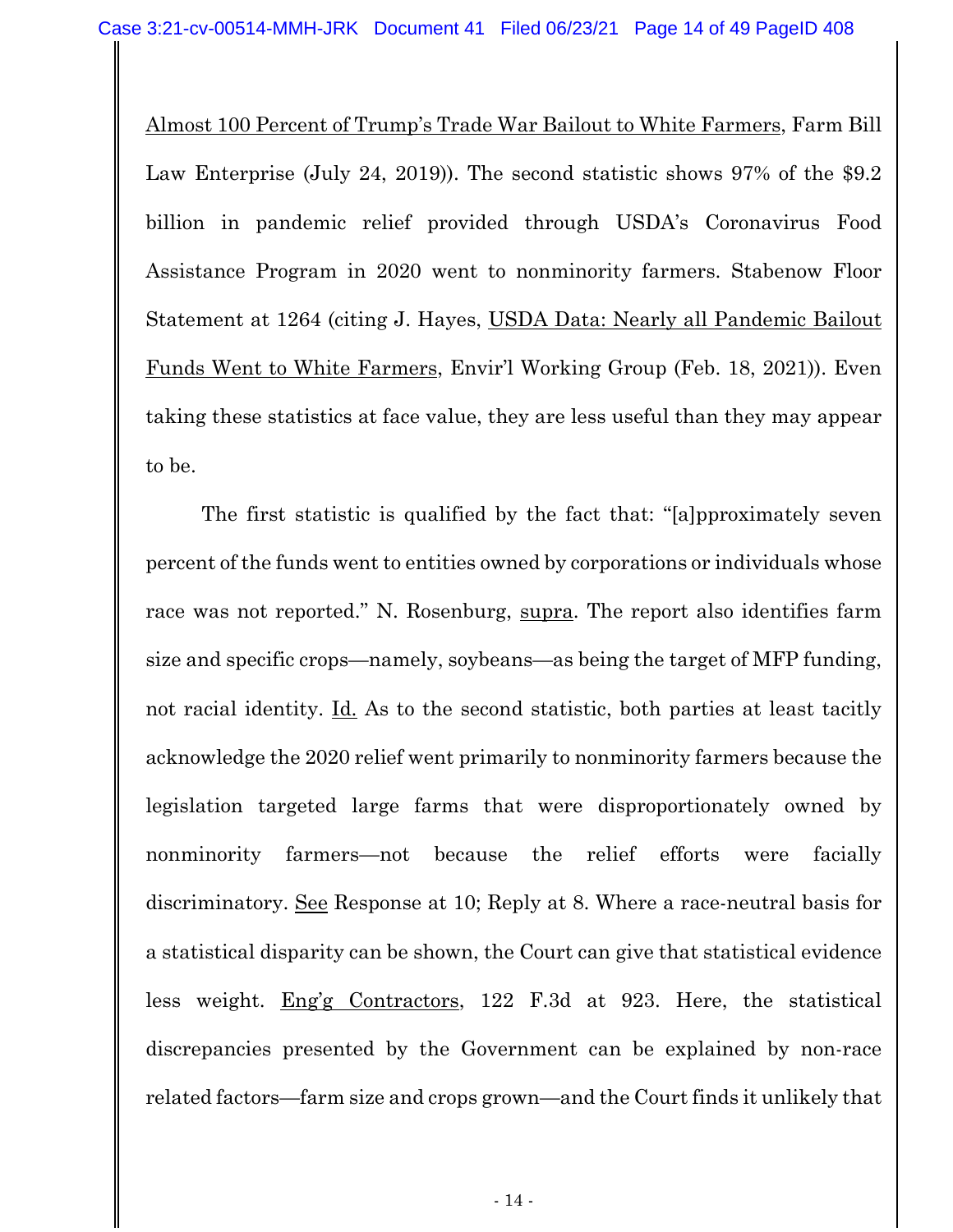Almost 100 Percent of Trump's Trade War Bailout to White Farmers, Farm Bill Law Enterprise (July 24, 2019)). The second statistic shows 97% of the \$9.2 billion in pandemic relief provided through USDA's Coronavirus Food Assistance Program in 2020 went to nonminority farmers. Stabenow Floor Statement at 1264 (citing J. Hayes, USDA Data: Nearly all Pandemic Bailout Funds Went to White Farmers, Envir'l Working Group (Feb. 18, 2021)). Even taking these statistics at face value, they are less useful than they may appear to be.

The first statistic is qualified by the fact that: "[a]pproximately seven percent of the funds went to entities owned by corporations or individuals whose race was not reported." N. Rosenburg, supra. The report also identifies farm size and specific crops—namely, soybeans—as being the target of MFP funding, not racial identity. Id. As to the second statistic, both parties at least tacitly acknowledge the 2020 relief went primarily to nonminority farmers because the legislation targeted large farms that were disproportionately owned by nonminority farmers—not because the relief efforts were facially discriminatory. See Response at 10; Reply at 8. Where a race-neutral basis for a statistical disparity can be shown, the Court can give that statistical evidence less weight. Eng'g Contractors, 122 F.3d at 923. Here, the statistical discrepancies presented by the Government can be explained by non-race related factors—farm size and crops grown—and the Court finds it unlikely that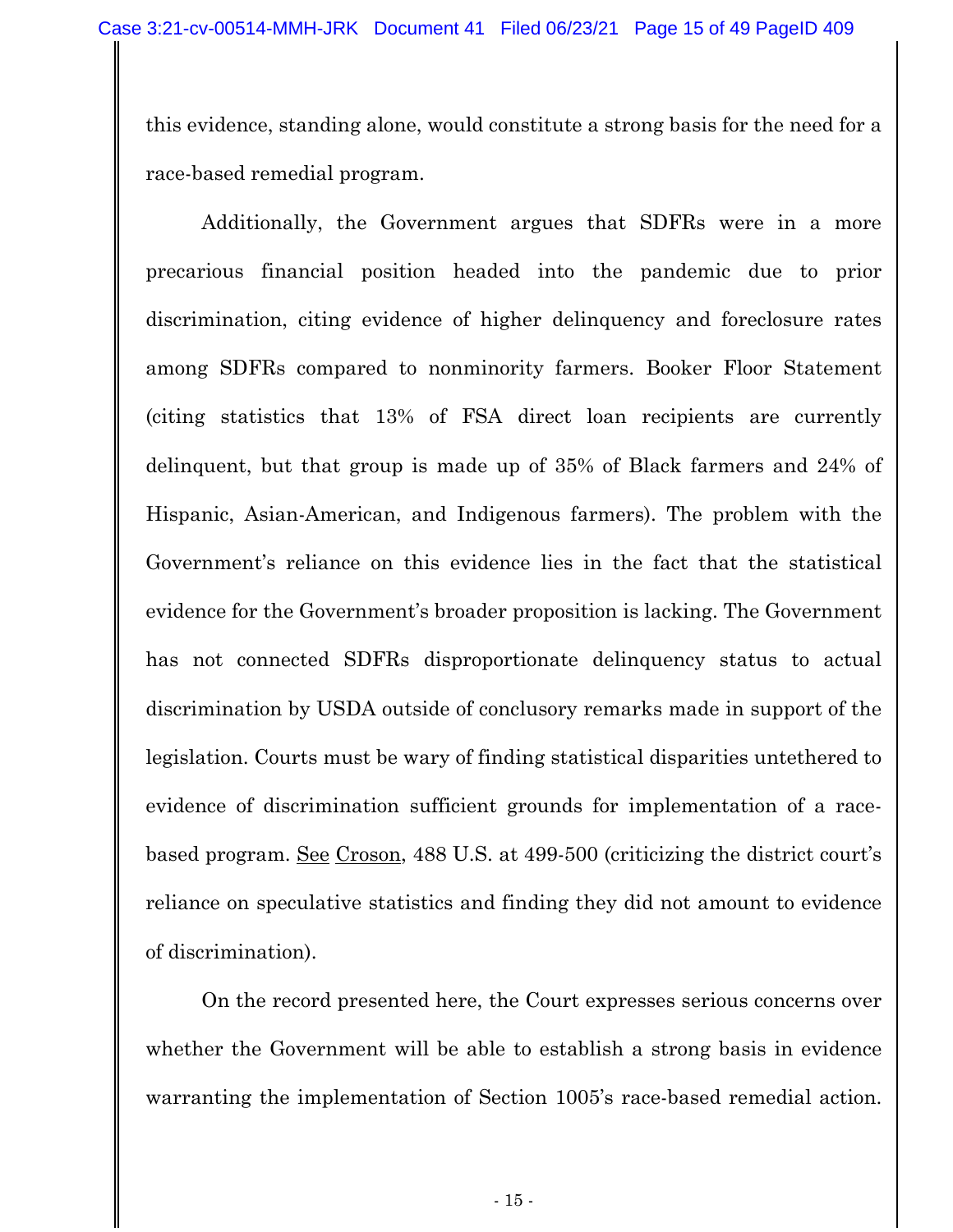this evidence, standing alone, would constitute a strong basis for the need for a race-based remedial program.

Additionally, the Government argues that SDFRs were in a more precarious financial position headed into the pandemic due to prior discrimination, citing evidence of higher delinquency and foreclosure rates among SDFRs compared to nonminority farmers. Booker Floor Statement (citing statistics that 13% of FSA direct loan recipients are currently delinquent, but that group is made up of 35% of Black farmers and 24% of Hispanic, Asian-American, and Indigenous farmers). The problem with the Government's reliance on this evidence lies in the fact that the statistical evidence for the Government's broader proposition is lacking. The Government has not connected SDFRs disproportionate delinquency status to actual discrimination by USDA outside of conclusory remarks made in support of the legislation. Courts must be wary of finding statistical disparities untethered to evidence of discrimination sufficient grounds for implementation of a racebased program. See Croson, 488 U.S. at 499-500 (criticizing the district court's reliance on speculative statistics and finding they did not amount to evidence of discrimination).

 On the record presented here, the Court expresses serious concerns over whether the Government will be able to establish a strong basis in evidence warranting the implementation of Section 1005's race-based remedial action.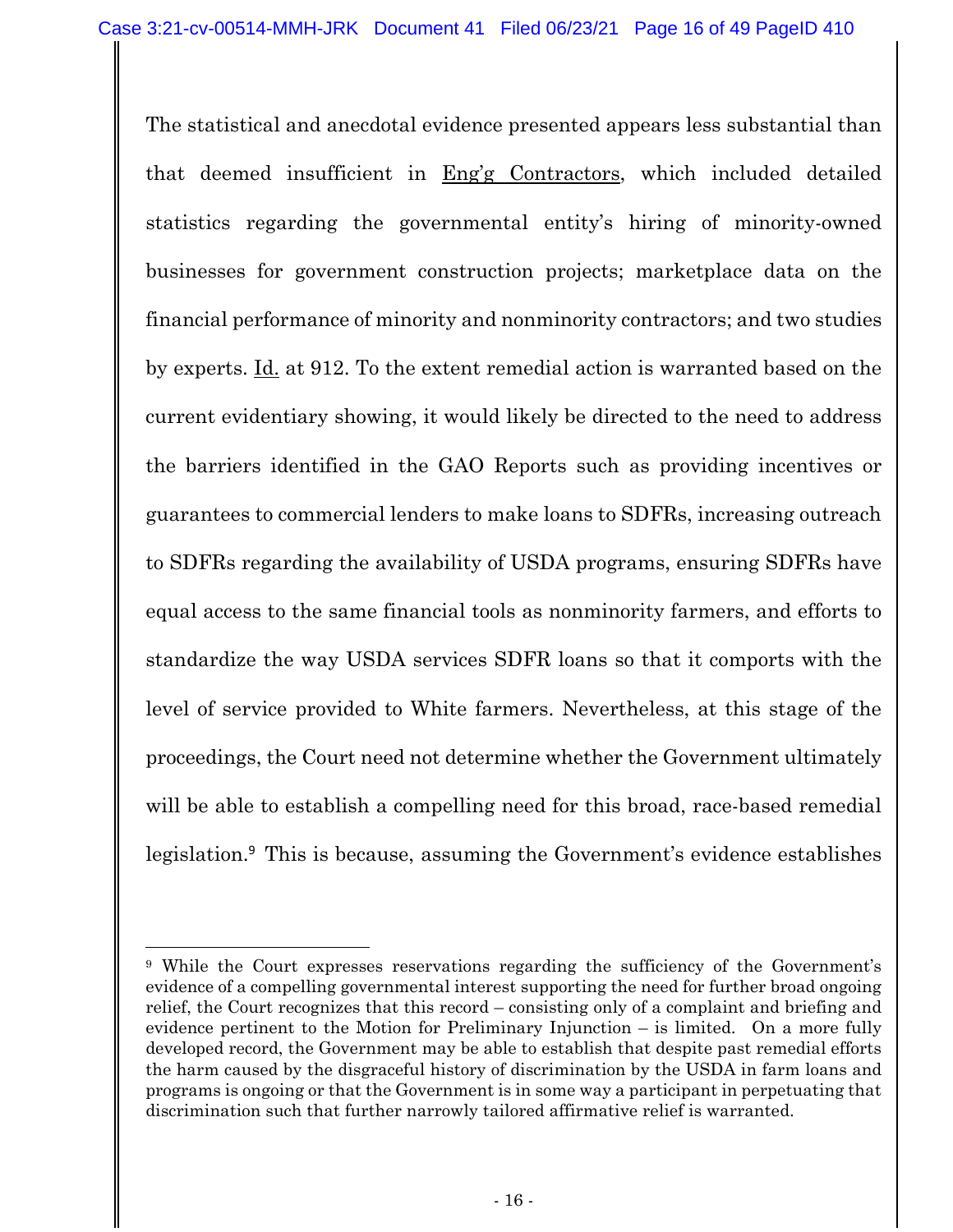The statistical and anecdotal evidence presented appears less substantial than that deemed insufficient in Eng'g Contractors, which included detailed statistics regarding the governmental entity's hiring of minority-owned businesses for government construction projects; marketplace data on the financial performance of minority and nonminority contractors; and two studies by experts. Id. at 912. To the extent remedial action is warranted based on the current evidentiary showing, it would likely be directed to the need to address the barriers identified in the GAO Reports such as providing incentives or guarantees to commercial lenders to make loans to SDFRs, increasing outreach to SDFRs regarding the availability of USDA programs, ensuring SDFRs have equal access to the same financial tools as nonminority farmers, and efforts to standardize the way USDA services SDFR loans so that it comports with the level of service provided to White farmers. Nevertheless, at this stage of the proceedings, the Court need not determine whether the Government ultimately will be able to establish a compelling need for this broad, race-based remedial legislation.<sup>9</sup> This is because, assuming the Government's evidence establishes

<sup>9</sup> While the Court expresses reservations regarding the sufficiency of the Government's evidence of a compelling governmental interest supporting the need for further broad ongoing relief, the Court recognizes that this record – consisting only of a complaint and briefing and evidence pertinent to the Motion for Preliminary Injunction – is limited. On a more fully developed record, the Government may be able to establish that despite past remedial efforts the harm caused by the disgraceful history of discrimination by the USDA in farm loans and programs is ongoing or that the Government is in some way a participant in perpetuating that discrimination such that further narrowly tailored affirmative relief is warranted.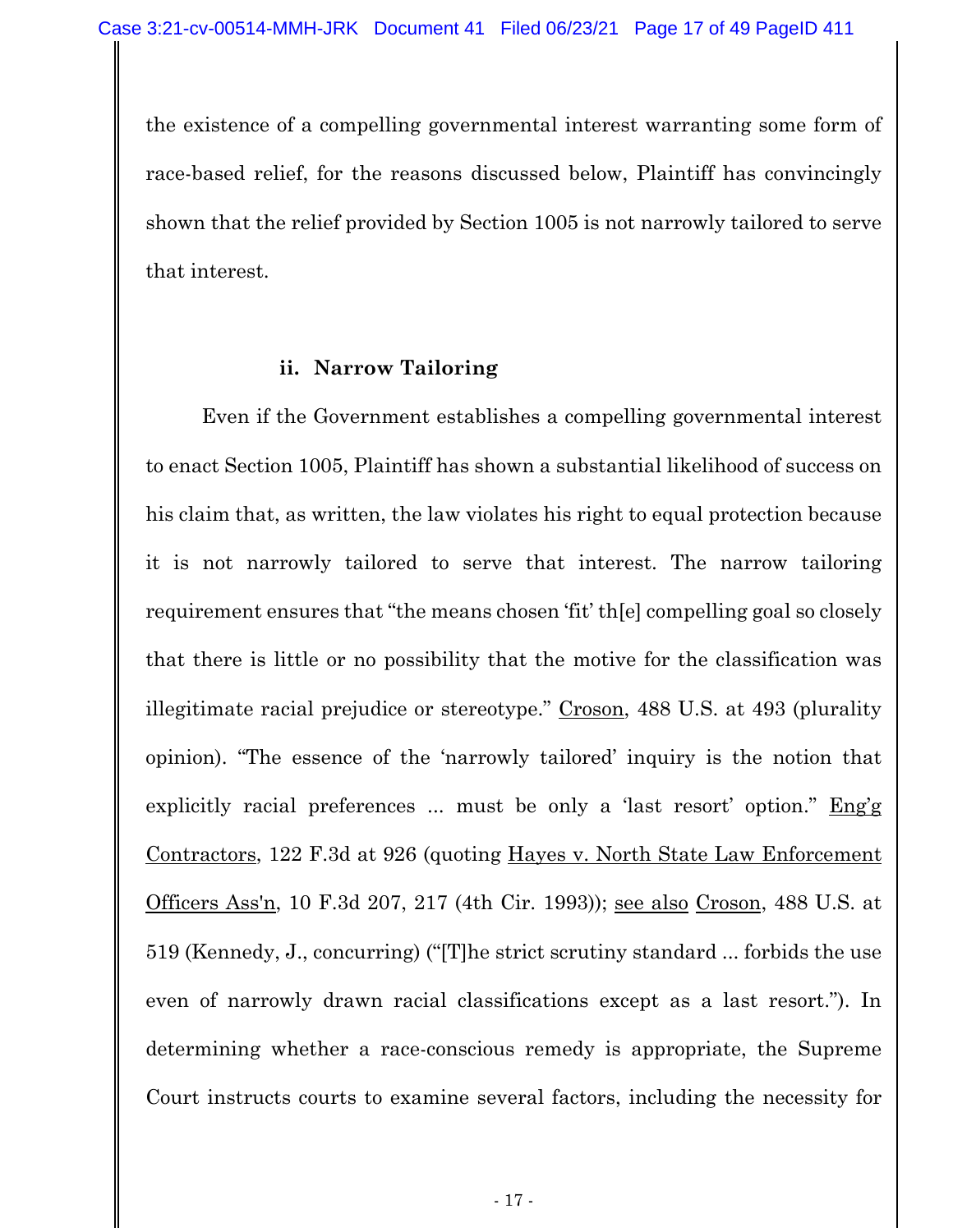the existence of a compelling governmental interest warranting some form of race-based relief, for the reasons discussed below, Plaintiff has convincingly shown that the relief provided by Section 1005 is not narrowly tailored to serve that interest.

#### **ii. Narrow Tailoring**

Even if the Government establishes a compelling governmental interest to enact Section 1005, Plaintiff has shown a substantial likelihood of success on his claim that, as written, the law violates his right to equal protection because it is not narrowly tailored to serve that interest. The narrow tailoring requirement ensures that "the means chosen 'fit' th[e] compelling goal so closely that there is little or no possibility that the motive for the classification was illegitimate racial prejudice or stereotype." Croson, 488 U.S. at 493 (plurality opinion). "The essence of the 'narrowly tailored' inquiry is the notion that explicitly racial preferences ... must be only a 'last resort' option." Eng'g Contractors, 122 F.3d at 926 (quoting Hayes v. North State Law Enforcement Officers Ass'n, 10 F.3d 207, 217 (4th Cir. 1993)); see also Croson, 488 U.S. at 519 (Kennedy, J., concurring) ("[T]he strict scrutiny standard ... forbids the use even of narrowly drawn racial classifications except as a last resort."). In determining whether a race-conscious remedy is appropriate, the Supreme Court instructs courts to examine several factors, including the necessity for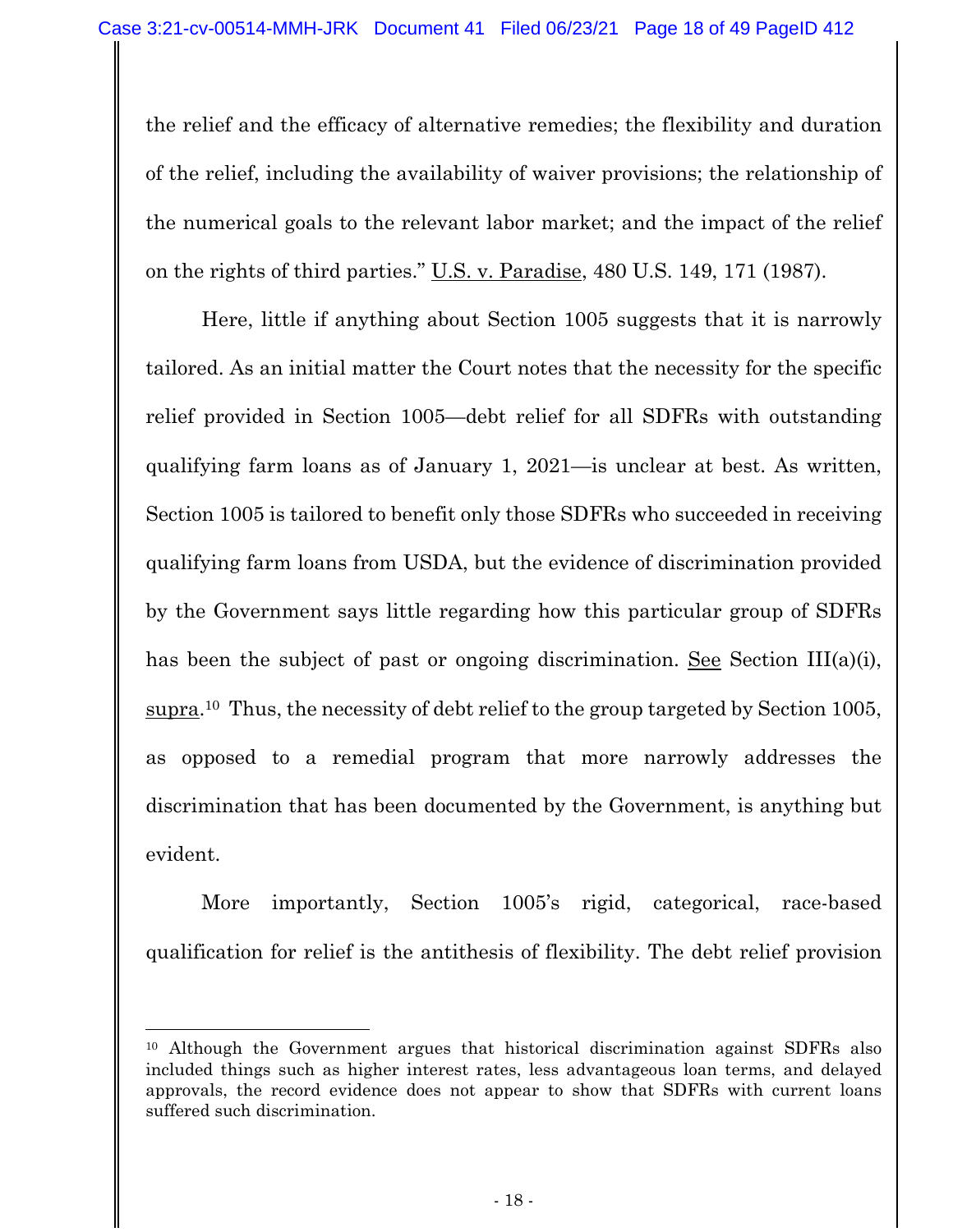the relief and the efficacy of alternative remedies; the flexibility and duration of the relief, including the availability of waiver provisions; the relationship of the numerical goals to the relevant labor market; and the impact of the relief on the rights of third parties." U.S. v. Paradise, 480 U.S. 149, 171 (1987).

Here, little if anything about Section 1005 suggests that it is narrowly tailored. As an initial matter the Court notes that the necessity for the specific relief provided in Section 1005—debt relief for all SDFRs with outstanding qualifying farm loans as of January 1, 2021—is unclear at best. As written, Section 1005 is tailored to benefit only those SDFRs who succeeded in receiving qualifying farm loans from USDA, but the evidence of discrimination provided by the Government says little regarding how this particular group of SDFRs has been the subject of past or ongoing discrimination. See Section III(a)(i), supra.10 Thus, the necessity of debt relief to the group targeted by Section 1005, as opposed to a remedial program that more narrowly addresses the discrimination that has been documented by the Government, is anything but evident.

More importantly, Section 1005's rigid, categorical, race-based qualification for relief is the antithesis of flexibility. The debt relief provision

<sup>10</sup> Although the Government argues that historical discrimination against SDFRs also included things such as higher interest rates, less advantageous loan terms, and delayed approvals, the record evidence does not appear to show that SDFRs with current loans suffered such discrimination.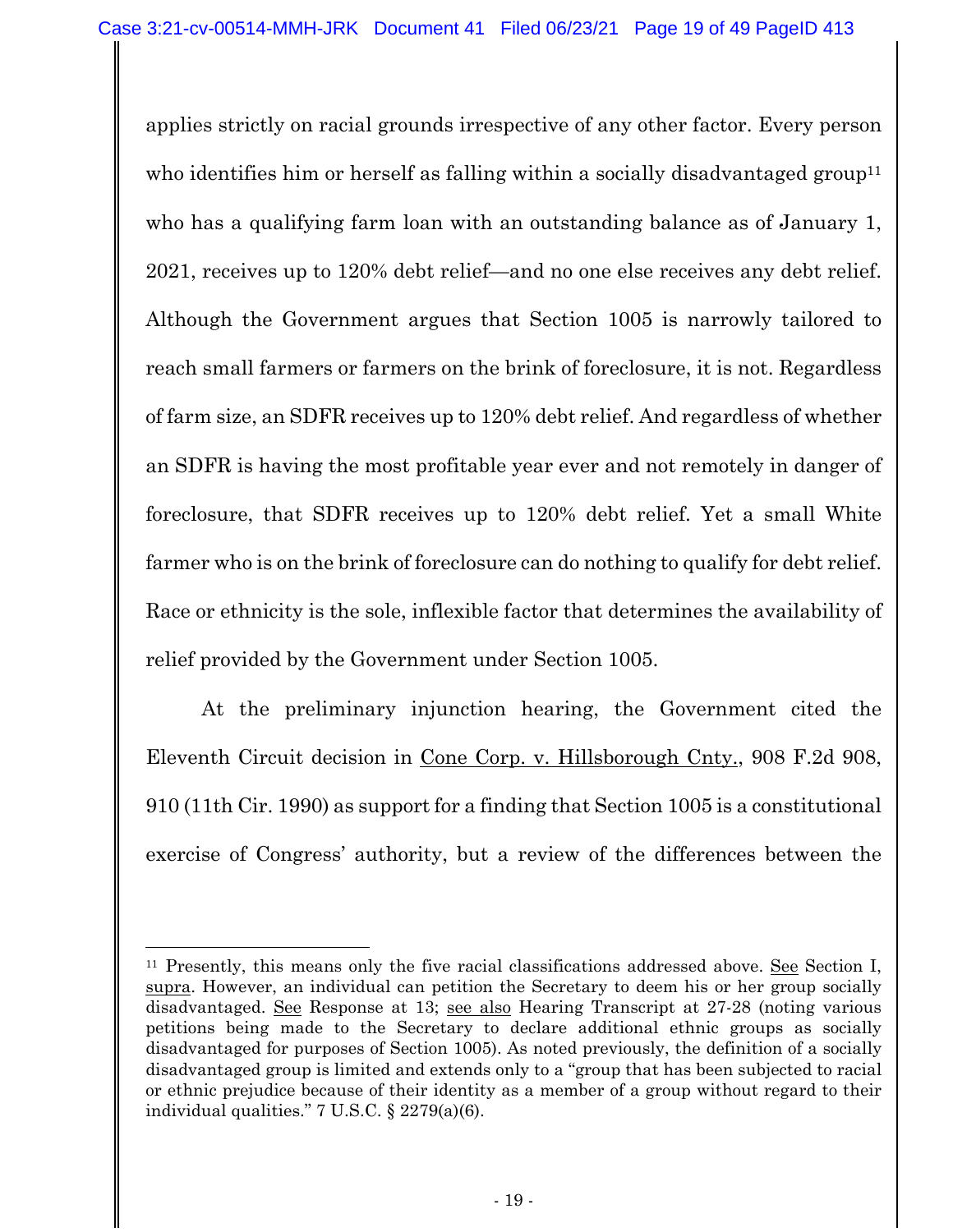applies strictly on racial grounds irrespective of any other factor. Every person who identifies him or herself as falling within a socially disadvantaged group<sup>11</sup> who has a qualifying farm loan with an outstanding balance as of January 1, 2021, receives up to 120% debt relief—and no one else receives any debt relief. Although the Government argues that Section 1005 is narrowly tailored to reach small farmers or farmers on the brink of foreclosure, it is not. Regardless of farm size, an SDFR receives up to 120% debt relief. And regardless of whether an SDFR is having the most profitable year ever and not remotely in danger of foreclosure, that SDFR receives up to 120% debt relief. Yet a small White farmer who is on the brink of foreclosure can do nothing to qualify for debt relief. Race or ethnicity is the sole, inflexible factor that determines the availability of relief provided by the Government under Section 1005.

At the preliminary injunction hearing, the Government cited the Eleventh Circuit decision in Cone Corp. v. Hillsborough Cnty., 908 F.2d 908, 910 (11th Cir. 1990) as support for a finding that Section 1005 is a constitutional exercise of Congress' authority, but a review of the differences between the

 $11$  Presently, this means only the five racial classifications addressed above. See Section I, supra. However, an individual can petition the Secretary to deem his or her group socially disadvantaged. See Response at 13; see also Hearing Transcript at 27-28 (noting various petitions being made to the Secretary to declare additional ethnic groups as socially disadvantaged for purposes of Section 1005). As noted previously, the definition of a socially disadvantaged group is limited and extends only to a "group that has been subjected to racial or ethnic prejudice because of their identity as a member of a group without regard to their individual qualities." 7 U.S.C. § 2279(a)(6).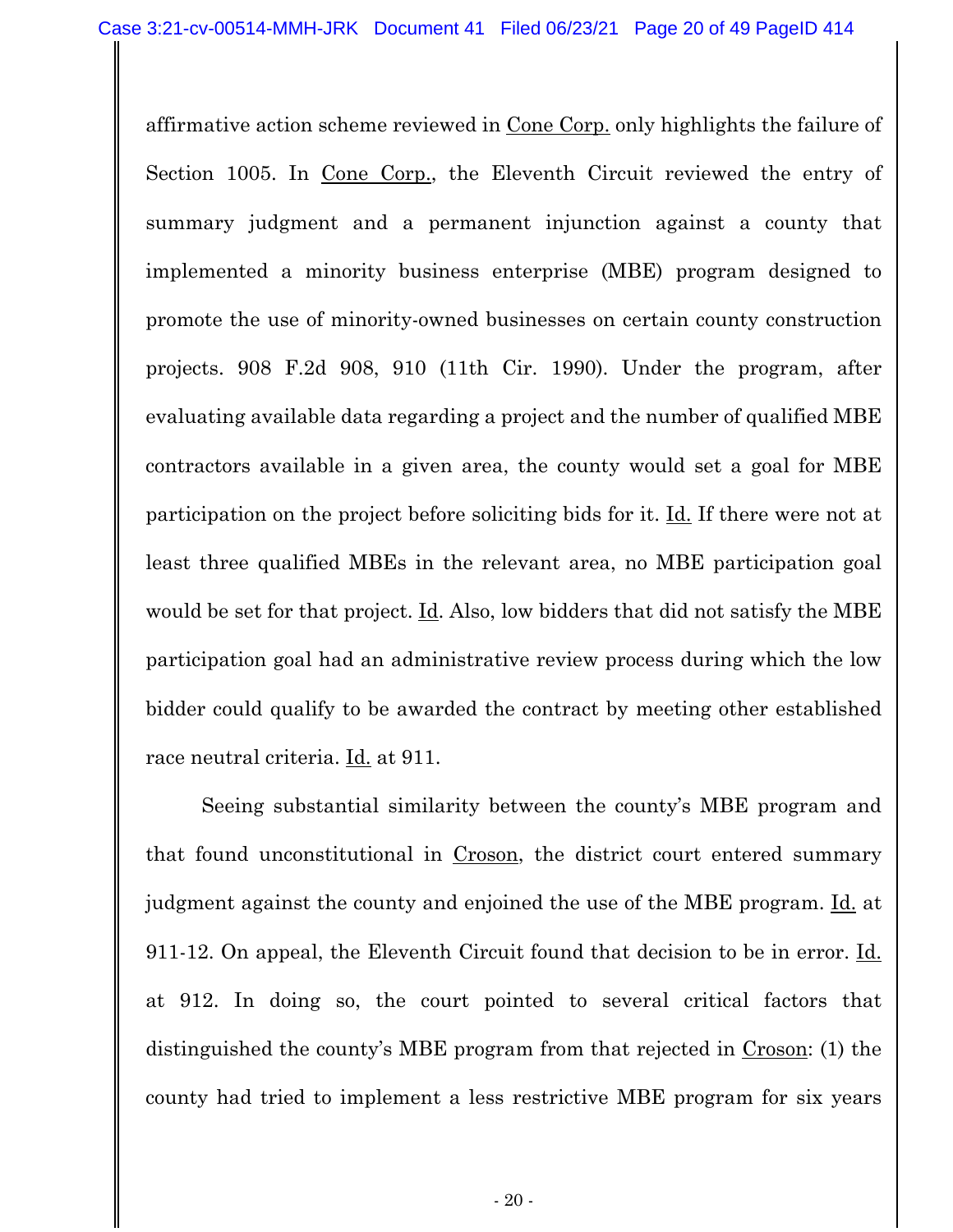affirmative action scheme reviewed in Cone Corp. only highlights the failure of Section 1005. In Cone Corp., the Eleventh Circuit reviewed the entry of summary judgment and a permanent injunction against a county that implemented a minority business enterprise (MBE) program designed to promote the use of minority-owned businesses on certain county construction projects. 908 F.2d 908, 910 (11th Cir. 1990). Under the program, after evaluating available data regarding a project and the number of qualified MBE contractors available in a given area, the county would set a goal for MBE participation on the project before soliciting bids for it. Id. If there were not at least three qualified MBEs in the relevant area, no MBE participation goal would be set for that project. Id. Also, low bidders that did not satisfy the MBE participation goal had an administrative review process during which the low bidder could qualify to be awarded the contract by meeting other established race neutral criteria. <u>Id.</u> at 911.

Seeing substantial similarity between the county's MBE program and that found unconstitutional in Croson, the district court entered summary judgment against the county and enjoined the use of the MBE program. Id. at 911-12. On appeal, the Eleventh Circuit found that decision to be in error. Id. at 912. In doing so, the court pointed to several critical factors that distinguished the county's MBE program from that rejected in Croson: (1) the county had tried to implement a less restrictive MBE program for six years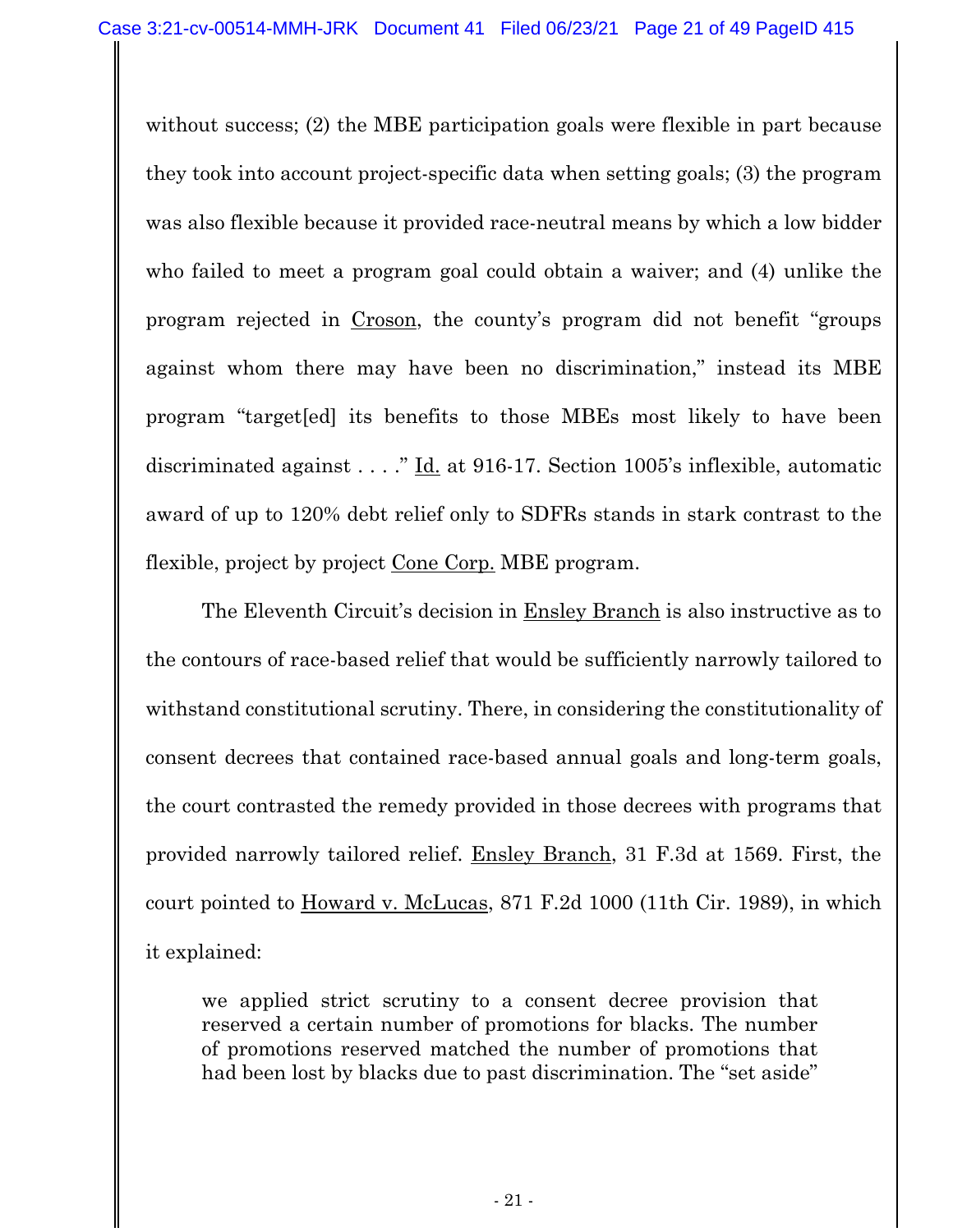without success; (2) the MBE participation goals were flexible in part because they took into account project-specific data when setting goals; (3) the program was also flexible because it provided race-neutral means by which a low bidder who failed to meet a program goal could obtain a waiver; and (4) unlike the program rejected in Croson, the county's program did not benefit "groups against whom there may have been no discrimination," instead its MBE program "target[ed] its benefits to those MBEs most likely to have been discriminated against . . . ." Id. at 916-17. Section 1005's inflexible, automatic award of up to 120% debt relief only to SDFRs stands in stark contrast to the flexible, project by project Cone Corp. MBE program.

The Eleventh Circuit's decision in Ensley Branch is also instructive as to the contours of race-based relief that would be sufficiently narrowly tailored to withstand constitutional scrutiny. There, in considering the constitutionality of consent decrees that contained race-based annual goals and long-term goals, the court contrasted the remedy provided in those decrees with programs that provided narrowly tailored relief. Ensley Branch, 31 F.3d at 1569. First, the court pointed to Howard v. McLucas, 871 F.2d 1000 (11th Cir. 1989), in which it explained:

we applied strict scrutiny to a consent decree provision that reserved a certain number of promotions for blacks. The number of promotions reserved matched the number of promotions that had been lost by blacks due to past discrimination. The "set aside"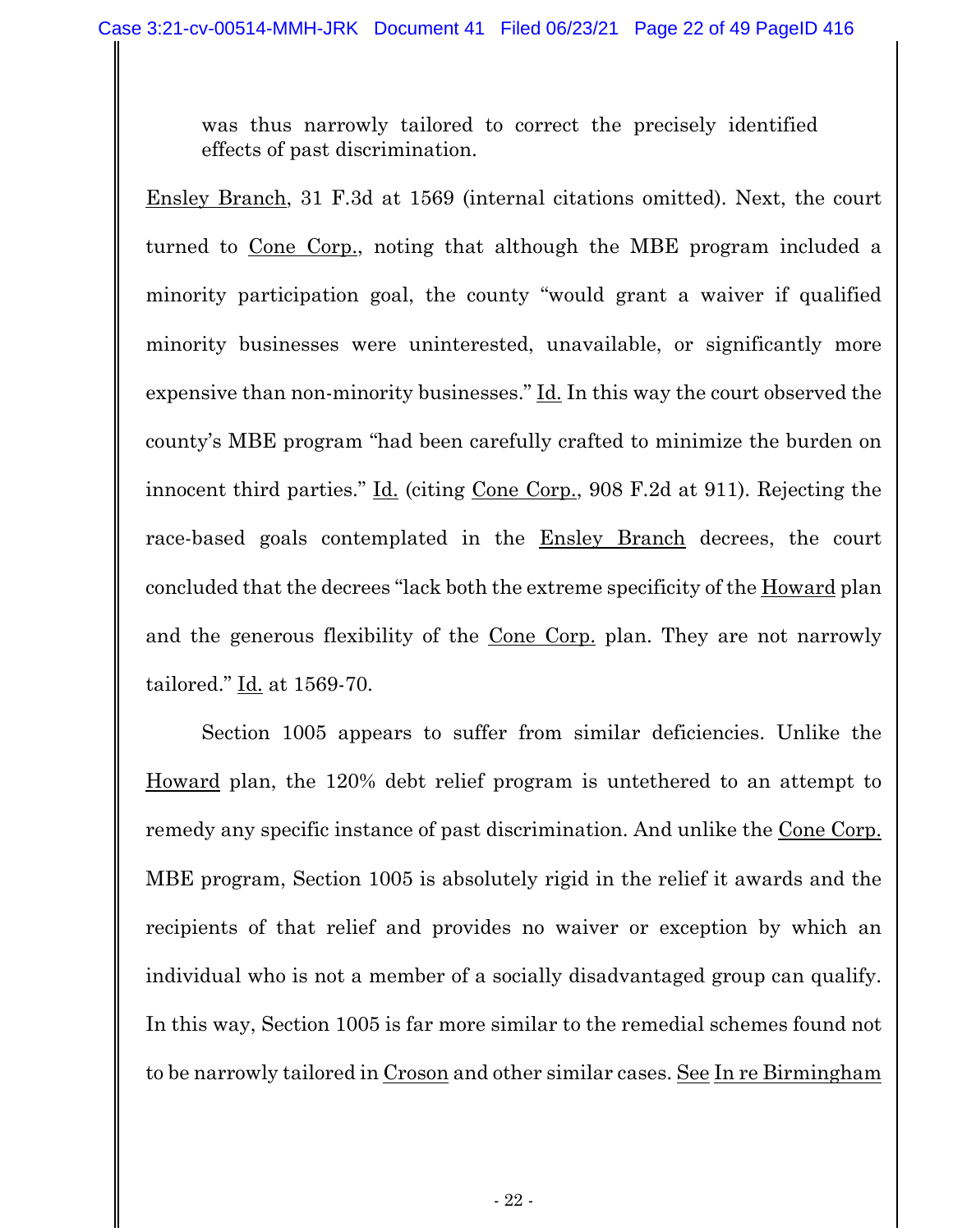was thus narrowly tailored to correct the precisely identified effects of past discrimination.

Ensley Branch, 31 F.3d at 1569 (internal citations omitted). Next, the court turned to Cone Corp., noting that although the MBE program included a minority participation goal, the county "would grant a waiver if qualified minority businesses were uninterested, unavailable, or significantly more expensive than non-minority businesses." Id. In this way the court observed the county's MBE program "had been carefully crafted to minimize the burden on innocent third parties." Id. (citing Cone Corp., 908 F.2d at 911). Rejecting the race-based goals contemplated in the Ensley Branch decrees, the court concluded that the decrees "lack both the extreme specificity of the Howard plan and the generous flexibility of the Cone Corp. plan. They are not narrowly tailored." Id. at 1569-70.

Section 1005 appears to suffer from similar deficiencies. Unlike the Howard plan, the 120% debt relief program is untethered to an attempt to remedy any specific instance of past discrimination. And unlike the Cone Corp. MBE program, Section 1005 is absolutely rigid in the relief it awards and the recipients of that relief and provides no waiver or exception by which an individual who is not a member of a socially disadvantaged group can qualify. In this way, Section 1005 is far more similar to the remedial schemes found not to be narrowly tailored in Croson and other similar cases. See In re Birmingham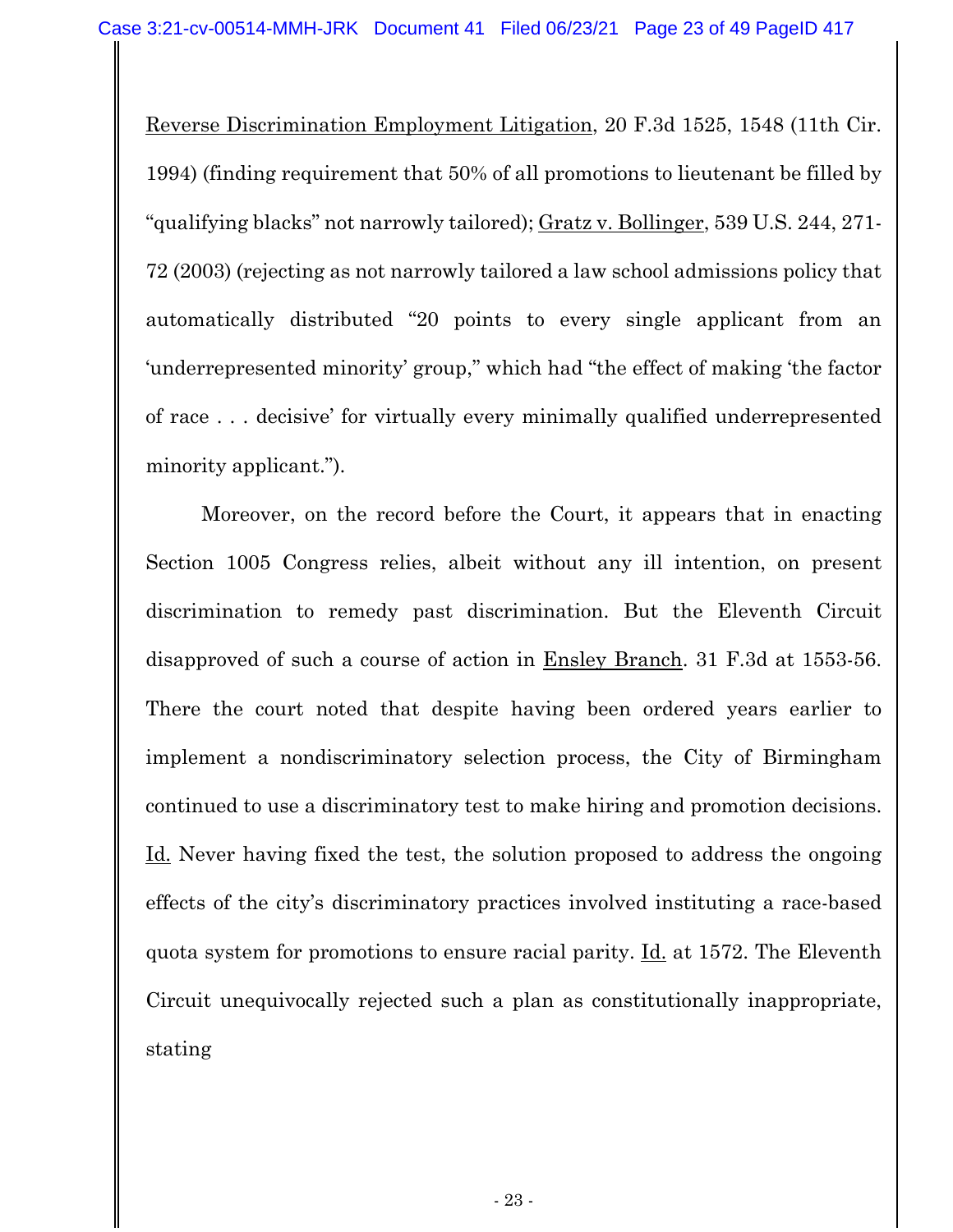Reverse Discrimination Employment Litigation, 20 F.3d 1525, 1548 (11th Cir. 1994) (finding requirement that 50% of all promotions to lieutenant be filled by "qualifying blacks" not narrowly tailored); Gratz v. Bollinger, 539 U.S. 244, 271- 72 (2003) (rejecting as not narrowly tailored a law school admissions policy that automatically distributed "20 points to every single applicant from an 'underrepresented minority' group," which had "the effect of making 'the factor of race . . . decisive' for virtually every minimally qualified underrepresented minority applicant.").

Moreover, on the record before the Court, it appears that in enacting Section 1005 Congress relies, albeit without any ill intention, on present discrimination to remedy past discrimination. But the Eleventh Circuit disapproved of such a course of action in Ensley Branch. 31 F.3d at 1553-56. There the court noted that despite having been ordered years earlier to implement a nondiscriminatory selection process, the City of Birmingham continued to use a discriminatory test to make hiring and promotion decisions. Id. Never having fixed the test, the solution proposed to address the ongoing effects of the city's discriminatory practices involved instituting a race-based quota system for promotions to ensure racial parity. Id. at 1572. The Eleventh Circuit unequivocally rejected such a plan as constitutionally inappropriate, stating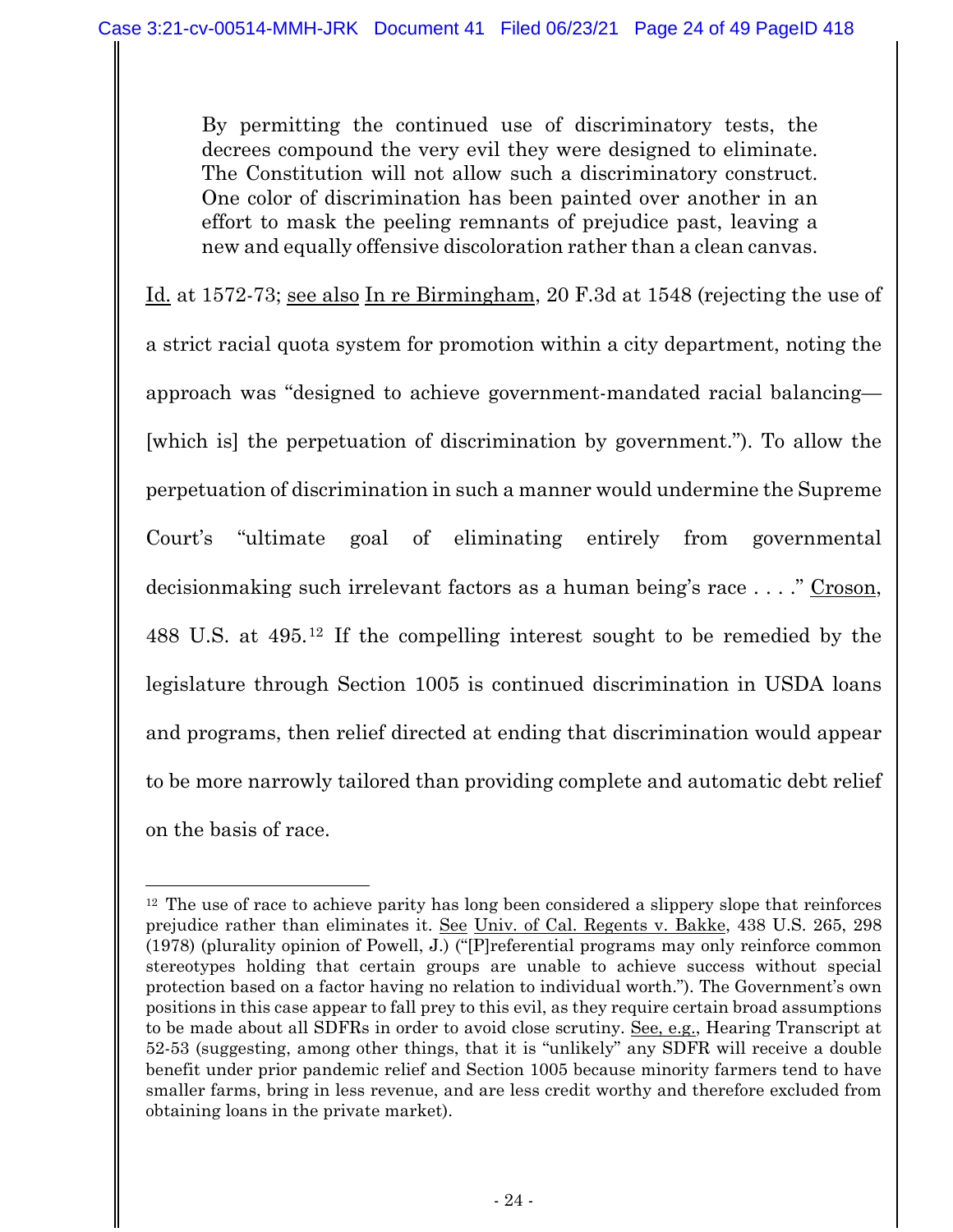By permitting the continued use of discriminatory tests, the decrees compound the very evil they were designed to eliminate. The Constitution will not allow such a discriminatory construct. One color of discrimination has been painted over another in an effort to mask the peeling remnants of prejudice past, leaving a new and equally offensive discoloration rather than a clean canvas.

Id. at 1572-73; see also In re Birmingham, 20 F.3d at 1548 (rejecting the use of a strict racial quota system for promotion within a city department, noting the approach was "designed to achieve government-mandated racial balancing— [which is] the perpetuation of discrimination by government."). To allow the perpetuation of discrimination in such a manner would undermine the Supreme Court's "ultimate goal of eliminating entirely from governmental decisionmaking such irrelevant factors as a human being's race . . . ." Croson, 488 U.S. at 495.12 If the compelling interest sought to be remedied by the legislature through Section 1005 is continued discrimination in USDA loans and programs, then relief directed at ending that discrimination would appear to be more narrowly tailored than providing complete and automatic debt relief on the basis of race.

 $12$  The use of race to achieve parity has long been considered a slippery slope that reinforces prejudice rather than eliminates it. See Univ. of Cal. Regents v. Bakke, 438 U.S. 265, 298 (1978) (plurality opinion of Powell, J.) ("[P]referential programs may only reinforce common stereotypes holding that certain groups are unable to achieve success without special protection based on a factor having no relation to individual worth."). The Government's own positions in this case appear to fall prey to this evil, as they require certain broad assumptions to be made about all SDFRs in order to avoid close scrutiny. See, e.g., Hearing Transcript at 52-53 (suggesting, among other things, that it is "unlikely" any SDFR will receive a double benefit under prior pandemic relief and Section 1005 because minority farmers tend to have smaller farms, bring in less revenue, and are less credit worthy and therefore excluded from obtaining loans in the private market).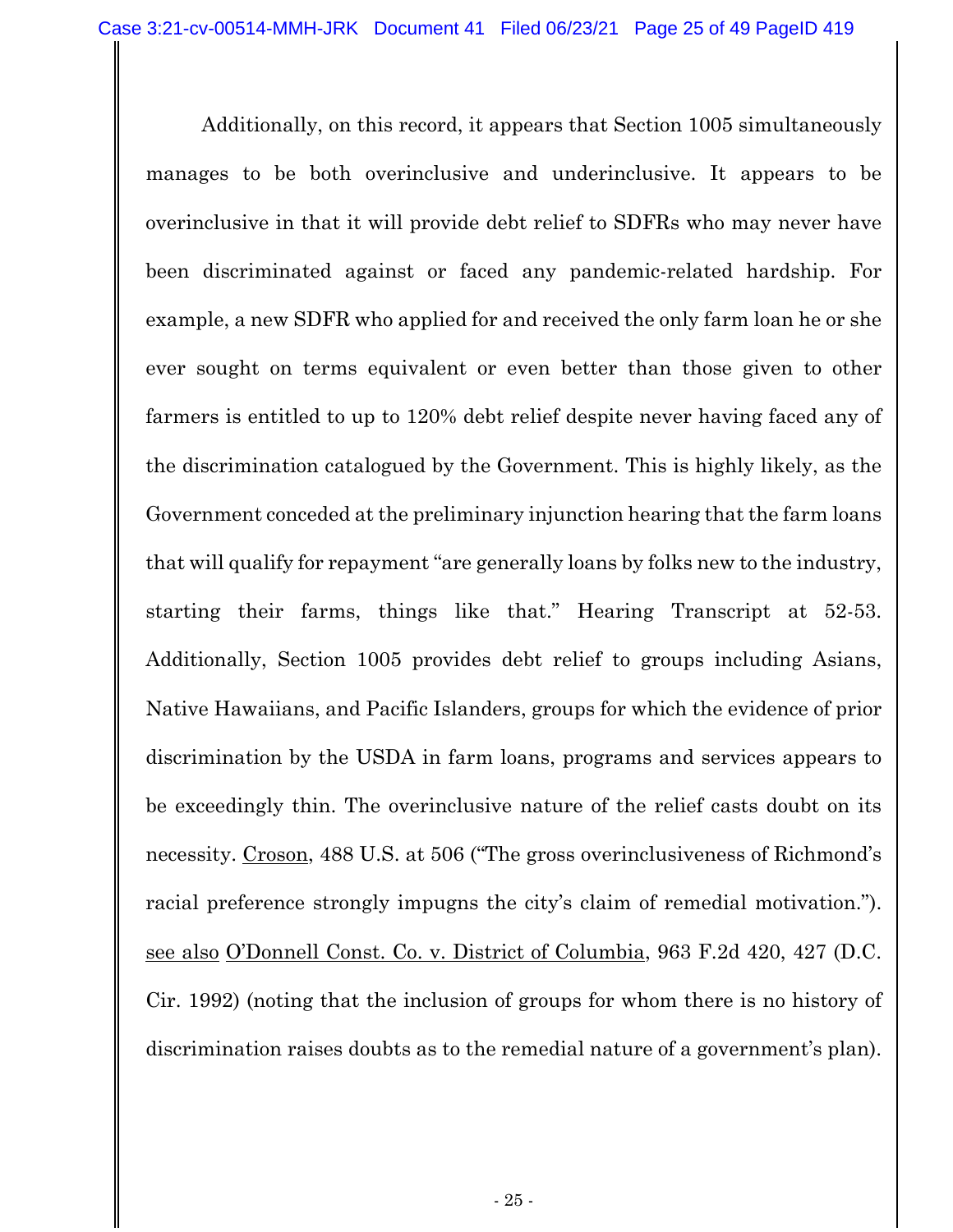Additionally, on this record, it appears that Section 1005 simultaneously manages to be both overinclusive and underinclusive. It appears to be overinclusive in that it will provide debt relief to SDFRs who may never have been discriminated against or faced any pandemic-related hardship. For example, a new SDFR who applied for and received the only farm loan he or she ever sought on terms equivalent or even better than those given to other farmers is entitled to up to 120% debt relief despite never having faced any of the discrimination catalogued by the Government. This is highly likely, as the Government conceded at the preliminary injunction hearing that the farm loans that will qualify for repayment "are generally loans by folks new to the industry, starting their farms, things like that." Hearing Transcript at 52-53. Additionally, Section 1005 provides debt relief to groups including Asians, Native Hawaiians, and Pacific Islanders, groups for which the evidence of prior discrimination by the USDA in farm loans, programs and services appears to be exceedingly thin. The overinclusive nature of the relief casts doubt on its necessity. Croson, 488 U.S. at 506 ("The gross overinclusiveness of Richmond's racial preference strongly impugns the city's claim of remedial motivation."). see also O'Donnell Const. Co. v. District of Columbia, 963 F.2d 420, 427 (D.C. Cir. 1992) (noting that the inclusion of groups for whom there is no history of discrimination raises doubts as to the remedial nature of a government's plan).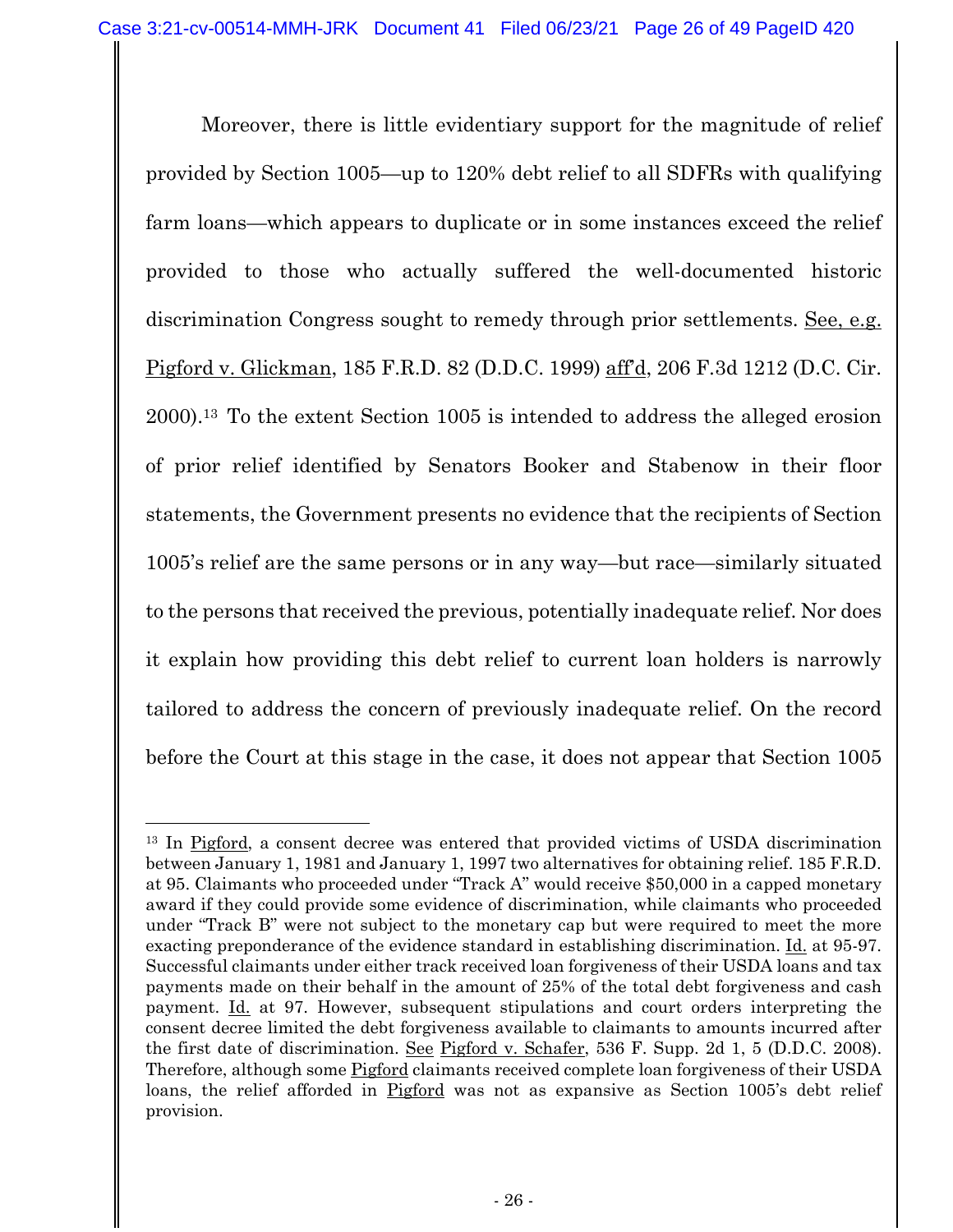Moreover, there is little evidentiary support for the magnitude of relief provided by Section 1005—up to 120% debt relief to all SDFRs with qualifying farm loans—which appears to duplicate or in some instances exceed the relief provided to those who actually suffered the well-documented historic discrimination Congress sought to remedy through prior settlements. See, e.g. Pigford v. Glickman, 185 F.R.D. 82 (D.D.C. 1999) aff'd, 206 F.3d 1212 (D.C. Cir. 2000).13 To the extent Section 1005 is intended to address the alleged erosion of prior relief identified by Senators Booker and Stabenow in their floor statements, the Government presents no evidence that the recipients of Section 1005's relief are the same persons or in any way—but race—similarly situated to the persons that received the previous, potentially inadequate relief. Nor does it explain how providing this debt relief to current loan holders is narrowly tailored to address the concern of previously inadequate relief. On the record before the Court at this stage in the case, it does not appear that Section 1005

<sup>13</sup> In Pigford, a consent decree was entered that provided victims of USDA discrimination between January 1, 1981 and January 1, 1997 two alternatives for obtaining relief. 185 F.R.D. at 95. Claimants who proceeded under "Track A" would receive \$50,000 in a capped monetary award if they could provide some evidence of discrimination, while claimants who proceeded under "Track B" were not subject to the monetary cap but were required to meet the more exacting preponderance of the evidence standard in establishing discrimination. Id. at 95-97. Successful claimants under either track received loan forgiveness of their USDA loans and tax payments made on their behalf in the amount of 25% of the total debt forgiveness and cash payment. Id. at 97. However, subsequent stipulations and court orders interpreting the consent decree limited the debt forgiveness available to claimants to amounts incurred after the first date of discrimination. See Pigford v. Schafer, 536 F. Supp. 2d 1, 5 (D.D.C. 2008). Therefore, although some **Pigford** claimants received complete loan forgiveness of their USDA loans, the relief afforded in Pigford was not as expansive as Section 1005's debt relief provision.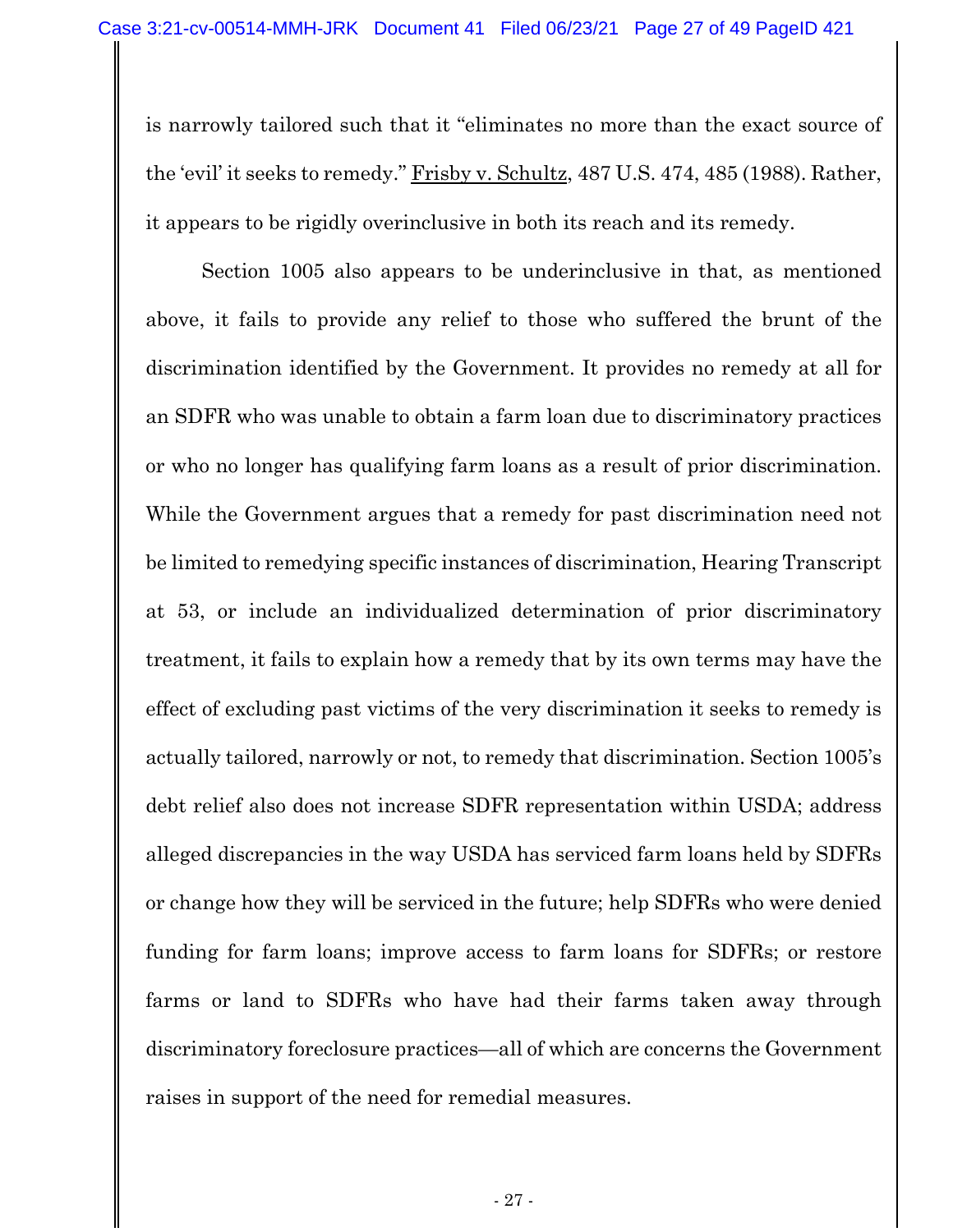is narrowly tailored such that it "eliminates no more than the exact source of the 'evil' it seeks to remedy." Frisby v. Schultz, 487 U.S. 474, 485 (1988). Rather, it appears to be rigidly overinclusive in both its reach and its remedy.

Section 1005 also appears to be underinclusive in that, as mentioned above, it fails to provide any relief to those who suffered the brunt of the discrimination identified by the Government. It provides no remedy at all for an SDFR who was unable to obtain a farm loan due to discriminatory practices or who no longer has qualifying farm loans as a result of prior discrimination. While the Government argues that a remedy for past discrimination need not be limited to remedying specific instances of discrimination, Hearing Transcript at 53, or include an individualized determination of prior discriminatory treatment, it fails to explain how a remedy that by its own terms may have the effect of excluding past victims of the very discrimination it seeks to remedy is actually tailored, narrowly or not, to remedy that discrimination. Section 1005's debt relief also does not increase SDFR representation within USDA; address alleged discrepancies in the way USDA has serviced farm loans held by SDFRs or change how they will be serviced in the future; help SDFRs who were denied funding for farm loans; improve access to farm loans for SDFRs; or restore farms or land to SDFRs who have had their farms taken away through discriminatory foreclosure practices—all of which are concerns the Government raises in support of the need for remedial measures.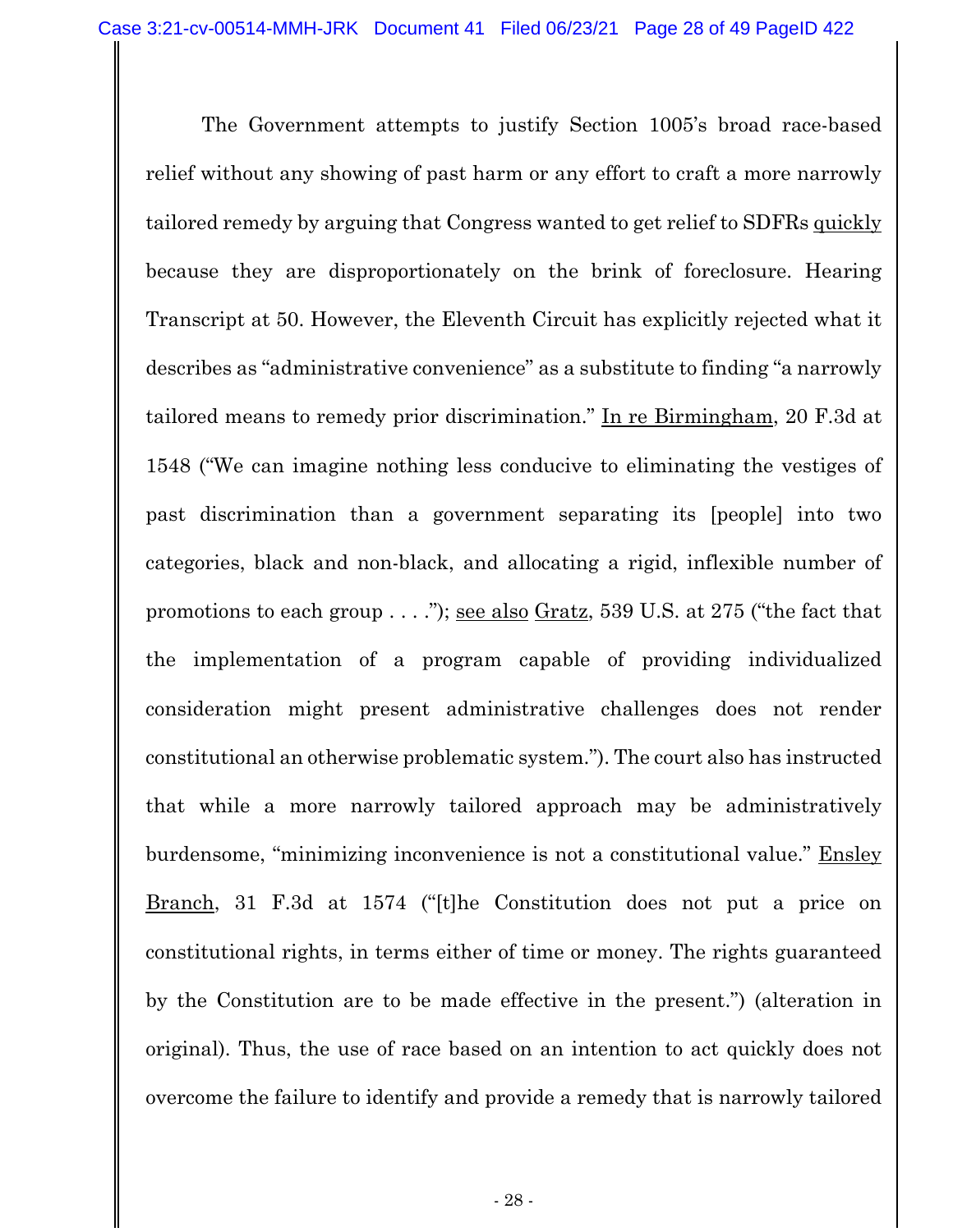The Government attempts to justify Section 1005's broad race-based relief without any showing of past harm or any effort to craft a more narrowly tailored remedy by arguing that Congress wanted to get relief to SDFRs quickly because they are disproportionately on the brink of foreclosure. Hearing Transcript at 50. However, the Eleventh Circuit has explicitly rejected what it describes as "administrative convenience" as a substitute to finding "a narrowly tailored means to remedy prior discrimination." In re Birmingham, 20 F.3d at 1548 ("We can imagine nothing less conducive to eliminating the vestiges of past discrimination than a government separating its [people] into two categories, black and non-black, and allocating a rigid, inflexible number of promotions to each group  $\dots$ "); <u>see also Gratz</u>, 539 U.S. at 275 ("the fact that the implementation of a program capable of providing individualized consideration might present administrative challenges does not render constitutional an otherwise problematic system."). The court also has instructed that while a more narrowly tailored approach may be administratively burdensome, "minimizing inconvenience is not a constitutional value." Ensley Branch, 31 F.3d at 1574 ("[t]he Constitution does not put a price on constitutional rights, in terms either of time or money. The rights guaranteed by the Constitution are to be made effective in the present.") (alteration in original). Thus, the use of race based on an intention to act quickly does not overcome the failure to identify and provide a remedy that is narrowly tailored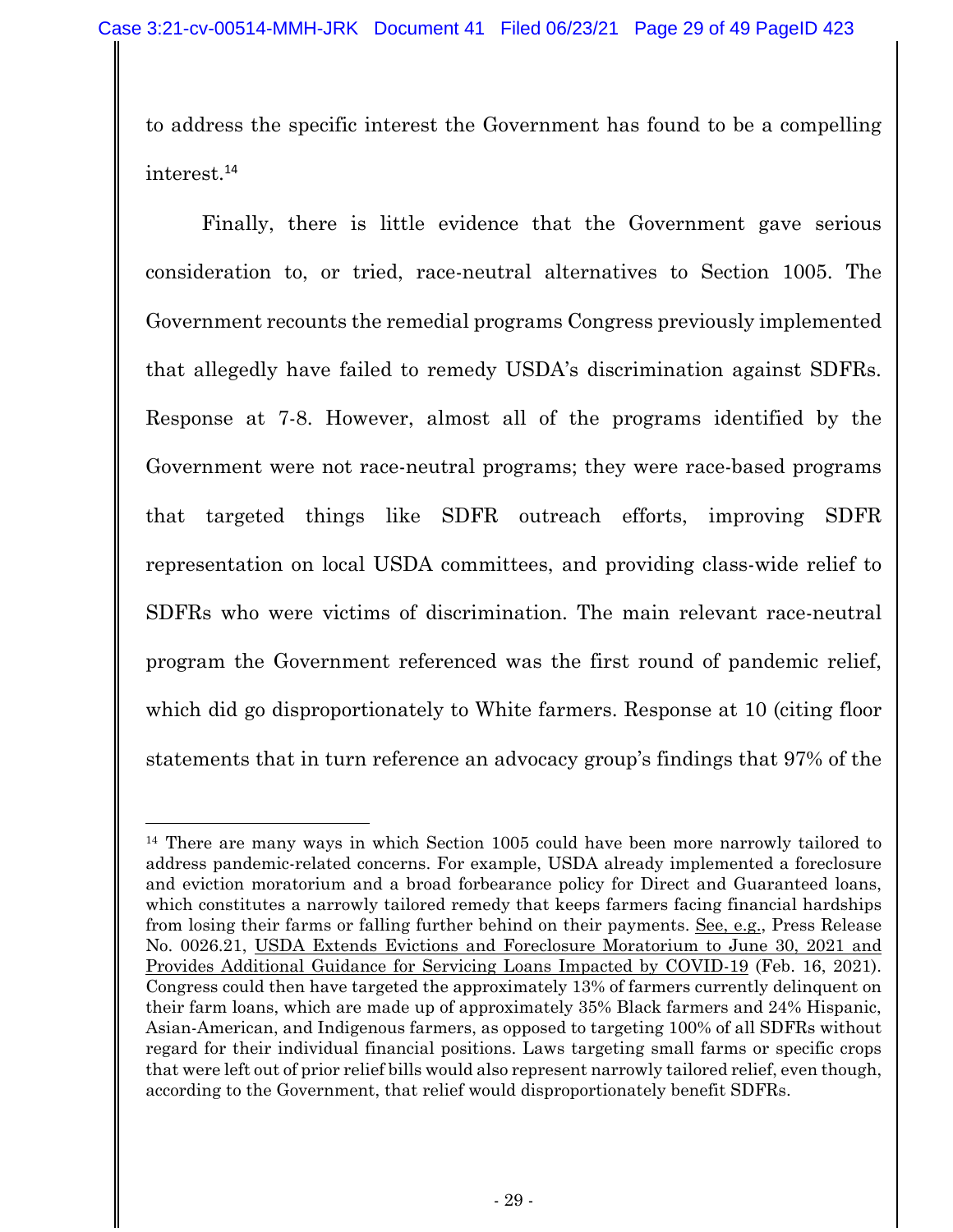to address the specific interest the Government has found to be a compelling interest.<sup>14</sup>

Finally, there is little evidence that the Government gave serious consideration to, or tried, race-neutral alternatives to Section 1005. The Government recounts the remedial programs Congress previously implemented that allegedly have failed to remedy USDA's discrimination against SDFRs. Response at 7-8. However, almost all of the programs identified by the Government were not race-neutral programs; they were race-based programs that targeted things like SDFR outreach efforts, improving SDFR representation on local USDA committees, and providing class-wide relief to SDFRs who were victims of discrimination. The main relevant race-neutral program the Government referenced was the first round of pandemic relief, which did go disproportionately to White farmers. Response at 10 (citing floor statements that in turn reference an advocacy group's findings that 97% of the

<sup>&</sup>lt;sup>14</sup> There are many ways in which Section 1005 could have been more narrowly tailored to address pandemic-related concerns. For example, USDA already implemented a foreclosure and eviction moratorium and a broad forbearance policy for Direct and Guaranteed loans, which constitutes a narrowly tailored remedy that keeps farmers facing financial hardships from losing their farms or falling further behind on their payments. See, e.g., Press Release No. 0026.21, USDA Extends Evictions and Foreclosure Moratorium to June 30, 2021 and Provides Additional Guidance for Servicing Loans Impacted by COVID-19 (Feb. 16, 2021). Congress could then have targeted the approximately 13% of farmers currently delinquent on their farm loans, which are made up of approximately 35% Black farmers and 24% Hispanic, Asian-American, and Indigenous farmers, as opposed to targeting 100% of all SDFRs without regard for their individual financial positions. Laws targeting small farms or specific crops that were left out of prior relief bills would also represent narrowly tailored relief, even though, according to the Government, that relief would disproportionately benefit SDFRs.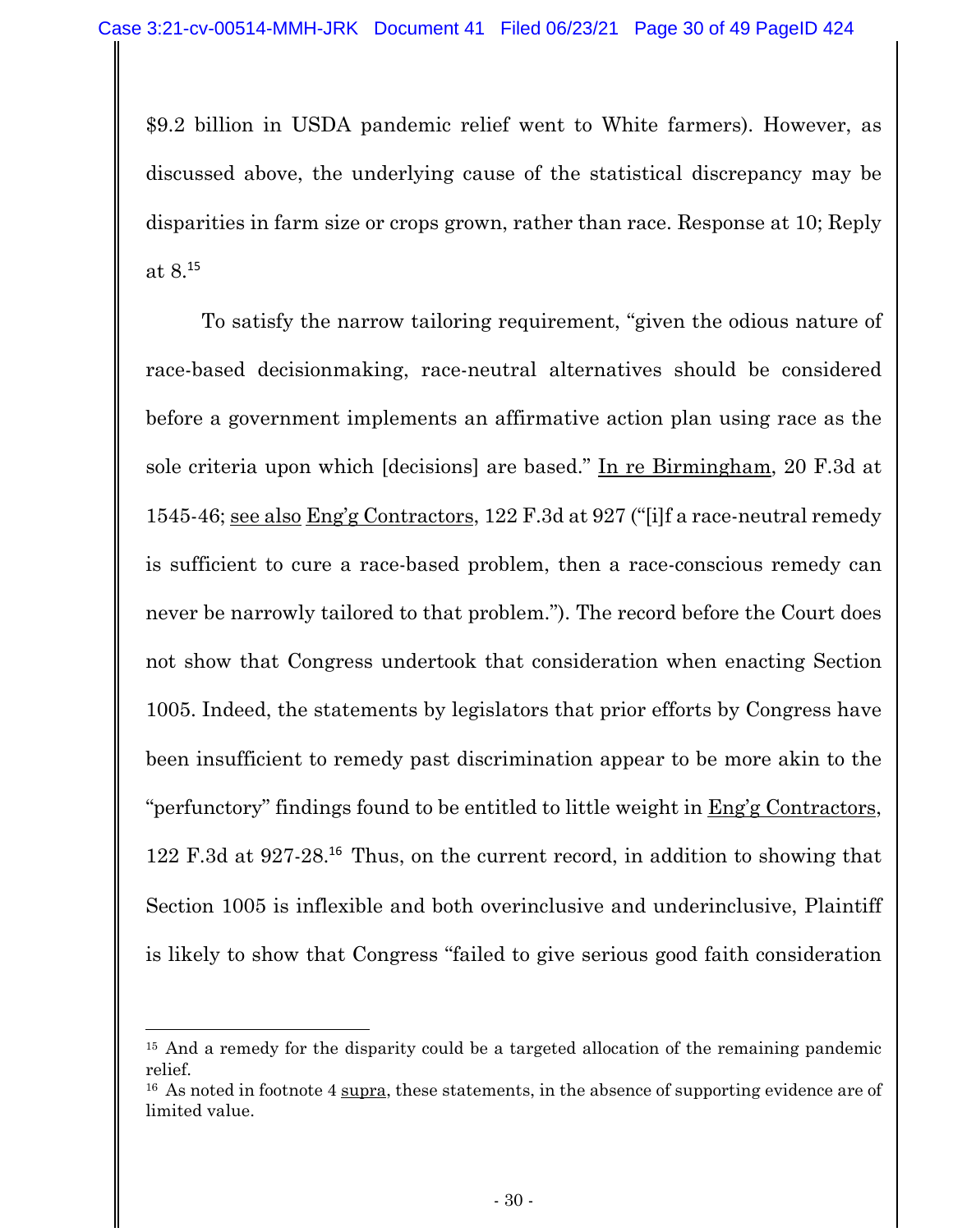\$9.2 billion in USDA pandemic relief went to White farmers). However, as discussed above, the underlying cause of the statistical discrepancy may be disparities in farm size or crops grown, rather than race. Response at 10; Reply at 8.<sup>15</sup>

To satisfy the narrow tailoring requirement, "given the odious nature of race-based decisionmaking, race-neutral alternatives should be considered before a government implements an affirmative action plan using race as the sole criteria upon which [decisions] are based." In re Birmingham, 20 F.3d at 1545-46; see also Eng'g Contractors, 122 F.3d at 927 ("[i]f a race-neutral remedy is sufficient to cure a race-based problem, then a race-conscious remedy can never be narrowly tailored to that problem."). The record before the Court does not show that Congress undertook that consideration when enacting Section 1005. Indeed, the statements by legislators that prior efforts by Congress have been insufficient to remedy past discrimination appear to be more akin to the "perfunctory" findings found to be entitled to little weight in Eng'g Contractors, 122 F.3d at 927-28.<sup>16</sup> Thus, on the current record, in addition to showing that Section 1005 is inflexible and both overinclusive and underinclusive, Plaintiff is likely to show that Congress "failed to give serious good faith consideration

<sup>&</sup>lt;sup>15</sup> And a remedy for the disparity could be a targeted allocation of the remaining pandemic relief.

<sup>&</sup>lt;sup>16</sup> As noted in footnote 4 supra, these statements, in the absence of supporting evidence are of limited value.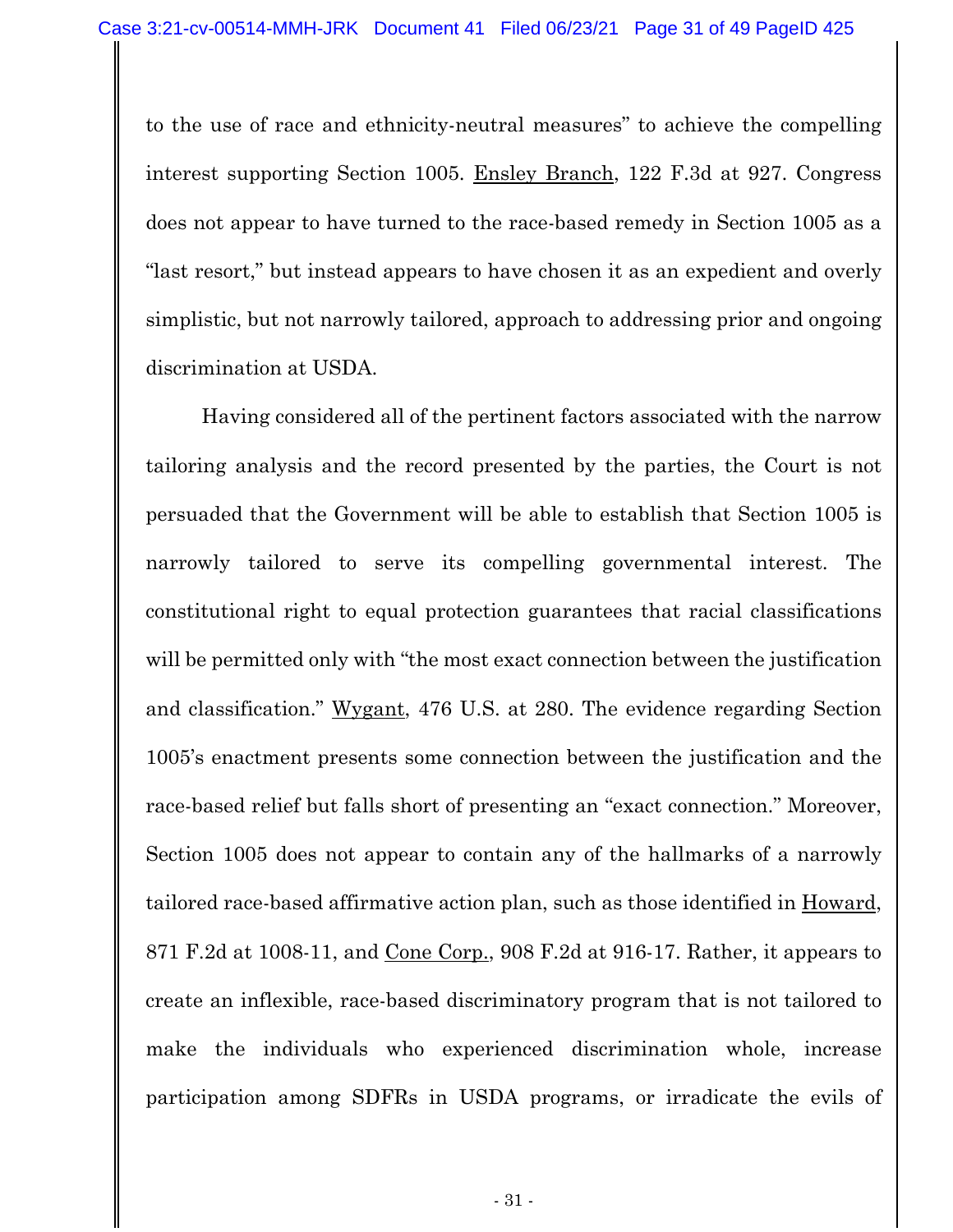to the use of race and ethnicity-neutral measures" to achieve the compelling interest supporting Section 1005. Ensley Branch, 122 F.3d at 927. Congress does not appear to have turned to the race-based remedy in Section 1005 as a "last resort," but instead appears to have chosen it as an expedient and overly simplistic, but not narrowly tailored, approach to addressing prior and ongoing discrimination at USDA.

Having considered all of the pertinent factors associated with the narrow tailoring analysis and the record presented by the parties, the Court is not persuaded that the Government will be able to establish that Section 1005 is narrowly tailored to serve its compelling governmental interest. The constitutional right to equal protection guarantees that racial classifications will be permitted only with "the most exact connection between the justification" and classification." Wygant, 476 U.S. at 280. The evidence regarding Section 1005's enactment presents some connection between the justification and the race-based relief but falls short of presenting an "exact connection." Moreover, Section 1005 does not appear to contain any of the hallmarks of a narrowly tailored race-based affirmative action plan, such as those identified in Howard, 871 F.2d at 1008-11, and Cone Corp., 908 F.2d at 916-17. Rather, it appears to create an inflexible, race-based discriminatory program that is not tailored to make the individuals who experienced discrimination whole, increase participation among SDFRs in USDA programs, or irradicate the evils of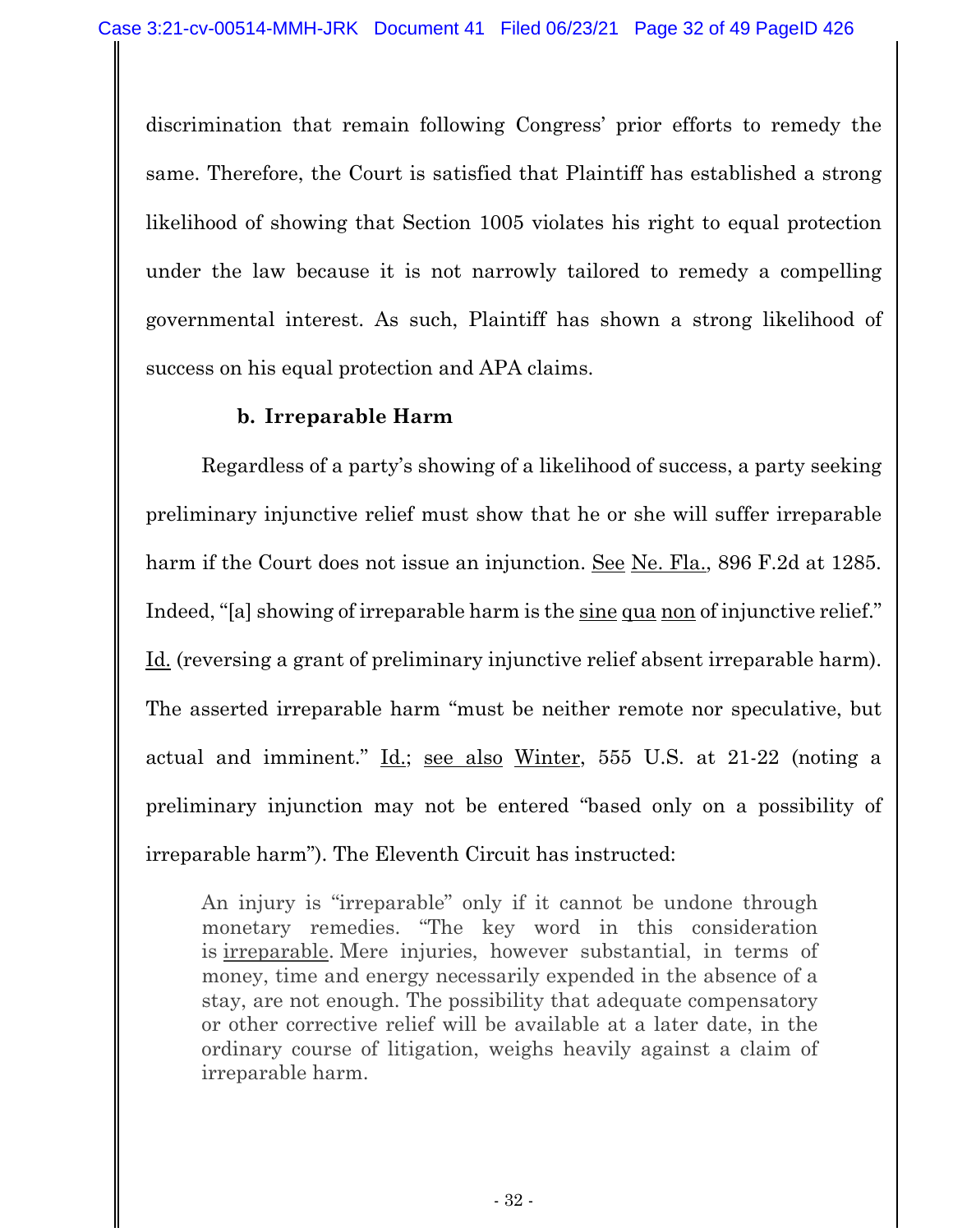discrimination that remain following Congress' prior efforts to remedy the same. Therefore, the Court is satisfied that Plaintiff has established a strong likelihood of showing that Section 1005 violates his right to equal protection under the law because it is not narrowly tailored to remedy a compelling governmental interest. As such, Plaintiff has shown a strong likelihood of success on his equal protection and APA claims.

### **b. Irreparable Harm**

Regardless of a party's showing of a likelihood of success, a party seeking preliminary injunctive relief must show that he or she will suffer irreparable harm if the Court does not issue an injunction. See Ne. Fla., 896 F.2d at 1285. Indeed, "[a] showing of irreparable harm is the sine qua non of injunctive relief." Id. (reversing a grant of preliminary injunctive relief absent irreparable harm). The asserted irreparable harm "must be neither remote nor speculative, but actual and imminent." Id.; see also Winter, 555 U.S. at 21-22 (noting a preliminary injunction may not be entered "based only on a possibility of irreparable harm"). The Eleventh Circuit has instructed:

An injury is "irreparable" only if it cannot be undone through monetary remedies. "The key word in this consideration is irreparable. Mere injuries, however substantial, in terms of money, time and energy necessarily expended in the absence of a stay, are not enough. The possibility that adequate compensatory or other corrective relief will be available at a later date, in the ordinary course of litigation, weighs heavily against a claim of irreparable harm.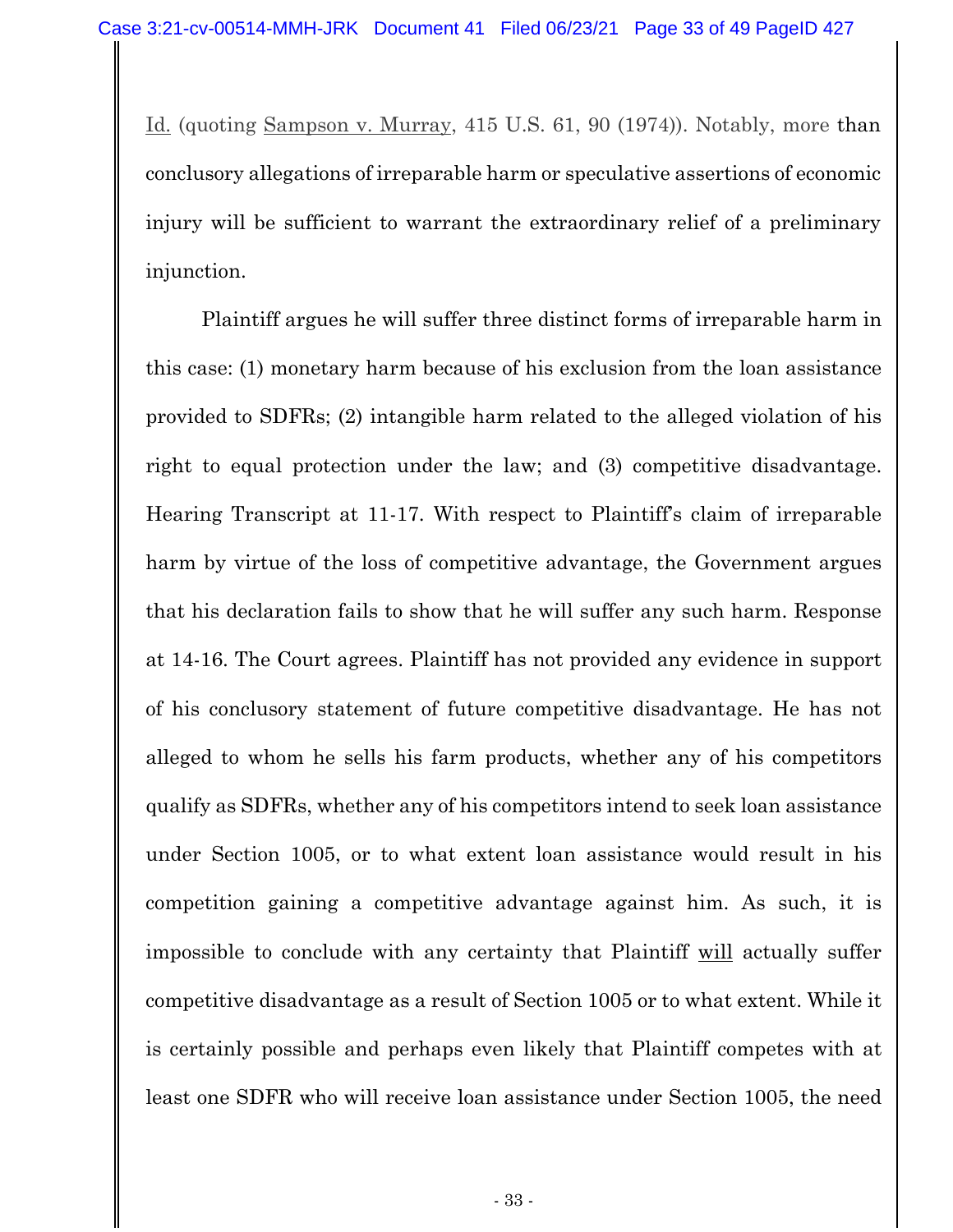Id. (quoting Sampson v. Murray, 415 U.S. 61, 90 (1974)). Notably, more than conclusory allegations of irreparable harm or speculative assertions of economic injury will be sufficient to warrant the extraordinary relief of a preliminary injunction.

Plaintiff argues he will suffer three distinct forms of irreparable harm in this case: (1) monetary harm because of his exclusion from the loan assistance provided to SDFRs; (2) intangible harm related to the alleged violation of his right to equal protection under the law; and (3) competitive disadvantage. Hearing Transcript at 11-17. With respect to Plaintiff's claim of irreparable harm by virtue of the loss of competitive advantage, the Government argues that his declaration fails to show that he will suffer any such harm. Response at 14-16. The Court agrees. Plaintiff has not provided any evidence in support of his conclusory statement of future competitive disadvantage. He has not alleged to whom he sells his farm products, whether any of his competitors qualify as SDFRs, whether any of his competitors intend to seek loan assistance under Section 1005, or to what extent loan assistance would result in his competition gaining a competitive advantage against him. As such, it is impossible to conclude with any certainty that Plaintiff will actually suffer competitive disadvantage as a result of Section 1005 or to what extent. While it is certainly possible and perhaps even likely that Plaintiff competes with at least one SDFR who will receive loan assistance under Section 1005, the need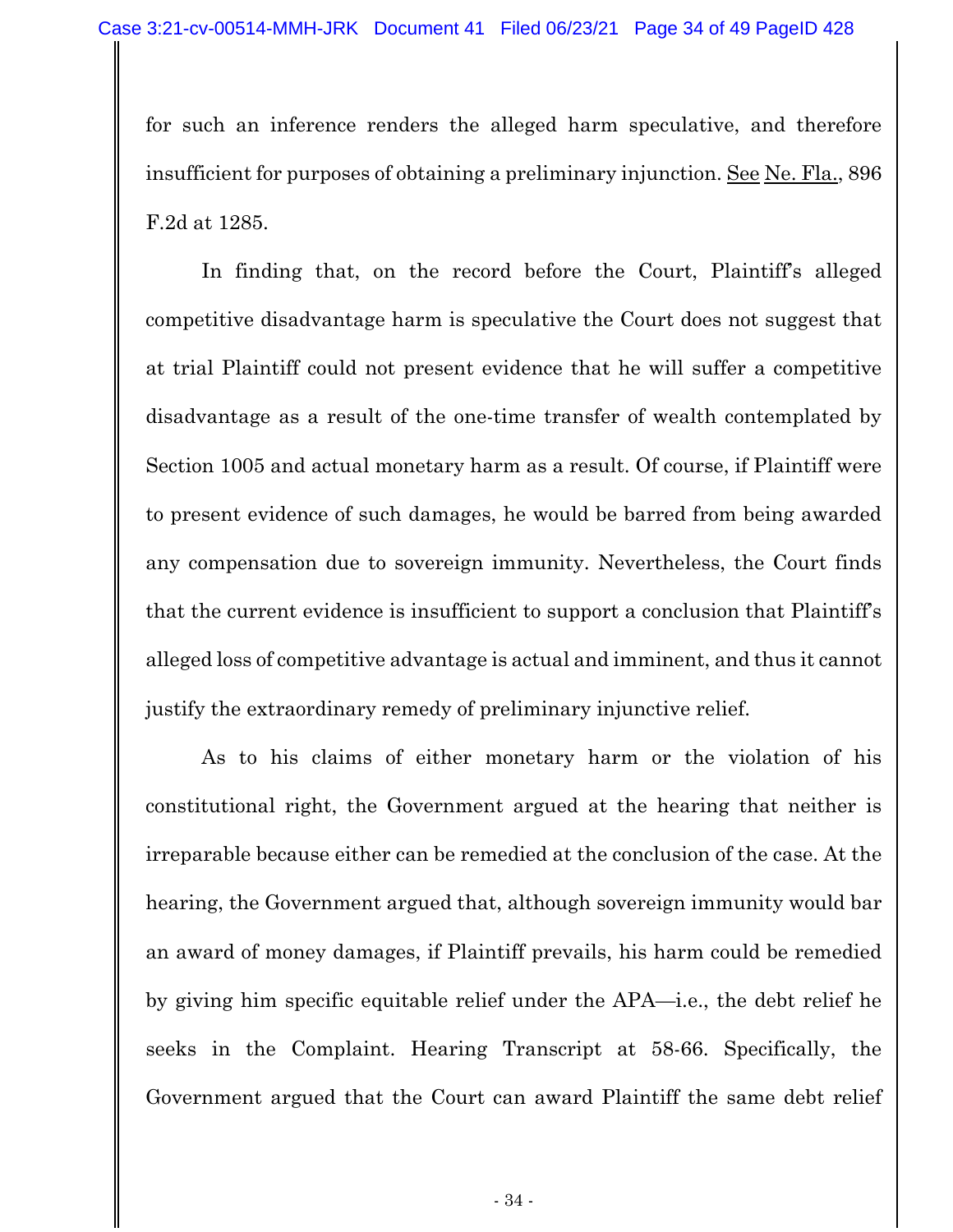for such an inference renders the alleged harm speculative, and therefore insufficient for purposes of obtaining a preliminary injunction. See Ne. Fla., 896 F.2d at 1285.

In finding that, on the record before the Court, Plaintiff's alleged competitive disadvantage harm is speculative the Court does not suggest that at trial Plaintiff could not present evidence that he will suffer a competitive disadvantage as a result of the one-time transfer of wealth contemplated by Section 1005 and actual monetary harm as a result. Of course, if Plaintiff were to present evidence of such damages, he would be barred from being awarded any compensation due to sovereign immunity. Nevertheless, the Court finds that the current evidence is insufficient to support a conclusion that Plaintiff's alleged loss of competitive advantage is actual and imminent, and thus it cannot justify the extraordinary remedy of preliminary injunctive relief.

As to his claims of either monetary harm or the violation of his constitutional right, the Government argued at the hearing that neither is irreparable because either can be remedied at the conclusion of the case. At the hearing, the Government argued that, although sovereign immunity would bar an award of money damages, if Plaintiff prevails, his harm could be remedied by giving him specific equitable relief under the APA—i.e., the debt relief he seeks in the Complaint. Hearing Transcript at 58-66. Specifically, the Government argued that the Court can award Plaintiff the same debt relief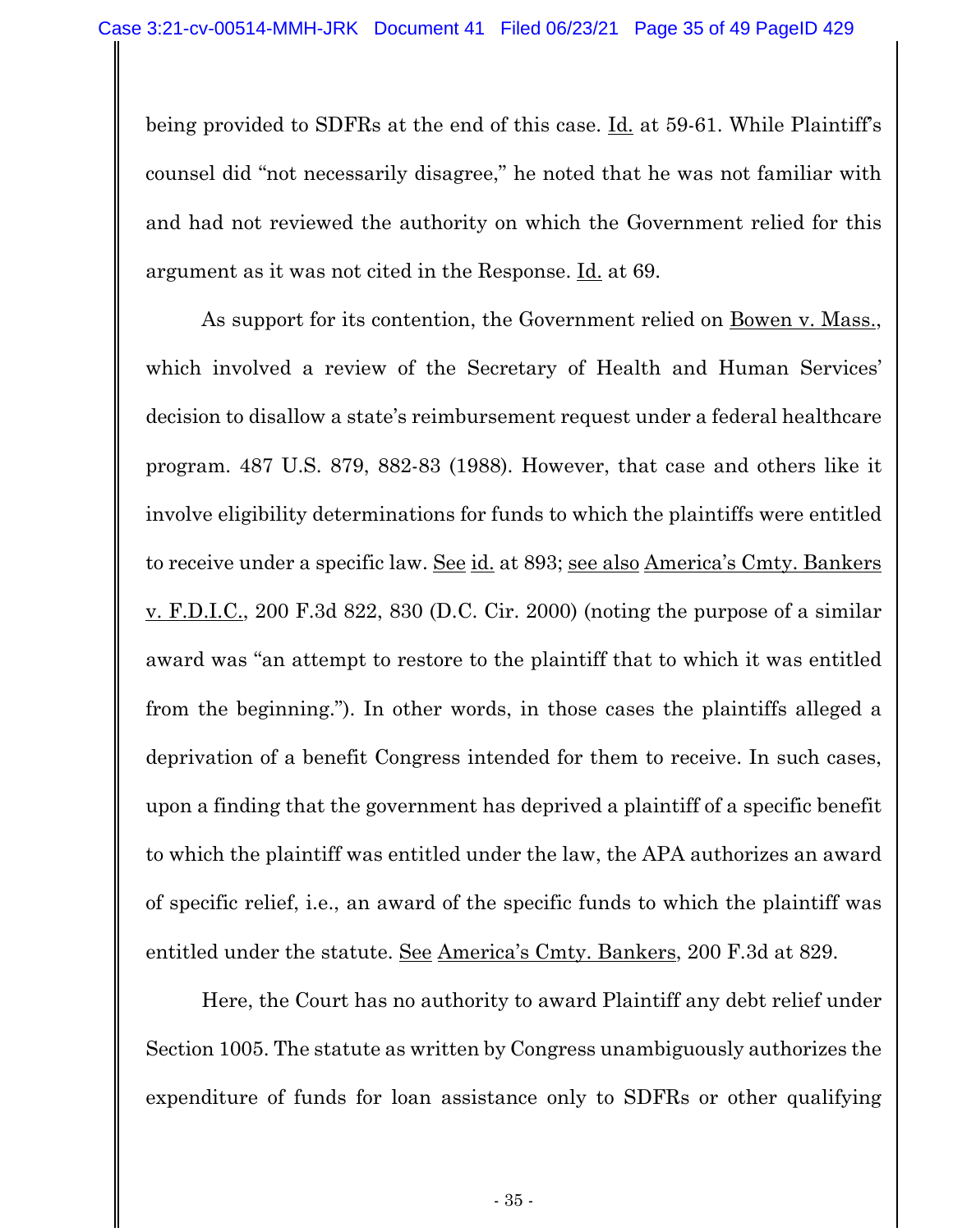being provided to SDFRs at the end of this case. Id. at 59-61. While Plaintiff's counsel did "not necessarily disagree," he noted that he was not familiar with and had not reviewed the authority on which the Government relied for this argument as it was not cited in the Response. Id. at 69.

As support for its contention, the Government relied on Bowen v. Mass., which involved a review of the Secretary of Health and Human Services' decision to disallow a state's reimbursement request under a federal healthcare program. 487 U.S. 879, 882-83 (1988). However, that case and others like it involve eligibility determinations for funds to which the plaintiffs were entitled to receive under a specific law. See id. at 893; see also America's Cmty. Bankers v. F.D.I.C., 200 F.3d 822, 830 (D.C. Cir. 2000) (noting the purpose of a similar award was "an attempt to restore to the plaintiff that to which it was entitled from the beginning."). In other words, in those cases the plaintiffs alleged a deprivation of a benefit Congress intended for them to receive. In such cases, upon a finding that the government has deprived a plaintiff of a specific benefit to which the plaintiff was entitled under the law, the APA authorizes an award of specific relief, i.e., an award of the specific funds to which the plaintiff was entitled under the statute. See America's Cmty. Bankers, 200 F.3d at 829.

Here, the Court has no authority to award Plaintiff any debt relief under Section 1005. The statute as written by Congress unambiguously authorizes the expenditure of funds for loan assistance only to SDFRs or other qualifying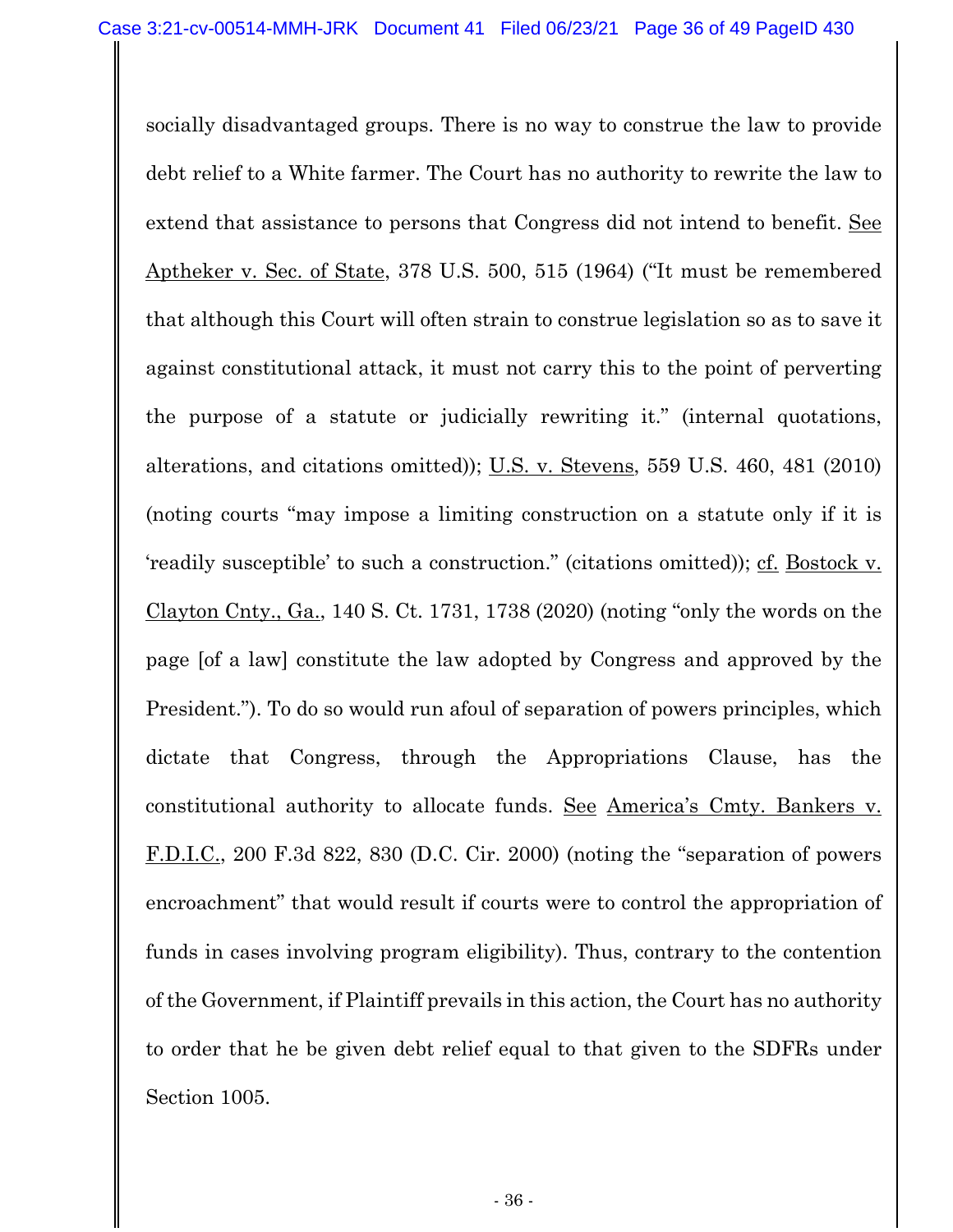socially disadvantaged groups. There is no way to construe the law to provide debt relief to a White farmer. The Court has no authority to rewrite the law to extend that assistance to persons that Congress did not intend to benefit. See Aptheker v. Sec. of State, 378 U.S. 500, 515 (1964) ("It must be remembered that although this Court will often strain to construe legislation so as to save it against constitutional attack, it must not carry this to the point of perverting the purpose of a statute or judicially rewriting it." (internal quotations, alterations, and citations omitted)); U.S. v. Stevens, 559 U.S. 460, 481 (2010) (noting courts "may impose a limiting construction on a statute only if it is 'readily susceptible' to such a construction." (citations omitted)); cf. Bostock v. Clayton Cnty., Ga., 140 S. Ct. 1731, 1738 (2020) (noting "only the words on the page [of a law] constitute the law adopted by Congress and approved by the President."). To do so would run afoul of separation of powers principles, which dictate that Congress, through the Appropriations Clause, has the constitutional authority to allocate funds. See America's Cmty. Bankers v. F.D.I.C., 200 F.3d 822, 830 (D.C. Cir. 2000) (noting the "separation of powers encroachment" that would result if courts were to control the appropriation of funds in cases involving program eligibility). Thus, contrary to the contention of the Government, if Plaintiff prevails in this action, the Court has no authority to order that he be given debt relief equal to that given to the SDFRs under Section 1005.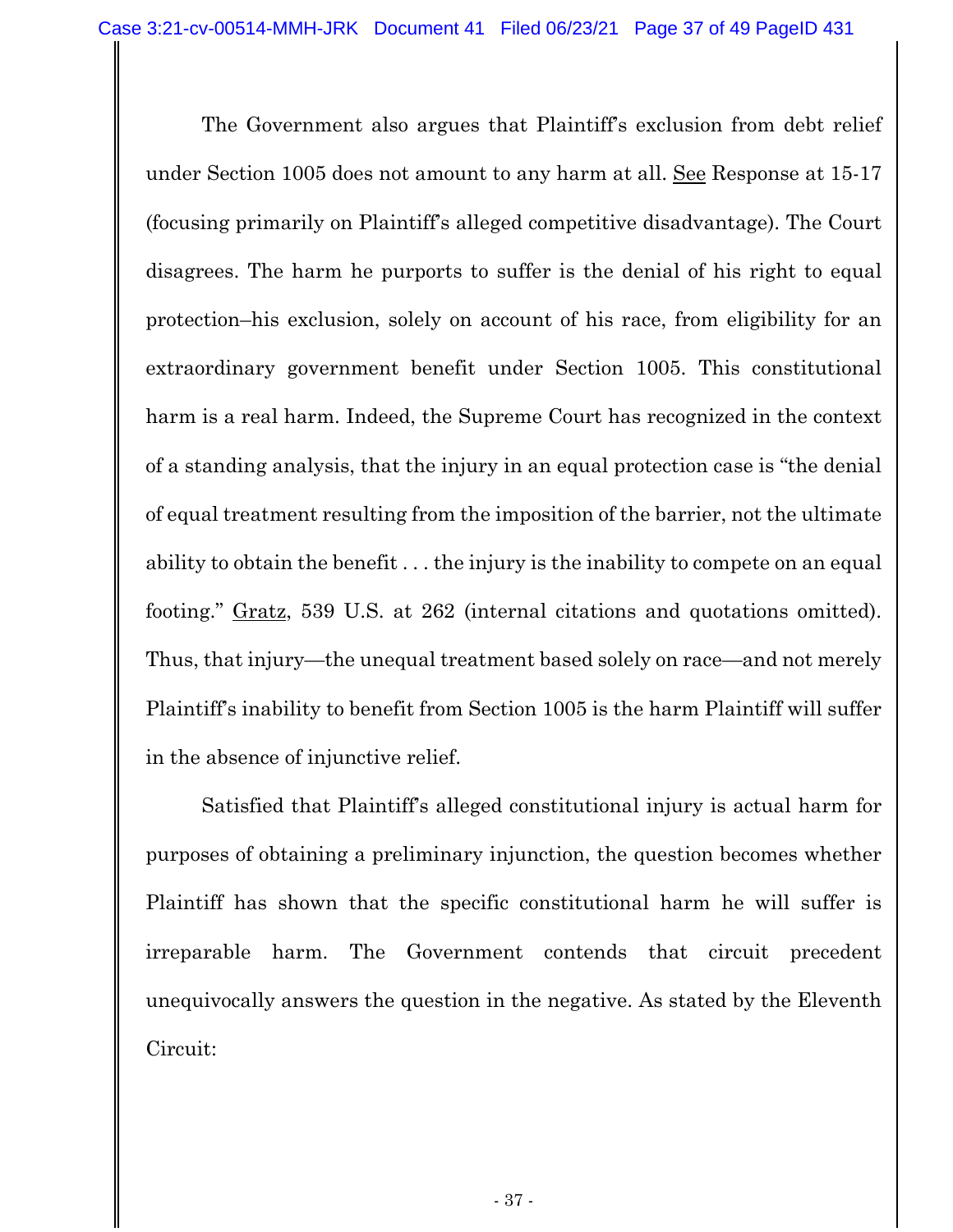The Government also argues that Plaintiff's exclusion from debt relief under Section 1005 does not amount to any harm at all. See Response at 15-17 (focusing primarily on Plaintiff's alleged competitive disadvantage). The Court disagrees. The harm he purports to suffer is the denial of his right to equal protection–his exclusion, solely on account of his race, from eligibility for an extraordinary government benefit under Section 1005. This constitutional harm is a real harm. Indeed, the Supreme Court has recognized in the context of a standing analysis, that the injury in an equal protection case is "the denial of equal treatment resulting from the imposition of the barrier, not the ultimate ability to obtain the benefit . . . the injury is the inability to compete on an equal footing." Gratz, 539 U.S. at 262 (internal citations and quotations omitted). Thus, that injury—the unequal treatment based solely on race—and not merely Plaintiff's inability to benefit from Section 1005 is the harm Plaintiff will suffer in the absence of injunctive relief.

Satisfied that Plaintiff's alleged constitutional injury is actual harm for purposes of obtaining a preliminary injunction, the question becomes whether Plaintiff has shown that the specific constitutional harm he will suffer is irreparable harm. The Government contends that circuit precedent unequivocally answers the question in the negative. As stated by the Eleventh Circuit: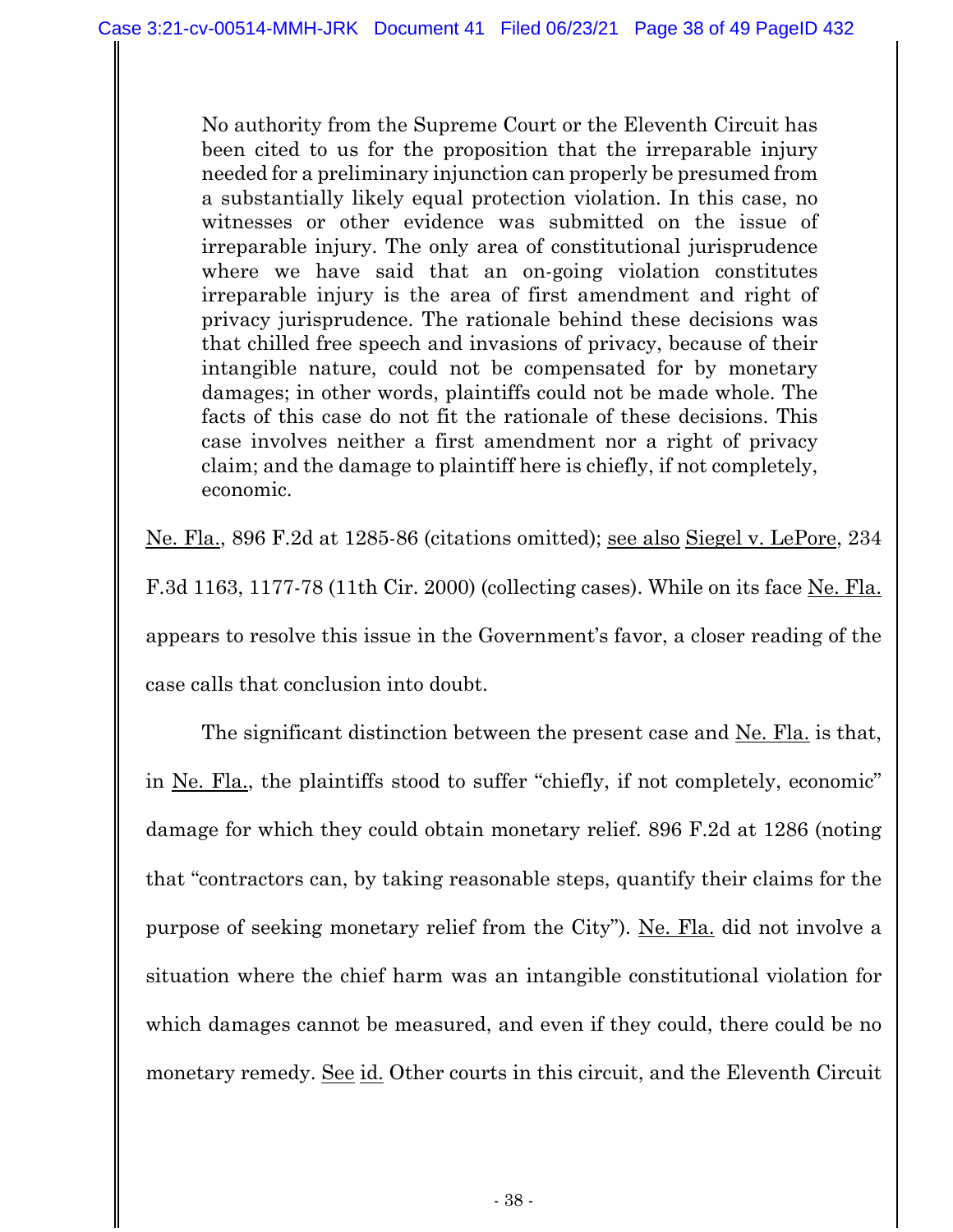No authority from the Supreme Court or the Eleventh Circuit has been cited to us for the proposition that the irreparable injury needed for a preliminary injunction can properly be presumed from a substantially likely equal protection violation. In this case, no witnesses or other evidence was submitted on the issue of irreparable injury. The only area of constitutional jurisprudence where we have said that an on-going violation constitutes irreparable injury is the area of first amendment and right of privacy jurisprudence. The rationale behind these decisions was that chilled free speech and invasions of privacy, because of their intangible nature, could not be compensated for by monetary damages; in other words, plaintiffs could not be made whole. The facts of this case do not fit the rationale of these decisions. This case involves neither a first amendment nor a right of privacy claim; and the damage to plaintiff here is chiefly, if not completely, economic.

Ne. Fla., 896 F.2d at 1285-86 (citations omitted); see also Siegel v. LePore, 234 F.3d 1163, 1177-78 (11th Cir. 2000) (collecting cases). While on its face Ne. Fla. appears to resolve this issue in the Government's favor, a closer reading of the case calls that conclusion into doubt.

The significant distinction between the present case and Ne. Fla. is that, in Ne. Fla., the plaintiffs stood to suffer "chiefly, if not completely, economic" damage for which they could obtain monetary relief. 896 F.2d at 1286 (noting that "contractors can, by taking reasonable steps, quantify their claims for the purpose of seeking monetary relief from the City"). Ne. Fla. did not involve a situation where the chief harm was an intangible constitutional violation for which damages cannot be measured, and even if they could, there could be no monetary remedy. See id. Other courts in this circuit, and the Eleventh Circuit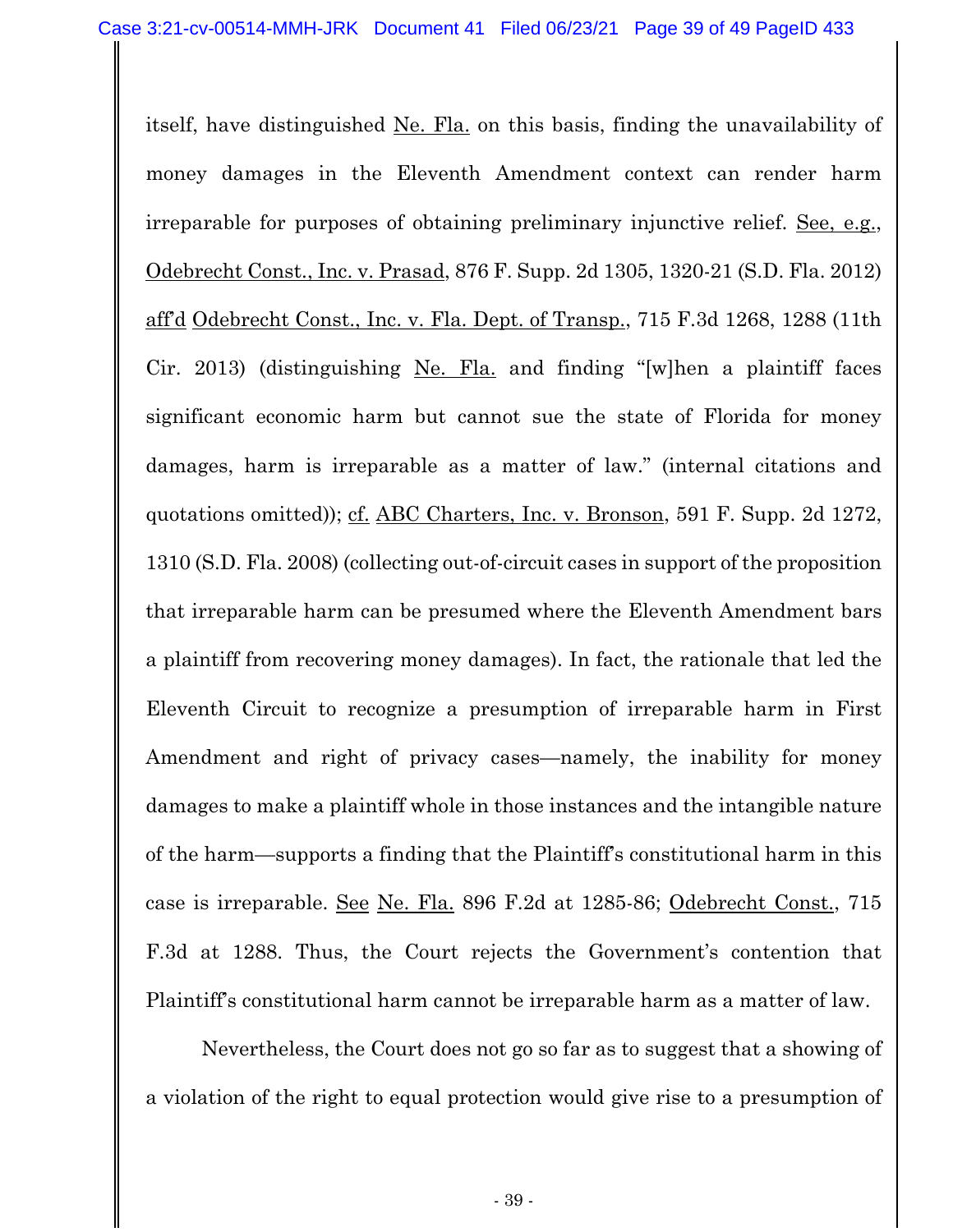itself, have distinguished Ne. Fla. on this basis, finding the unavailability of money damages in the Eleventh Amendment context can render harm irreparable for purposes of obtaining preliminary injunctive relief. See, e.g., Odebrecht Const., Inc. v. Prasad, 876 F. Supp. 2d 1305, 1320-21 (S.D. Fla. 2012) aff'd Odebrecht Const., Inc. v. Fla. Dept. of Transp., 715 F.3d 1268, 1288 (11th Cir. 2013) (distinguishing Ne. Fla. and finding "[w]hen a plaintiff faces significant economic harm but cannot sue the state of Florida for money damages, harm is irreparable as a matter of law." (internal citations and quotations omitted)); cf. ABC Charters, Inc. v. Bronson, 591 F. Supp. 2d 1272, 1310 (S.D. Fla. 2008) (collecting out-of-circuit cases in support of the proposition that irreparable harm can be presumed where the Eleventh Amendment bars a plaintiff from recovering money damages). In fact, the rationale that led the Eleventh Circuit to recognize a presumption of irreparable harm in First Amendment and right of privacy cases—namely, the inability for money damages to make a plaintiff whole in those instances and the intangible nature of the harm—supports a finding that the Plaintiff's constitutional harm in this case is irreparable. See Ne. Fla. 896 F.2d at 1285-86; Odebrecht Const., 715 F.3d at 1288. Thus, the Court rejects the Government's contention that Plaintiff's constitutional harm cannot be irreparable harm as a matter of law.

Nevertheless, the Court does not go so far as to suggest that a showing of a violation of the right to equal protection would give rise to a presumption of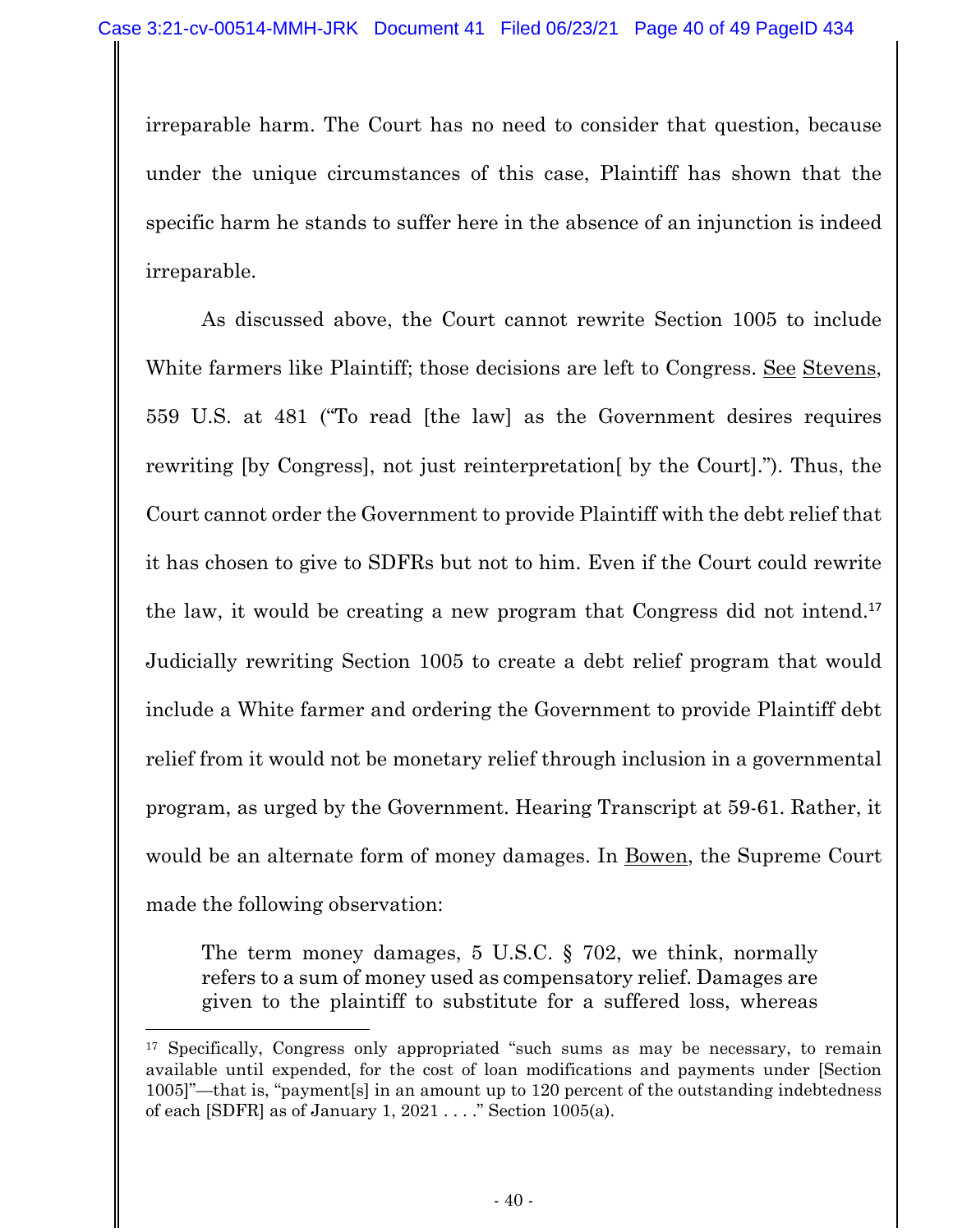irreparable harm. The Court has no need to consider that question, because under the unique circumstances of this case, Plaintiff has shown that the specific harm he stands to suffer here in the absence of an injunction is indeed irreparable.

As discussed above, the Court cannot rewrite Section 1005 to include White farmers like Plaintiff; those decisions are left to Congress. See Stevens, 559 U.S. at 481 ("To read [the law] as the Government desires requires rewriting [by Congress], not just reinterpretation[ by the Court]."). Thus, the Court cannot order the Government to provide Plaintiff with the debt relief that it has chosen to give to SDFRs but not to him. Even if the Court could rewrite the law, it would be creating a new program that Congress did not intend.<sup>17</sup> Judicially rewriting Section 1005 to create a debt relief program that would include a White farmer and ordering the Government to provide Plaintiff debt relief from it would not be monetary relief through inclusion in a governmental program, as urged by the Government. Hearing Transcript at 59-61. Rather, it would be an alternate form of money damages. In Bowen, the Supreme Court made the following observation:

The term money damages, 5 U.S.C. § 702, we think, normally refers to a sum of money used as compensatory relief. Damages are given to the plaintiff to substitute for a suffered loss, whereas

<sup>&</sup>lt;sup>17</sup> Specifically, Congress only appropriated "such sums as may be necessary, to remain available until expended, for the cost of loan modifications and payments under [Section 1005]"—that is, "payment[s] in an amount up to 120 percent of the outstanding indebtedness of each [SDFR] as of January 1,  $2021...$  ." Section 1005(a).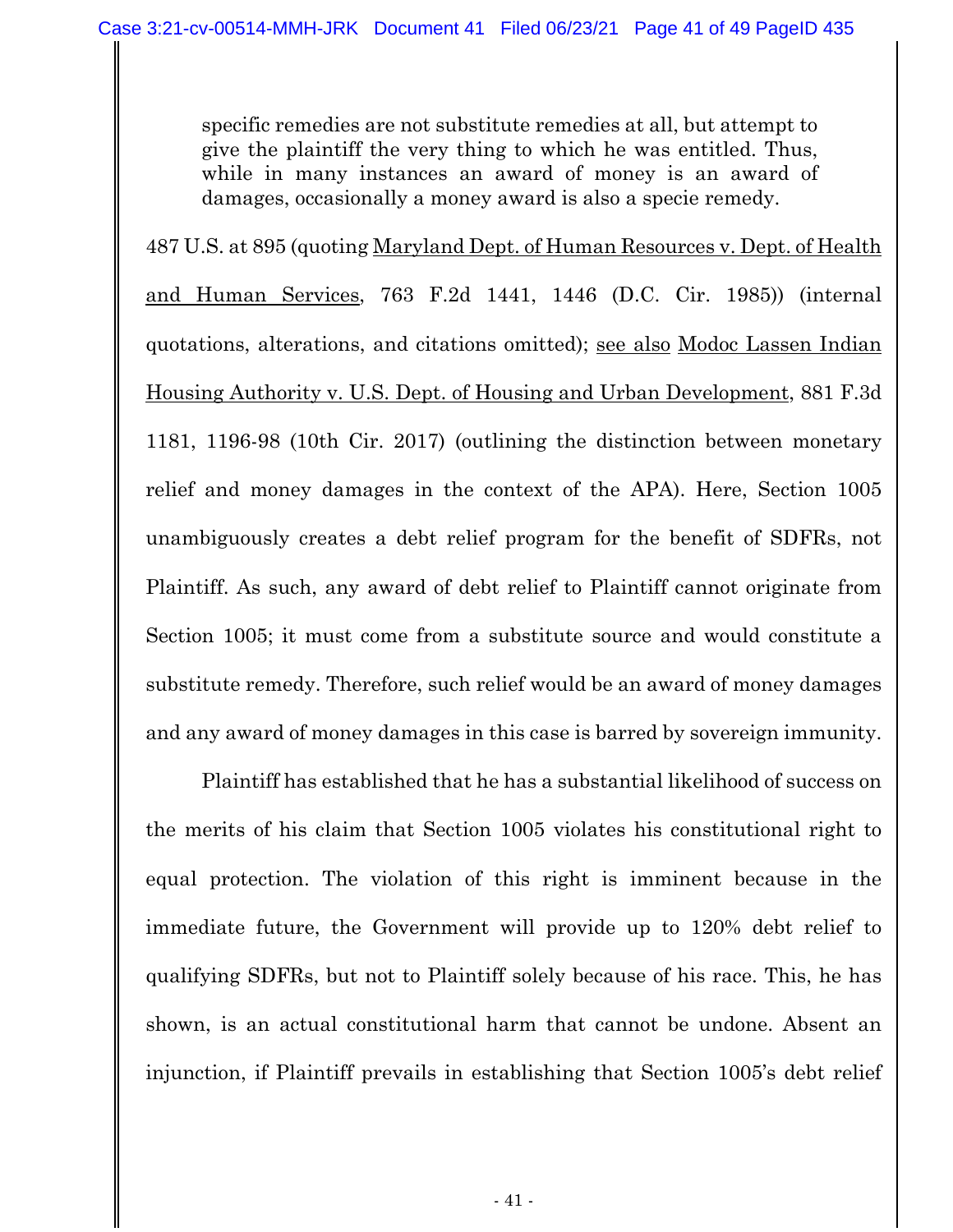specific remedies are not substitute remedies at all, but attempt to give the plaintiff the very thing to which he was entitled. Thus, while in many instances an award of money is an award of damages, occasionally a money award is also a specie remedy.

487 U.S. at 895 (quoting Maryland Dept. of Human Resources v. Dept. of Health and Human Services, 763 F.2d 1441, 1446 (D.C. Cir. 1985)) (internal quotations, alterations, and citations omitted); see also Modoc Lassen Indian Housing Authority v. U.S. Dept. of Housing and Urban Development, 881 F.3d 1181, 1196-98 (10th Cir. 2017) (outlining the distinction between monetary relief and money damages in the context of the APA). Here, Section 1005 unambiguously creates a debt relief program for the benefit of SDFRs, not Plaintiff. As such, any award of debt relief to Plaintiff cannot originate from Section 1005; it must come from a substitute source and would constitute a substitute remedy. Therefore, such relief would be an award of money damages and any award of money damages in this case is barred by sovereign immunity.

Plaintiff has established that he has a substantial likelihood of success on the merits of his claim that Section 1005 violates his constitutional right to equal protection. The violation of this right is imminent because in the immediate future, the Government will provide up to 120% debt relief to qualifying SDFRs, but not to Plaintiff solely because of his race. This, he has shown, is an actual constitutional harm that cannot be undone. Absent an injunction, if Plaintiff prevails in establishing that Section 1005's debt relief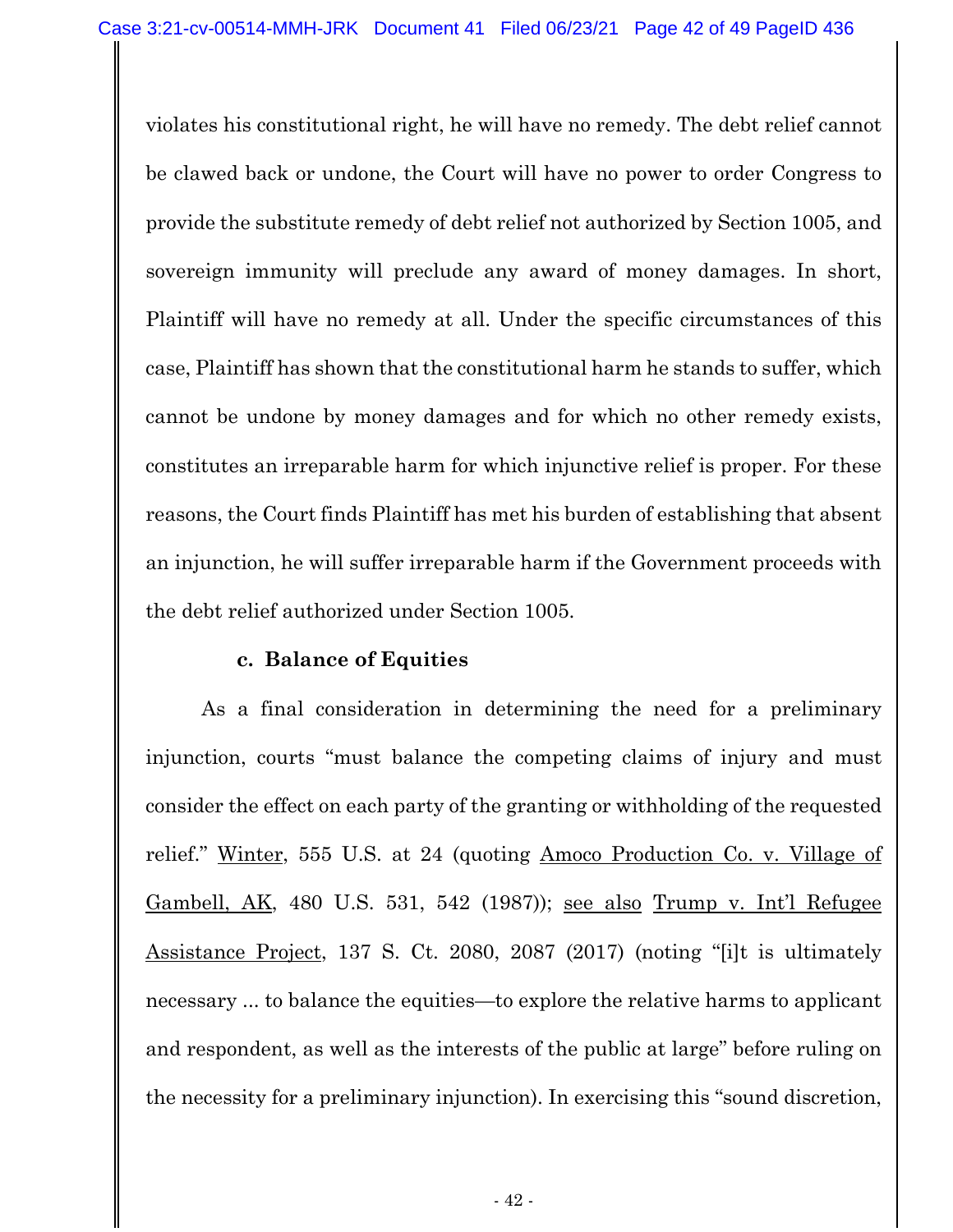violates his constitutional right, he will have no remedy. The debt relief cannot be clawed back or undone, the Court will have no power to order Congress to provide the substitute remedy of debt relief not authorized by Section 1005, and sovereign immunity will preclude any award of money damages. In short, Plaintiff will have no remedy at all. Under the specific circumstances of this case, Plaintiff has shown that the constitutional harm he stands to suffer, which cannot be undone by money damages and for which no other remedy exists, constitutes an irreparable harm for which injunctive relief is proper. For these reasons, the Court finds Plaintiff has met his burden of establishing that absent an injunction, he will suffer irreparable harm if the Government proceeds with the debt relief authorized under Section 1005.

#### **c. Balance of Equities**

As a final consideration in determining the need for a preliminary injunction, courts "must balance the competing claims of injury and must consider the effect on each party of the granting or withholding of the requested relief." Winter, 555 U.S. at 24 (quoting Amoco Production Co. v. Village of Gambell, AK, 480 U.S. 531, 542 (1987)); see also Trump v. Int'l Refugee Assistance Project, 137 S. Ct. 2080, 2087 (2017) (noting "[i]t is ultimately necessary ... to balance the equities—to explore the relative harms to applicant and respondent, as well as the interests of the public at large" before ruling on the necessity for a preliminary injunction). In exercising this "sound discretion,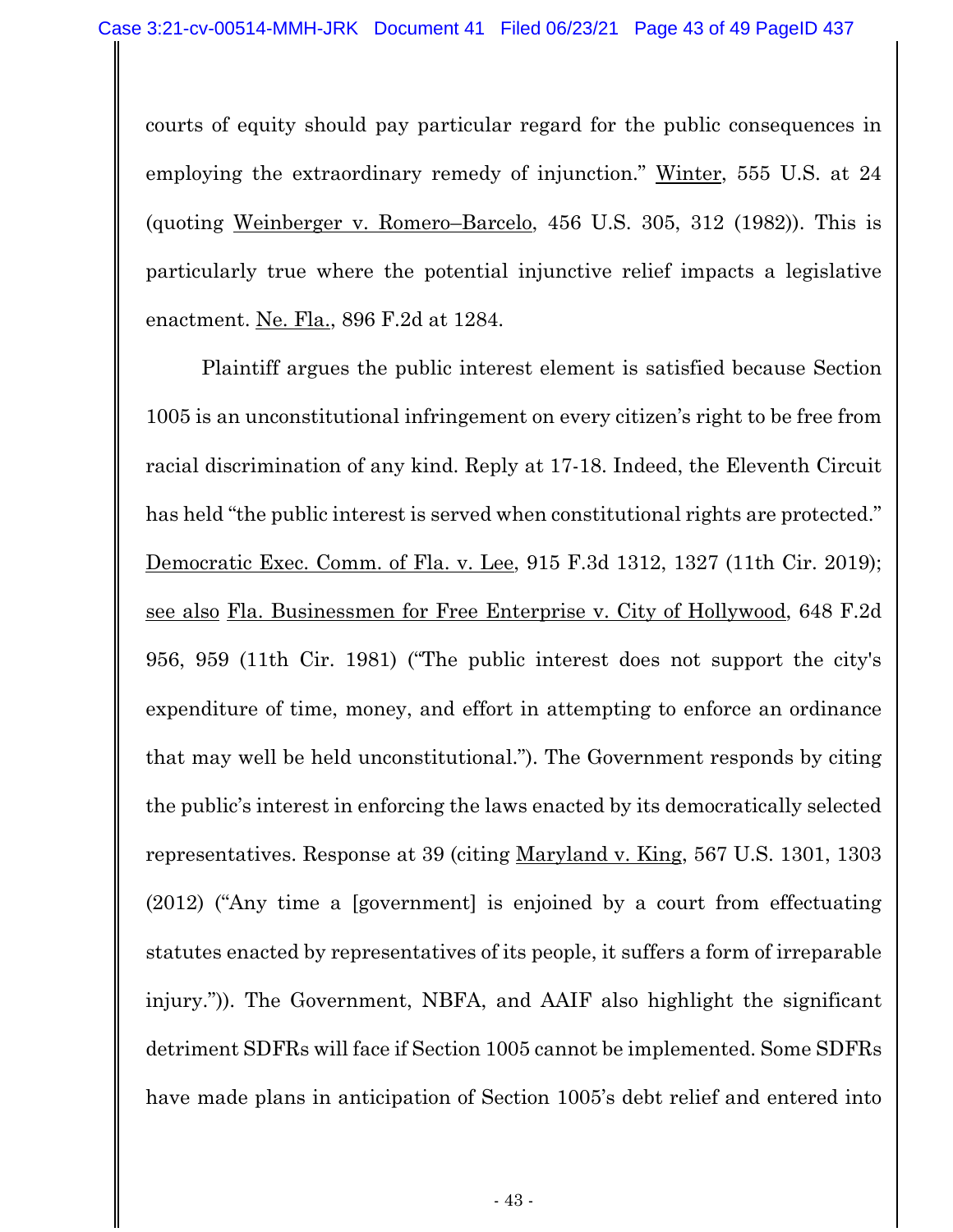courts of equity should pay particular regard for the public consequences in employing the extraordinary remedy of injunction." Winter, 555 U.S. at 24 (quoting Weinberger v. Romero–Barcelo, 456 U.S. 305, 312 (1982)). This is particularly true where the potential injunctive relief impacts a legislative enactment. Ne. Fla., 896 F.2d at 1284.

Plaintiff argues the public interest element is satisfied because Section 1005 is an unconstitutional infringement on every citizen's right to be free from racial discrimination of any kind. Reply at 17-18. Indeed, the Eleventh Circuit has held "the public interest is served when constitutional rights are protected." Democratic Exec. Comm. of Fla. v. Lee, 915 F.3d 1312, 1327 (11th Cir. 2019); see also Fla. Businessmen for Free Enterprise v. City of Hollywood, 648 F.2d 956, 959 (11th Cir. 1981) ("The public interest does not support the city's expenditure of time, money, and effort in attempting to enforce an ordinance that may well be held unconstitutional."). The Government responds by citing the public's interest in enforcing the laws enacted by its democratically selected representatives. Response at 39 (citing Maryland v. King, 567 U.S. 1301, 1303 (2012) ("Any time a [government] is enjoined by a court from effectuating statutes enacted by representatives of its people, it suffers a form of irreparable injury.")). The Government, NBFA, and AAIF also highlight the significant detriment SDFRs will face if Section 1005 cannot be implemented. Some SDFRs have made plans in anticipation of Section 1005's debt relief and entered into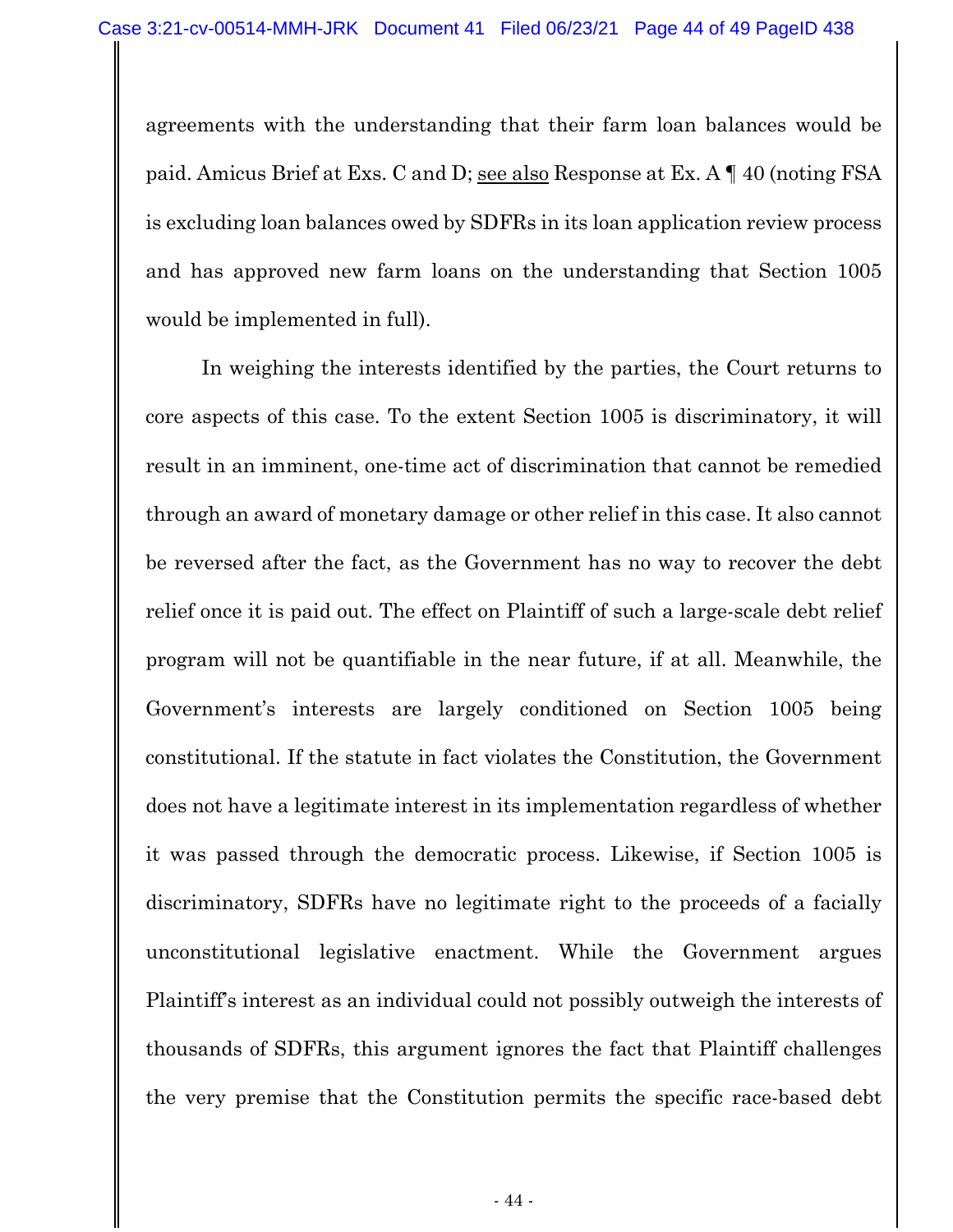agreements with the understanding that their farm loan balances would be paid. Amicus Brief at Exs. C and D; see also Response at Ex. A ¶ 40 (noting FSA is excluding loan balances owed by SDFRs in its loan application review process and has approved new farm loans on the understanding that Section 1005 would be implemented in full).

 In weighing the interests identified by the parties, the Court returns to core aspects of this case. To the extent Section 1005 is discriminatory, it will result in an imminent, one-time act of discrimination that cannot be remedied through an award of monetary damage or other relief in this case. It also cannot be reversed after the fact, as the Government has no way to recover the debt relief once it is paid out. The effect on Plaintiff of such a large-scale debt relief program will not be quantifiable in the near future, if at all. Meanwhile, the Government's interests are largely conditioned on Section 1005 being constitutional. If the statute in fact violates the Constitution, the Government does not have a legitimate interest in its implementation regardless of whether it was passed through the democratic process. Likewise, if Section 1005 is discriminatory, SDFRs have no legitimate right to the proceeds of a facially unconstitutional legislative enactment. While the Government argues Plaintiff's interest as an individual could not possibly outweigh the interests of thousands of SDFRs, this argument ignores the fact that Plaintiff challenges the very premise that the Constitution permits the specific race-based debt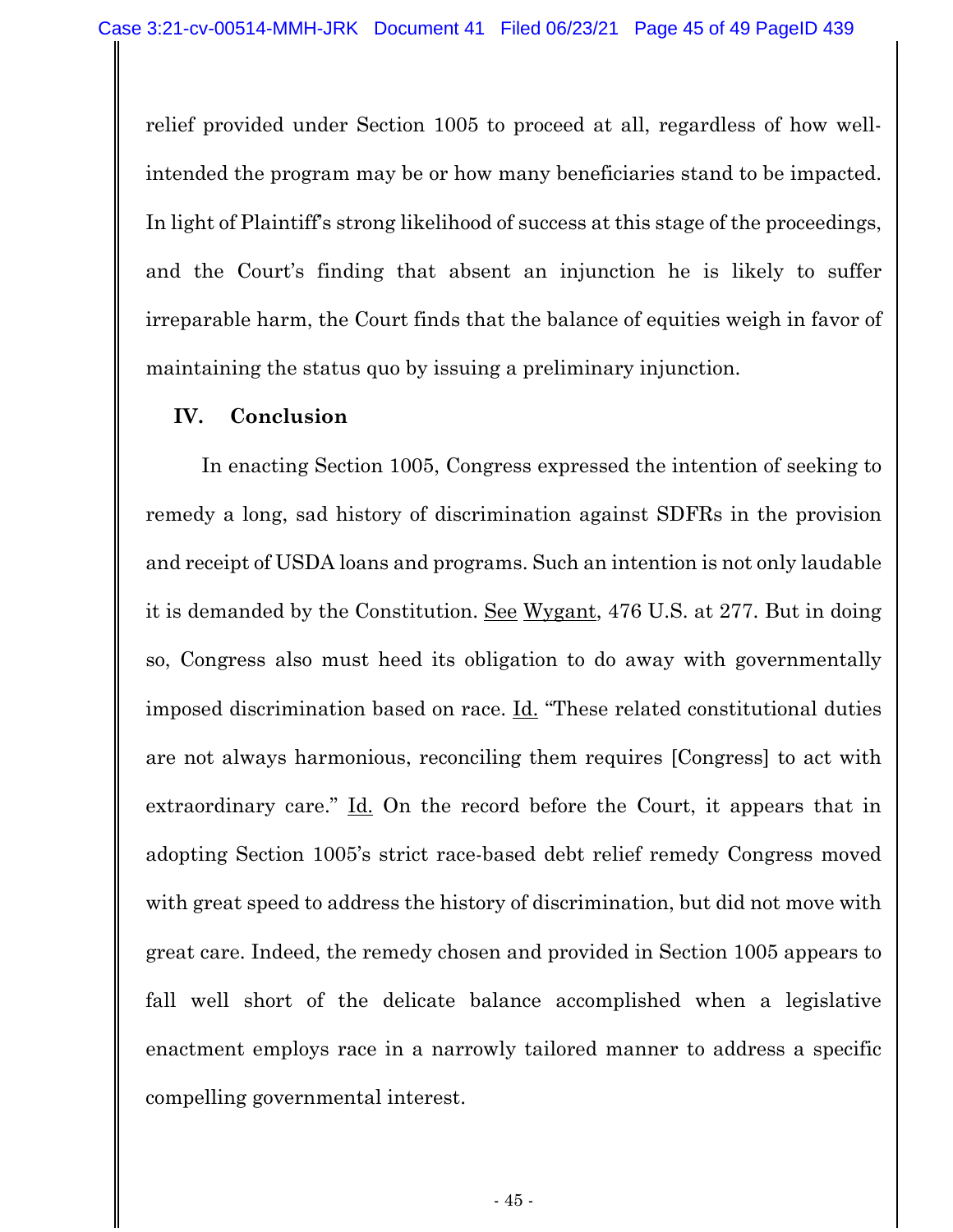relief provided under Section 1005 to proceed at all, regardless of how wellintended the program may be or how many beneficiaries stand to be impacted. In light of Plaintiff's strong likelihood of success at this stage of the proceedings, and the Court's finding that absent an injunction he is likely to suffer irreparable harm, the Court finds that the balance of equities weigh in favor of maintaining the status quo by issuing a preliminary injunction.

#### **IV. Conclusion**

In enacting Section 1005, Congress expressed the intention of seeking to remedy a long, sad history of discrimination against SDFRs in the provision and receipt of USDA loans and programs. Such an intention is not only laudable it is demanded by the Constitution. See Wygant, 476 U.S. at 277. But in doing so, Congress also must heed its obligation to do away with governmentally imposed discrimination based on race. Id. "These related constitutional duties are not always harmonious, reconciling them requires [Congress] to act with extraordinary care." Id. On the record before the Court, it appears that in adopting Section 1005's strict race-based debt relief remedy Congress moved with great speed to address the history of discrimination, but did not move with great care. Indeed, the remedy chosen and provided in Section 1005 appears to fall well short of the delicate balance accomplished when a legislative enactment employs race in a narrowly tailored manner to address a specific compelling governmental interest.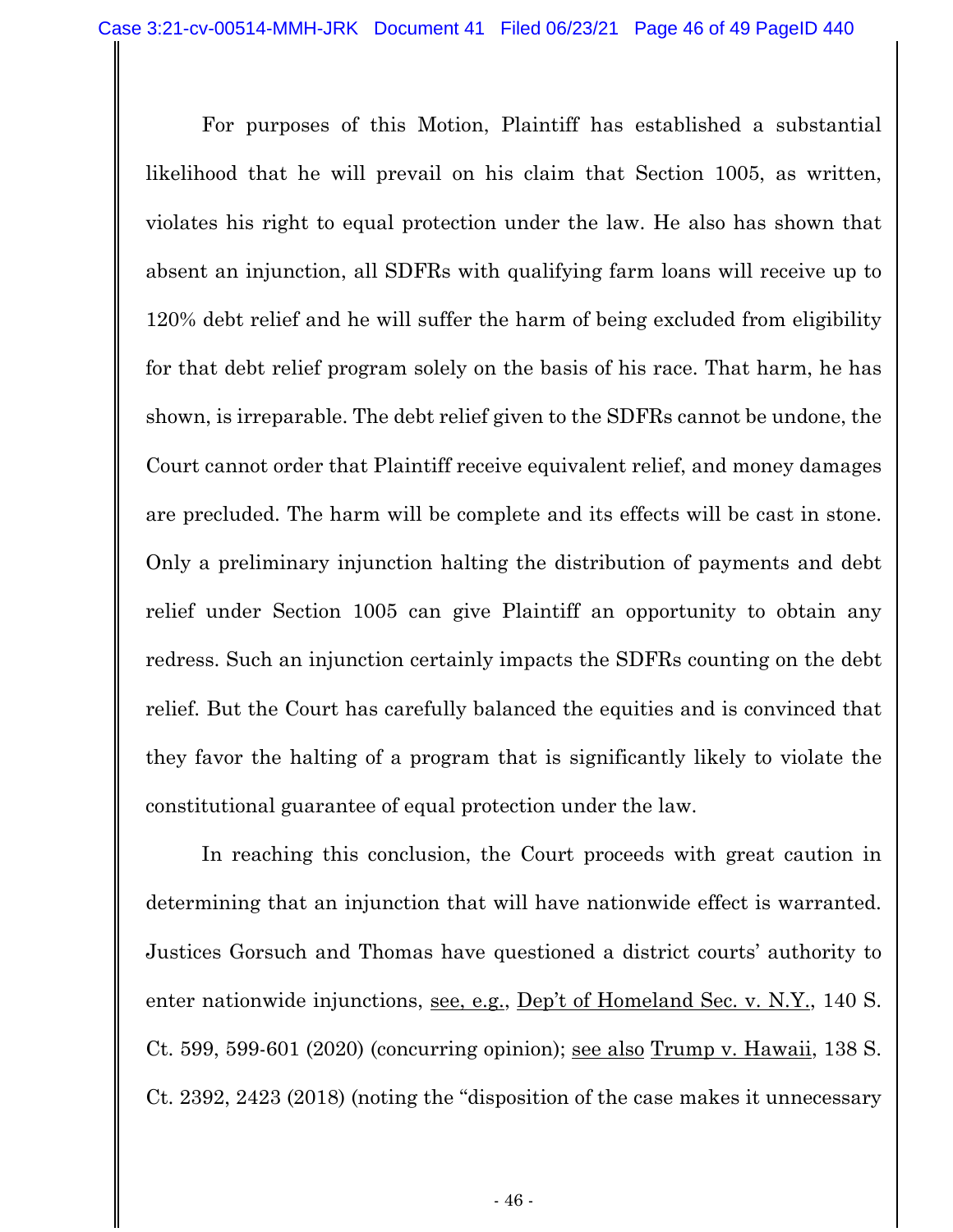For purposes of this Motion, Plaintiff has established a substantial likelihood that he will prevail on his claim that Section 1005, as written, violates his right to equal protection under the law. He also has shown that absent an injunction, all SDFRs with qualifying farm loans will receive up to 120% debt relief and he will suffer the harm of being excluded from eligibility for that debt relief program solely on the basis of his race. That harm, he has shown, is irreparable. The debt relief given to the SDFRs cannot be undone, the Court cannot order that Plaintiff receive equivalent relief, and money damages are precluded. The harm will be complete and its effects will be cast in stone. Only a preliminary injunction halting the distribution of payments and debt relief under Section 1005 can give Plaintiff an opportunity to obtain any redress. Such an injunction certainly impacts the SDFRs counting on the debt relief. But the Court has carefully balanced the equities and is convinced that they favor the halting of a program that is significantly likely to violate the constitutional guarantee of equal protection under the law.

In reaching this conclusion, the Court proceeds with great caution in determining that an injunction that will have nationwide effect is warranted. Justices Gorsuch and Thomas have questioned a district courts' authority to enter nationwide injunctions, see, e.g., Dep't of Homeland Sec. v. N.Y., 140 S. Ct. 599, 599-601 (2020) (concurring opinion); see also Trump v. Hawaii, 138 S. Ct. 2392, 2423 (2018) (noting the "disposition of the case makes it unnecessary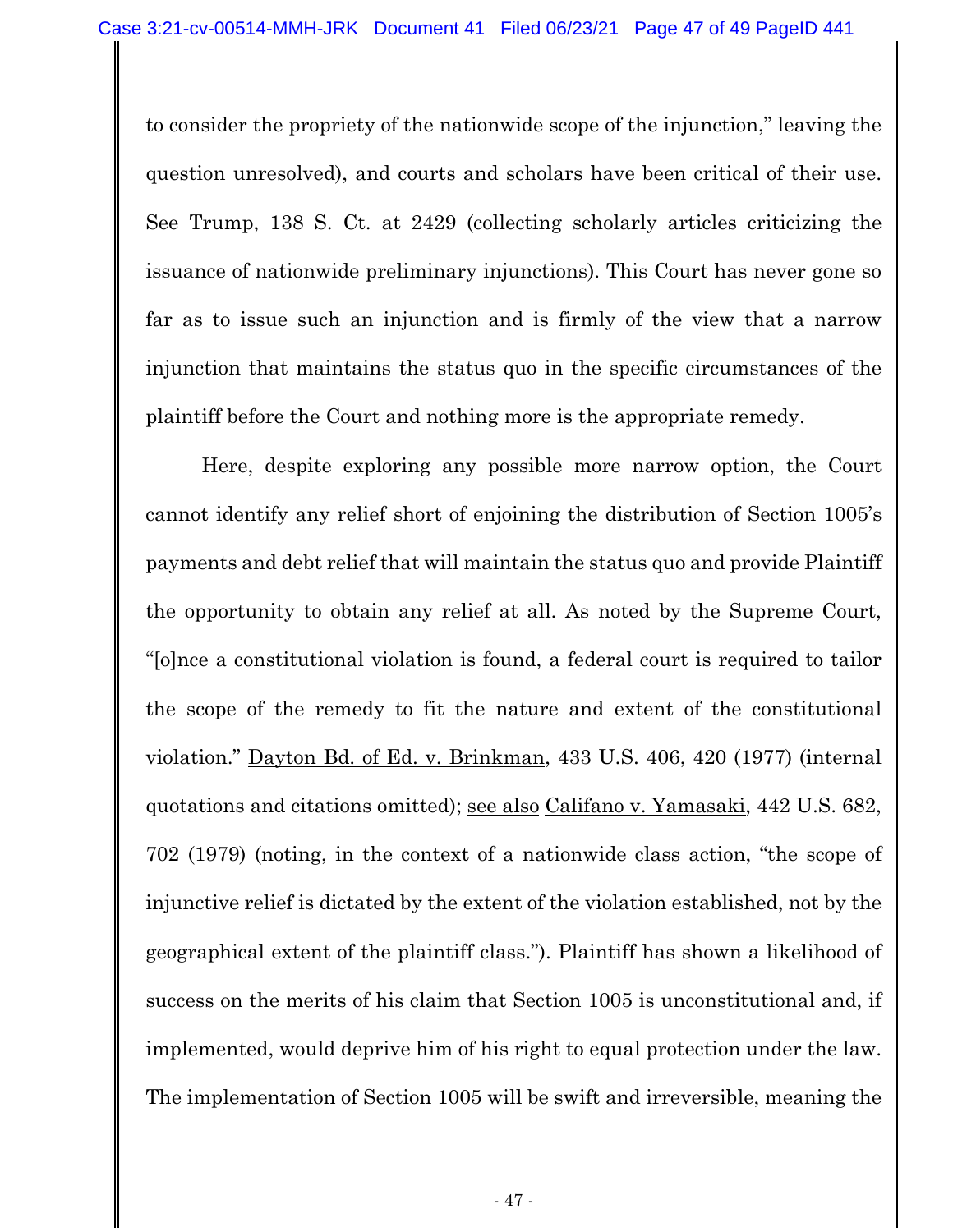to consider the propriety of the nationwide scope of the injunction," leaving the question unresolved), and courts and scholars have been critical of their use. See Trump, 138 S. Ct. at 2429 (collecting scholarly articles criticizing the issuance of nationwide preliminary injunctions). This Court has never gone so far as to issue such an injunction and is firmly of the view that a narrow injunction that maintains the status quo in the specific circumstances of the plaintiff before the Court and nothing more is the appropriate remedy.

Here, despite exploring any possible more narrow option, the Court cannot identify any relief short of enjoining the distribution of Section 1005's payments and debt relief that will maintain the status quo and provide Plaintiff the opportunity to obtain any relief at all. As noted by the Supreme Court, "[o]nce a constitutional violation is found, a federal court is required to tailor the scope of the remedy to fit the nature and extent of the constitutional violation." Dayton Bd. of Ed. v. Brinkman, 433 U.S. 406, 420 (1977) (internal quotations and citations omitted); see also Califano v. Yamasaki, 442 U.S. 682, 702 (1979) (noting, in the context of a nationwide class action, "the scope of injunctive relief is dictated by the extent of the violation established, not by the geographical extent of the plaintiff class."). Plaintiff has shown a likelihood of success on the merits of his claim that Section 1005 is unconstitutional and, if implemented, would deprive him of his right to equal protection under the law. The implementation of Section 1005 will be swift and irreversible, meaning the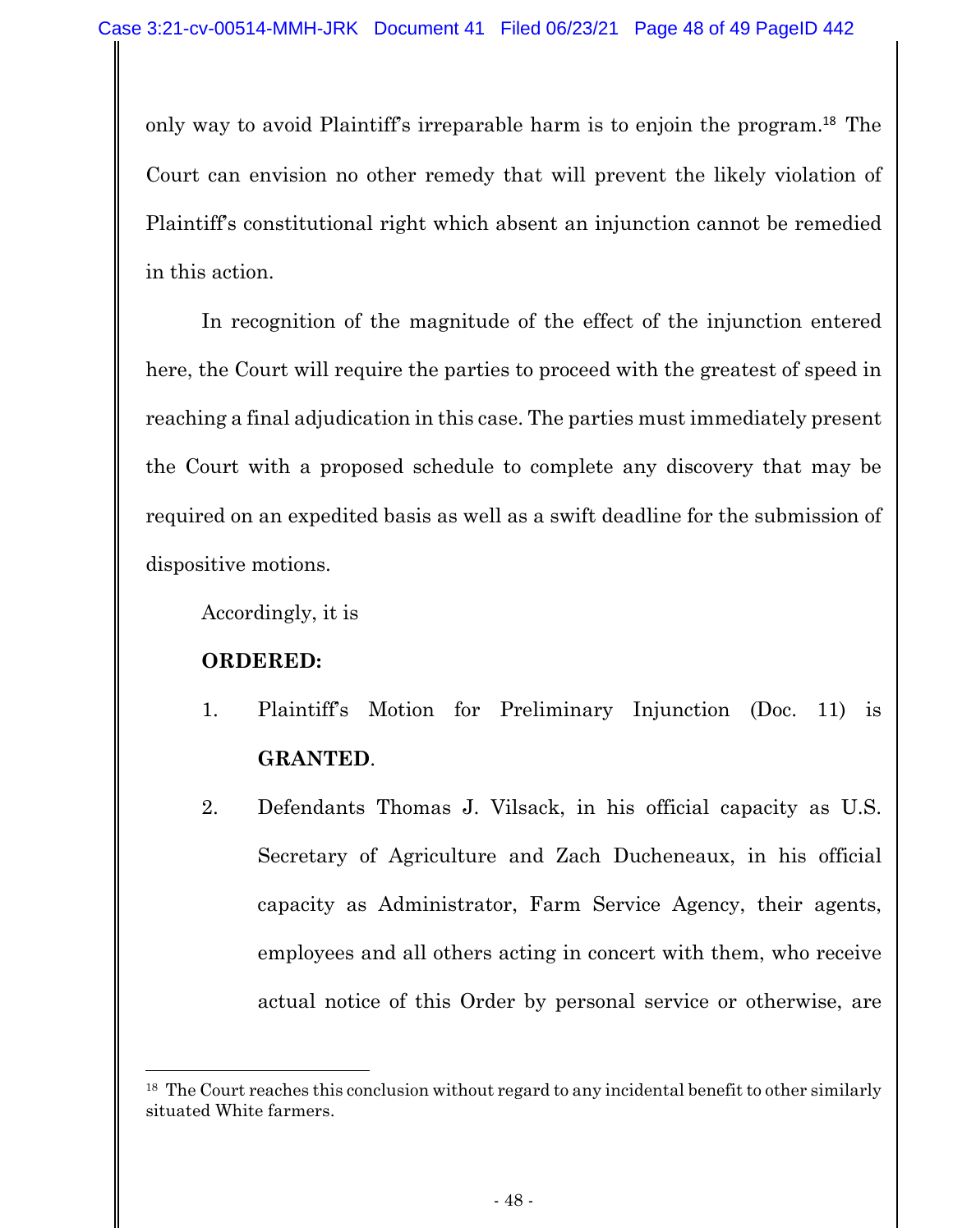only way to avoid Plaintiff's irreparable harm is to enjoin the program.<sup>18</sup> The Court can envision no other remedy that will prevent the likely violation of Plaintiff's constitutional right which absent an injunction cannot be remedied in this action.

In recognition of the magnitude of the effect of the injunction entered here, the Court will require the parties to proceed with the greatest of speed in reaching a final adjudication in this case. The parties must immediately present the Court with a proposed schedule to complete any discovery that may be required on an expedited basis as well as a swift deadline for the submission of dispositive motions.

Accordingly, it is

## **ORDERED:**

- 1. Plaintiff's Motion for Preliminary Injunction (Doc. 11) is **GRANTED**.
- 2. Defendants Thomas J. Vilsack, in his official capacity as U.S. Secretary of Agriculture and Zach Ducheneaux, in his official capacity as Administrator, Farm Service Agency, their agents, employees and all others acting in concert with them, who receive actual notice of this Order by personal service or otherwise, are

<sup>&</sup>lt;sup>18</sup> The Court reaches this conclusion without regard to any incidental benefit to other similarly situated White farmers.